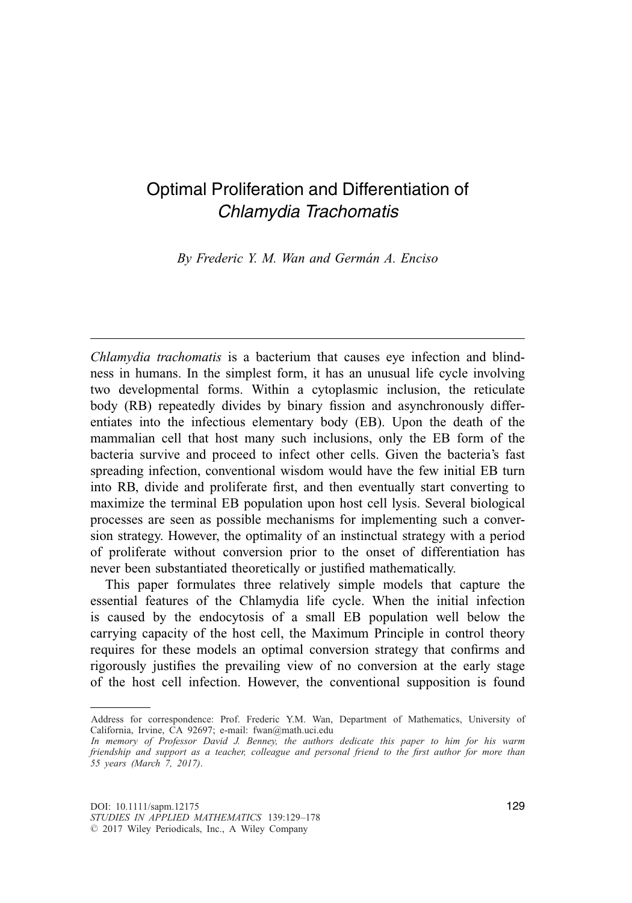# Optimal Proliferation and Differentiation of *Chlamydia Trachomatis*

*By Frederic Y. M. Wan and German A. Enciso ´*

*Chlamydia trachomatis* is a bacterium that causes eye infection and blindness in humans. In the simplest form, it has an unusual life cycle involving two developmental forms. Within a cytoplasmic inclusion, the reticulate body (RB) repeatedly divides by binary fission and asynchronously differentiates into the infectious elementary body (EB). Upon the death of the mammalian cell that host many such inclusions, only the EB form of the bacteria survive and proceed to infect other cells. Given the bacteria's fast spreading infection, conventional wisdom would have the few initial EB turn into RB, divide and proliferate first, and then eventually start converting to maximize the terminal EB population upon host cell lysis. Several biological processes are seen as possible mechanisms for implementing such a conversion strategy. However, the optimality of an instinctual strategy with a period of proliferate without conversion prior to the onset of differentiation has never been substantiated theoretically or justified mathematically.

This paper formulates three relatively simple models that capture the essential features of the Chlamydia life cycle. When the initial infection is caused by the endocytosis of a small EB population well below the carrying capacity of the host cell, the Maximum Principle in control theory requires for these models an optimal conversion strategy that confirms and rigorously justifies the prevailing view of no conversion at the early stage of the host cell infection. However, the conventional supposition is found

Address for correspondence: Prof. Frederic Y.M. Wan, Department of Mathematics, University of California, Irvine, CA 92697; e-mail: fwan@math.uci.edu

*In memory of Professor David J. Benney, the authors dedicate this paper to him for his warm friendship and support as a teacher, colleague and personal friend to the first author for more than 55 years (March 7, 2017)*.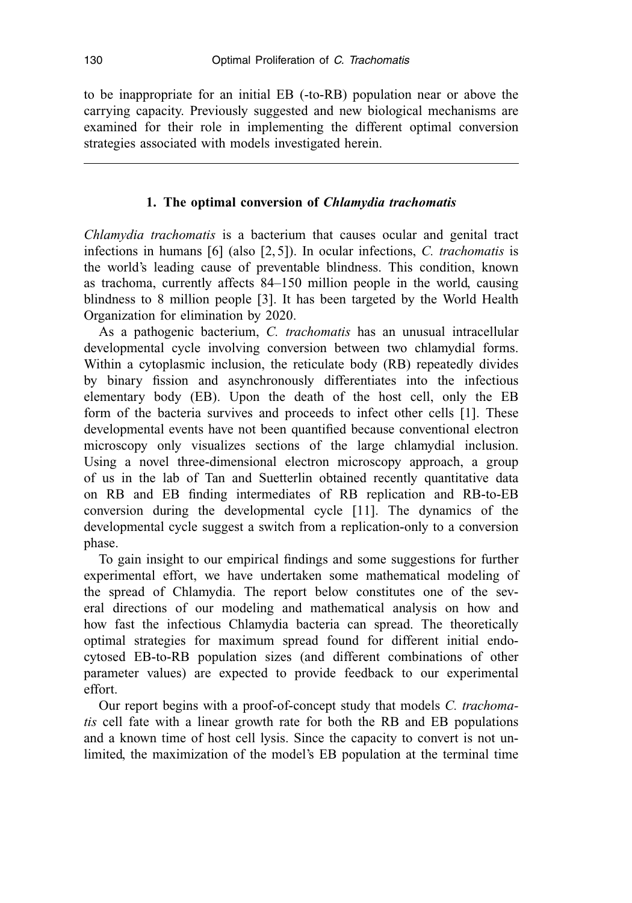to be inappropriate for an initial EB (-to-RB) population near or above the carrying capacity. Previously suggested and new biological mechanisms are examined for their role in implementing the different optimal conversion strategies associated with models investigated herein.

## **1. The optimal conversion of** *Chlamydia trachomatis*

*Chlamydia trachomatis* is a bacterium that causes ocular and genital tract infections in humans [6] (also [2, 5]). In ocular infections, *C. trachomatis* is the world's leading cause of preventable blindness. This condition, known as trachoma, currently affects 84–150 million people in the world, causing blindness to 8 million people [3]. It has been targeted by the World Health Organization for elimination by 2020.

As a pathogenic bacterium, *C. trachomatis* has an unusual intracellular developmental cycle involving conversion between two chlamydial forms. Within a cytoplasmic inclusion, the reticulate body (RB) repeatedly divides by binary fission and asynchronously differentiates into the infectious elementary body (EB). Upon the death of the host cell, only the EB form of the bacteria survives and proceeds to infect other cells [1]. These developmental events have not been quantified because conventional electron microscopy only visualizes sections of the large chlamydial inclusion. Using a novel three-dimensional electron microscopy approach, a group of us in the lab of Tan and Suetterlin obtained recently quantitative data on RB and EB finding intermediates of RB replication and RB-to-EB conversion during the developmental cycle [11]. The dynamics of the developmental cycle suggest a switch from a replication-only to a conversion phase.

To gain insight to our empirical findings and some suggestions for further experimental effort, we have undertaken some mathematical modeling of the spread of Chlamydia. The report below constitutes one of the several directions of our modeling and mathematical analysis on how and how fast the infectious Chlamydia bacteria can spread. The theoretically optimal strategies for maximum spread found for different initial endocytosed EB-to-RB population sizes (and different combinations of other parameter values) are expected to provide feedback to our experimental effort.

Our report begins with a proof-of-concept study that models *C. trachomatis* cell fate with a linear growth rate for both the RB and EB populations and a known time of host cell lysis. Since the capacity to convert is not unlimited, the maximization of the model's EB population at the terminal time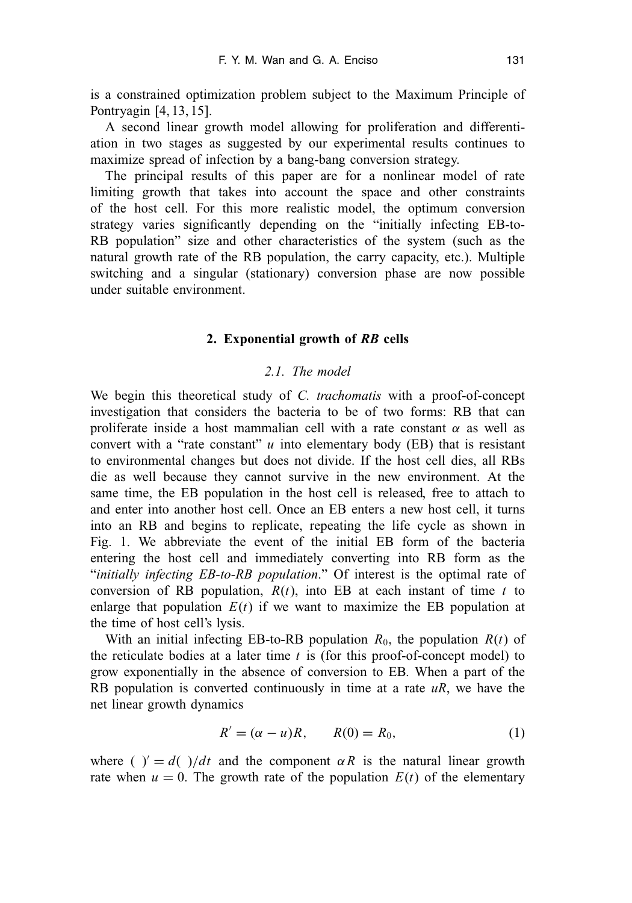is a constrained optimization problem subject to the Maximum Principle of Pontryagin [4, 13, 15].

A second linear growth model allowing for proliferation and differentiation in two stages as suggested by our experimental results continues to maximize spread of infection by a bang-bang conversion strategy.

The principal results of this paper are for a nonlinear model of rate limiting growth that takes into account the space and other constraints of the host cell. For this more realistic model, the optimum conversion strategy varies significantly depending on the "initially infecting EB-to-RB population" size and other characteristics of the system (such as the natural growth rate of the RB population, the carry capacity, etc.). Multiple switching and a singular (stationary) conversion phase are now possible under suitable environment.

## **2. Exponential growth of** *RB* **cells**

## *2.1. The model*

We begin this theoretical study of *C. trachomatis* with a proof-of-concept investigation that considers the bacteria to be of two forms: RB that can proliferate inside a host mammalian cell with a rate constant  $\alpha$  as well as convert with a "rate constant"  $u$  into elementary body (EB) that is resistant to environmental changes but does not divide. If the host cell dies, all RBs die as well because they cannot survive in the new environment. At the same time, the EB population in the host cell is released, free to attach to and enter into another host cell. Once an EB enters a new host cell, it turns into an RB and begins to replicate, repeating the life cycle as shown in Fig. 1. We abbreviate the event of the initial EB form of the bacteria entering the host cell and immediately converting into RB form as the "*initially infecting EB-to-RB population*." Of interest is the optimal rate of conversion of RB population,  $R(t)$ , into EB at each instant of time  $t$  to enlarge that population  $E(t)$  if we want to maximize the EB population at the time of host cell's lysis.

With an initial infecting EB-to-RB population  $R_0$ , the population  $R(t)$  of the reticulate bodies at a later time *t* is (for this proof-of-concept model) to grow exponentially in the absence of conversion to EB. When a part of the RB population is converted continuously in time at a rate *uR*, we have the net linear growth dynamics

$$
R' = (\alpha - u)R, \qquad R(0) = R_0,\tag{1}
$$

where ( )' =  $d$ ( )/dt and the component  $\alpha R$  is the natural linear growth rate when  $u = 0$ . The growth rate of the population  $E(t)$  of the elementary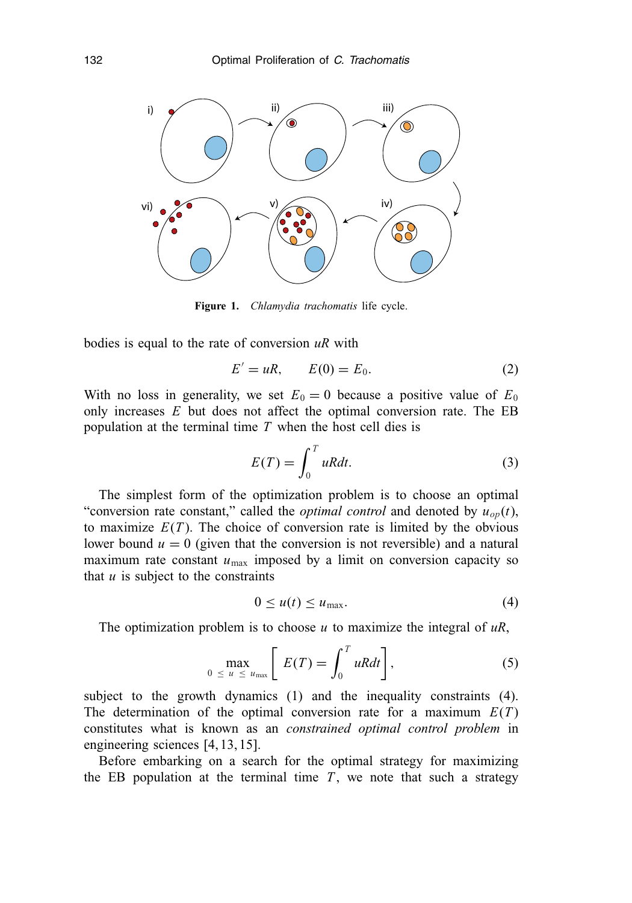

**Figure 1.** *Chlamydia trachomatis* life cycle.

bodies is equal to the rate of conversion *uR* with

$$
E' = uR, \qquad E(0) = E_0. \tag{2}
$$

With no loss in generality, we set  $E_0 = 0$  because a positive value of  $E_0$ only increases *E* but does not affect the optimal conversion rate. The EB population at the terminal time *T* when the host cell dies is

$$
E(T) = \int_0^T uRdt.
$$
 (3)

The simplest form of the optimization problem is to choose an optimal "conversion rate constant," called the *optimal control* and denoted by  $u_{op}(t)$ , to maximize  $E(T)$ . The choice of conversion rate is limited by the obvious lower bound  $u = 0$  (given that the conversion is not reversible) and a natural maximum rate constant  $u_{\text{max}}$  imposed by a limit on conversion capacity so that  $u$  is subject to the constraints

$$
0 \le u(t) \le u_{\text{max}}.\tag{4}
$$

The optimization problem is to choose *u* to maximize the integral of *uR*,

$$
\max_{0 \le u \le u_{\max}} \left[ E(T) = \int_0^T uRdt \right], \tag{5}
$$

subject to the growth dynamics (1) and the inequality constraints (4). The determination of the optimal conversion rate for a maximum  $E(T)$ constitutes what is known as an *constrained optimal control problem* in engineering sciences [4, 13, 15].

Before embarking on a search for the optimal strategy for maximizing the EB population at the terminal time  $T$ , we note that such a strategy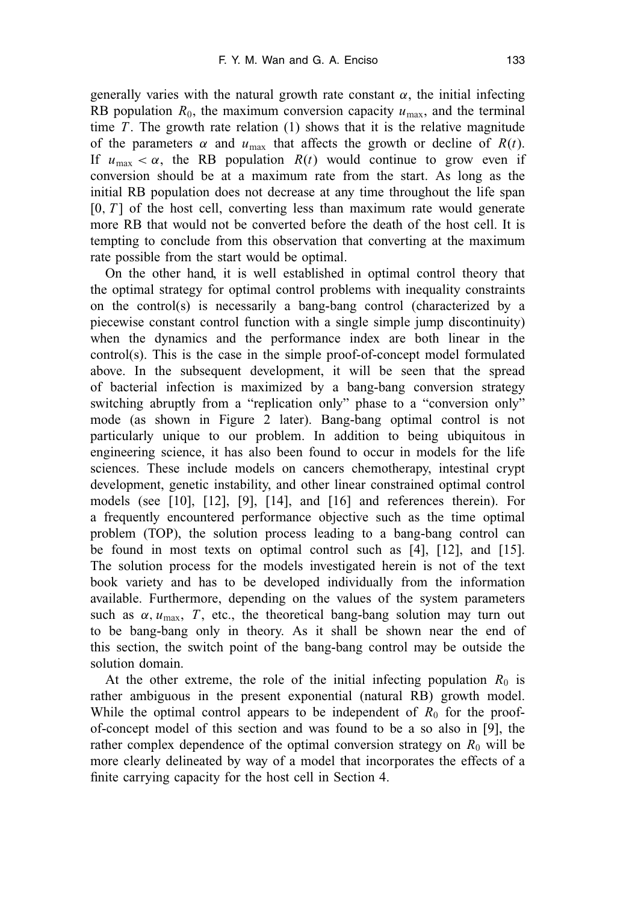generally varies with the natural growth rate constant  $\alpha$ , the initial infecting RB population  $R_0$ , the maximum conversion capacity  $u_{\text{max}}$ , and the terminal time  $T$ . The growth rate relation  $(1)$  shows that it is the relative magnitude of the parameters  $\alpha$  and  $u_{\text{max}}$  that affects the growth or decline of  $R(t)$ . If  $u_{\text{max}} < \alpha$ , the RB population  $R(t)$  would continue to grow even if conversion should be at a maximum rate from the start. As long as the initial RB population does not decrease at any time throughout the life span  $[0, T]$  of the host cell, converting less than maximum rate would generate more RB that would not be converted before the death of the host cell. It is tempting to conclude from this observation that converting at the maximum rate possible from the start would be optimal.

On the other hand, it is well established in optimal control theory that the optimal strategy for optimal control problems with inequality constraints on the control(s) is necessarily a bang-bang control (characterized by a piecewise constant control function with a single simple jump discontinuity) when the dynamics and the performance index are both linear in the control(s). This is the case in the simple proof-of-concept model formulated above. In the subsequent development, it will be seen that the spread of bacterial infection is maximized by a bang-bang conversion strategy switching abruptly from a "replication only" phase to a "conversion only" mode (as shown in Figure 2 later). Bang-bang optimal control is not particularly unique to our problem. In addition to being ubiquitous in engineering science, it has also been found to occur in models for the life sciences. These include models on cancers chemotherapy, intestinal crypt development, genetic instability, and other linear constrained optimal control models (see [10], [12], [9], [14], and [16] and references therein). For a frequently encountered performance objective such as the time optimal problem (TOP), the solution process leading to a bang-bang control can be found in most texts on optimal control such as [4], [12], and [15]. The solution process for the models investigated herein is not of the text book variety and has to be developed individually from the information available. Furthermore, depending on the values of the system parameters such as  $\alpha$ ,  $u_{\text{max}}$ , *T*, etc., the theoretical bang-bang solution may turn out to be bang-bang only in theory. As it shall be shown near the end of this section, the switch point of the bang-bang control may be outside the solution domain.

At the other extreme, the role of the initial infecting population  $R_0$  is rather ambiguous in the present exponential (natural RB) growth model. While the optimal control appears to be independent of  $R_0$  for the proofof-concept model of this section and was found to be a so also in [9], the rather complex dependence of the optimal conversion strategy on  $R_0$  will be more clearly delineated by way of a model that incorporates the effects of a finite carrying capacity for the host cell in Section 4.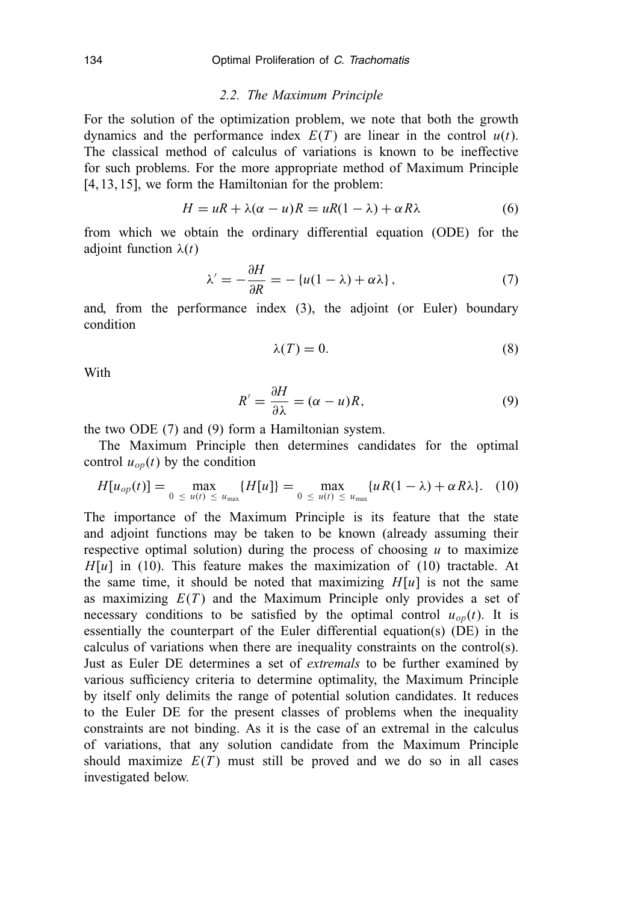#### *2.2. The Maximum Principle*

For the solution of the optimization problem, we note that both the growth dynamics and the performance index  $E(T)$  are linear in the control  $u(t)$ . The classical method of calculus of variations is known to be ineffective for such problems. For the more appropriate method of Maximum Principle [4, 13, 15], we form the Hamiltonian for the problem:

$$
H = uR + \lambda(\alpha - u)R = uR(1 - \lambda) + \alpha R\lambda
$$
 (6)

from which we obtain the ordinary differential equation (ODE) for the adjoint function  $\lambda(t)$ 

$$
\lambda' = -\frac{\partial H}{\partial R} = -\left\{u(1-\lambda) + \alpha\lambda\right\},\tag{7}
$$

and, from the performance index (3), the adjoint (or Euler) boundary condition

$$
\lambda(T) = 0.\tag{8}
$$

With

$$
R' = \frac{\partial H}{\partial \lambda} = (\alpha - u)R, \tag{9}
$$

the two ODE (7) and (9) form a Hamiltonian system.

The Maximum Principle then determines candidates for the optimal control  $u_{op}(t)$  by the condition

$$
H[u_{op}(t)] = \max_{0 \le u(t) \le u_{max}} \{H[u]\} = \max_{0 \le u(t) \le u_{max}} \{uR(1-\lambda) + \alpha R \lambda\}. \quad (10)
$$

The importance of the Maximum Principle is its feature that the state and adjoint functions may be taken to be known (already assuming their respective optimal solution) during the process of choosing *u* to maximize  $H[u]$  in (10). This feature makes the maximization of (10) tractable. At the same time, it should be noted that maximizing  $H[u]$  is not the same as maximizing  $E(T)$  and the Maximum Principle only provides a set of necessary conditions to be satisfied by the optimal control  $u_{op}(t)$ . It is essentially the counterpart of the Euler differential equation(s) (DE) in the calculus of variations when there are inequality constraints on the control(s). Just as Euler DE determines a set of *extremals* to be further examined by various sufficiency criteria to determine optimality, the Maximum Principle by itself only delimits the range of potential solution candidates. It reduces to the Euler DE for the present classes of problems when the inequality constraints are not binding. As it is the case of an extremal in the calculus of variations, that any solution candidate from the Maximum Principle should maximize  $E(T)$  must still be proved and we do so in all cases investigated below.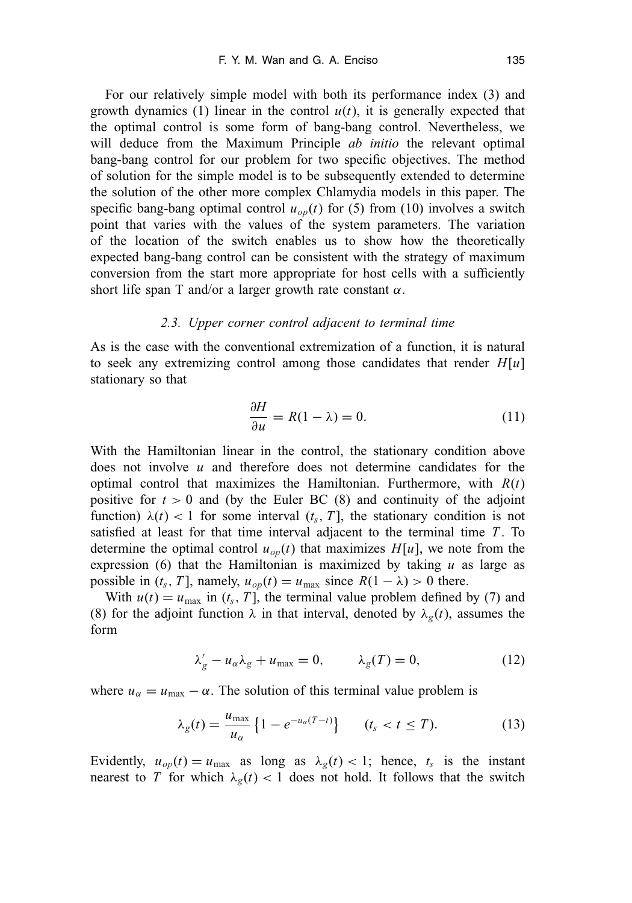For our relatively simple model with both its performance index (3) and growth dynamics (1) linear in the control  $u(t)$ , it is generally expected that the optimal control is some form of bang-bang control. Nevertheless, we will deduce from the Maximum Principle *ab initio* the relevant optimal bang-bang control for our problem for two specific objectives. The method of solution for the simple model is to be subsequently extended to determine the solution of the other more complex Chlamydia models in this paper. The specific bang-bang optimal control  $u_{op}(t)$  for (5) from (10) involves a switch point that varies with the values of the system parameters. The variation of the location of the switch enables us to show how the theoretically expected bang-bang control can be consistent with the strategy of maximum conversion from the start more appropriate for host cells with a sufficiently short life span T and/or a larger growth rate constant  $\alpha$ .

## *2.3. Upper corner control adjacent to terminal time*

As is the case with the conventional extremization of a function, it is natural to seek any extremizing control among those candidates that render *H*[*u*] stationary so that

$$
\frac{\partial H}{\partial u} = R(1 - \lambda) = 0. \tag{11}
$$

With the Hamiltonian linear in the control, the stationary condition above does not involve *u* and therefore does not determine candidates for the optimal control that maximizes the Hamiltonian. Furthermore, with *R*(*t*) positive for  $t > 0$  and (by the Euler BC  $(8)$  and continuity of the adjoint function)  $\lambda(t) < 1$  for some interval  $(t_s, T]$ , the stationary condition is not satisfied at least for that time interval adjacent to the terminal time  $T$ . To determine the optimal control  $u_{op}(t)$  that maximizes  $H[u]$ , we note from the expression  $(6)$  that the Hamiltonian is maximized by taking  $u$  as large as possible in ( $t_s$ , *T*], namely,  $u_{op}(t) = u_{max}$  since  $R(1 - \lambda) > 0$  there.

With  $u(t) = u_{\text{max}}$  in  $(t_s, T)$ , the terminal value problem defined by (7) and (8) for the adjoint function  $\lambda$  in that interval, denoted by  $\lambda_g(t)$ , assumes the form

$$
\lambda'_{g} - u_{\alpha} \lambda_{g} + u_{\text{max}} = 0, \qquad \lambda_{g}(T) = 0, \tag{12}
$$

where  $u_{\alpha} = u_{\text{max}} - \alpha$ . The solution of this terminal value problem is

$$
\lambda_g(t) = \frac{u_{\text{max}}}{u_\alpha} \left\{ 1 - e^{-u_\alpha(T-t)} \right\} \qquad (t_s < t \leq T). \tag{13}
$$

Evidently,  $u_{op}(t) = u_{max}$  as long as  $\lambda_g(t) < 1$ ; hence,  $t_s$  is the instant nearest to *T* for which  $\lambda_g(t) < 1$  does not hold. It follows that the switch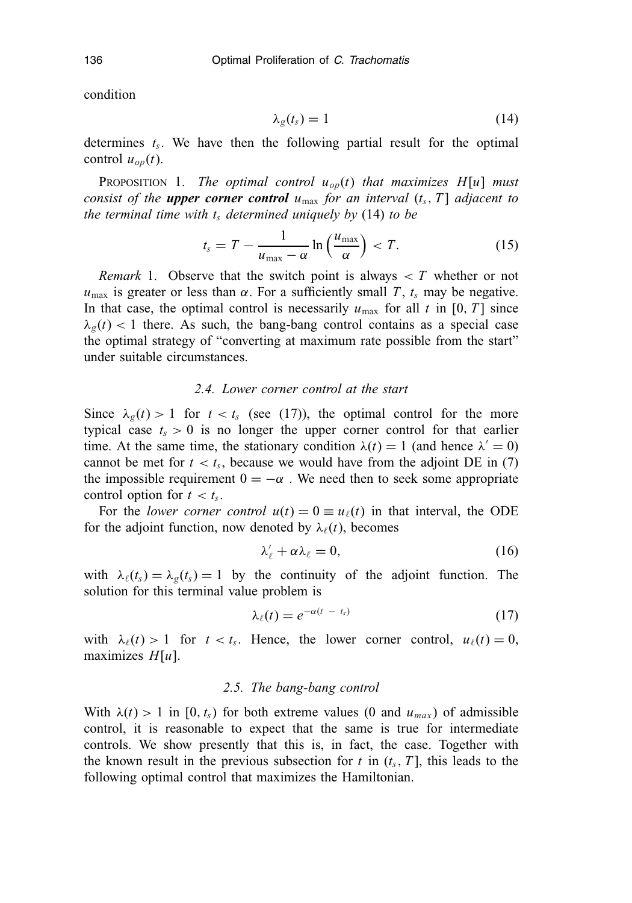condition

$$
\lambda_g(t_s) = 1 \tag{14}
$$

determines  $t_s$ . We have then the following partial result for the optimal control  $u_{op}(t)$ .

PROPOSITION 1. *The optimal control*  $u_{op}(t)$  *that maximizes H*[*u*] *must consist of the upper corner control*  $u_{\text{max}}$  *for an interval*  $(t_s, T)$  *adjacent to the terminal time with*  $t_s$  *determined uniquely by* (14) *to be* 

$$
t_s = T - \frac{1}{u_{\text{max}} - \alpha} \ln\left(\frac{u_{\text{max}}}{\alpha}\right) < T. \tag{15}
$$

*Remark* 1. Observe that the switch point is always  $\langle T \rangle$  whether or not  $u_{\text{max}}$  is greater or less than  $\alpha$ . For a sufficiently small *T*,  $t_s$  may be negative. In that case, the optimal control is necessarily  $u_{\text{max}}$  for all  $t$  in [0, *T*] since  $\lambda_g(t)$  < 1 there. As such, the bang-bang control contains as a special case the optimal strategy of "converting at maximum rate possible from the start" under suitable circumstances.

#### *2.4. Lower corner control at the start*

Since  $\lambda_g(t) > 1$  for  $t < t_s$  (see (17)), the optimal control for the more typical case  $t_s > 0$  is no longer the upper corner control for that earlier time. At the same time, the stationary condition  $\lambda(t) = 1$  (and hence  $\lambda' = 0$ ) cannot be met for  $t < t_s$ , because we would have from the adjoint DE in (7) the impossible requirement  $0 = -\alpha$ . We need then to seek some appropriate control option for  $t < t_s$ .

For the *lower corner control*  $u(t) = 0 \equiv u_{\ell}(t)$  in that interval, the ODE for the adjoint function, now denoted by  $\lambda_{\ell}(t)$ , becomes

$$
\lambda'_{\ell} + \alpha \lambda_{\ell} = 0, \tag{16}
$$

with  $\lambda_{\ell}(t_s) = \lambda_{g}(t_s) = 1$  by the continuity of the adjoint function. The solution for this terminal value problem is

$$
\lambda_{\ell}(t) = e^{-\alpha(t - t_s)} \tag{17}
$$

with  $\lambda_{\ell}(t) > 1$  for  $t < t_s$ . Hence, the lower corner control,  $u_{\ell}(t) = 0$ , maximizes *H*[*u*].

## *2.5. The bang-bang control*

With  $\lambda(t) > 1$  in [0,  $t_s$ ) for both extreme values (0 and  $u_{max}$ ) of admissible control, it is reasonable to expect that the same is true for intermediate controls. We show presently that this is, in fact, the case. Together with the known result in the previous subsection for  $t$  in  $(t_s, T]$ , this leads to the following optimal control that maximizes the Hamiltonian.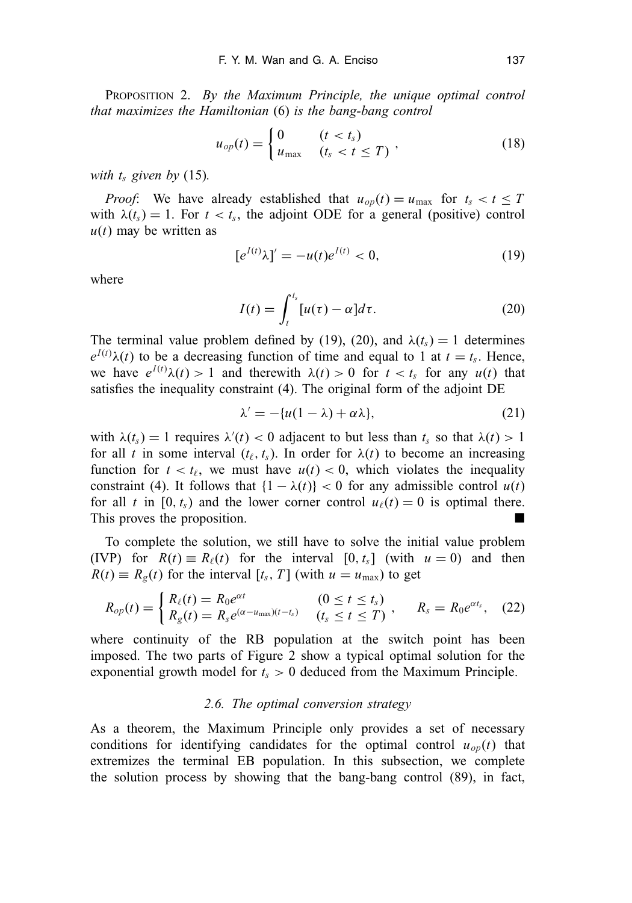PROPOSITION 2. *By the Maximum Principle, the unique optimal control that maximizes the Hamiltonian* (6) *is the bang-bang control*

$$
u_{op}(t) = \begin{cases} 0 & (t < t_s) \\ u_{\text{max}} & (t_s < t \le T) \end{cases} \tag{18}
$$

*with*  $t_s$  *given by* (15).

*Proof*: We have already established that  $u_{op}(t) = u_{max}$  for  $t_s < t \leq T$ with  $\lambda(t_s) = 1$ . For  $t < t_s$ , the adjoint ODE for a general (positive) control  $u(t)$  may be written as

$$
[e^{I(t)}\lambda]' = -u(t)e^{I(t)} < 0,\tag{19}
$$

where

$$
I(t) = \int_{t}^{t_s} [u(\tau) - \alpha] d\tau.
$$
 (20)

The terminal value problem defined by (19), (20), and  $\lambda(t_s) = 1$  determines  $e^{I(t)} \lambda(t)$  to be a decreasing function of time and equal to 1 at  $t = t_s$ . Hence, we have  $e^{I(t)}\lambda(t) > 1$  and therewith  $\lambda(t) > 0$  for  $t < t_s$  for any  $u(t)$  that satisfies the inequality constraint (4). The original form of the adjoint DE

$$
\lambda' = -\{u(1-\lambda) + \alpha\lambda\},\tag{21}
$$

with  $\lambda(t_s) = 1$  requires  $\lambda'(t) < 0$  adjacent to but less than  $t_s$  so that  $\lambda(t) > 1$ for all *t* in some interval  $(t_{\ell}, t_s)$ . In order for  $\lambda(t)$  to become an increasing function for  $t < t_\ell$ , we must have  $u(t) < 0$ , which violates the inequality constraint (4). It follows that  $\{1 - \lambda(t)\} < 0$  for any admissible control  $u(t)$ for all *t* in [0,  $t_s$ ) and the lower corner control  $u_{\ell}(t) = 0$  is optimal there. This proves the proposition.

To complete the solution, we still have to solve the initial value problem (IVP) for  $R(t) \equiv R_{\ell}(t)$  for the interval  $[0, t_s]$  (with  $u = 0$ ) and then  $R(t) \equiv R_g(t)$  for the interval  $[t_s, T]$  (with  $u = u_{\text{max}}$ ) to get

$$
R_{op}(t) = \begin{cases} R_{\ell}(t) = R_0 e^{\alpha t} & (0 \le t \le t_s) \\ R_g(t) = R_s e^{(\alpha - u_{\text{max}})(t - t_s)} & (t_s \le t \le T) \end{cases}, \quad R_s = R_0 e^{\alpha t_s}, \quad (22)
$$

where continuity of the RB population at the switch point has been imposed. The two parts of Figure 2 show a typical optimal solution for the exponential growth model for  $t_s > 0$  deduced from the Maximum Principle.

#### *2.6. The optimal conversion strategy*

As a theorem, the Maximum Principle only provides a set of necessary conditions for identifying candidates for the optimal control  $u_{op}(t)$  that extremizes the terminal EB population. In this subsection, we complete the solution process by showing that the bang-bang control (89), in fact,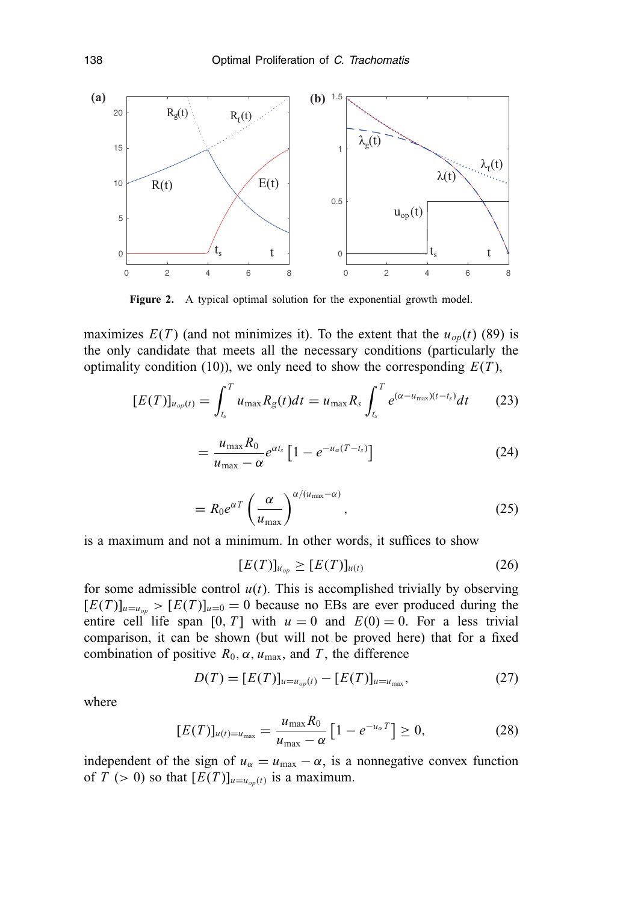

Figure 2. A typical optimal solution for the exponential growth model.

maximizes  $E(T)$  (and not minimizes it). To the extent that the  $u_{op}(t)$  (89) is the only candidate that meets all the necessary conditions (particularly the optimality condition (10)), we only need to show the corresponding  $E(T)$ ,

$$
[E(T)]_{u_{op}(t)} = \int_{t_s}^{T} u_{\text{max}} R_g(t) dt = u_{\text{max}} R_s \int_{t_s}^{T} e^{(\alpha - u_{\text{max}})(t - t_s)} dt \qquad (23)
$$

$$
=\frac{u_{\max}R_0}{u_{\max}-\alpha}e^{\alpha t_s}\left[1-e^{-u_{\alpha}(T-t_s)}\right]
$$
\n(24)

$$
= R_0 e^{\alpha T} \left(\frac{\alpha}{u_{\text{max}}}\right)^{\alpha/(u_{\text{max}}-\alpha)}, \qquad (25)
$$

is a maximum and not a minimum. In other words, it suffices to show

$$
[E(T)]_{u_{op}} \ge [E(T)]_{u(t)}
$$
\n(26)

for some admissible control  $u(t)$ . This is accomplished trivially by observing  $[E(T)]_{u=u_{op}}$  >  $[E(T)]_{u=0}$  = 0 because no EBs are ever produced during the entire cell life span  $[0, T]$  with  $u = 0$  and  $E(0) = 0$ . For a less trivial comparison, it can be shown (but will not be proved here) that for a fixed combination of positive  $R_0$ ,  $\alpha$ ,  $u_{\text{max}}$ , and  $T$ , the difference

$$
D(T) = [E(T)]_{u=u_{op}(t)} - [E(T)]_{u=u_{max}},
$$
\n(27)

where

$$
[E(T)]_{u(t)=u_{\text{max}}} = \frac{u_{\text{max}}R_0}{u_{\text{max}} - \alpha} \left[1 - e^{-u_{\alpha}T}\right] \ge 0, \tag{28}
$$

independent of the sign of  $u_{\alpha} = u_{\text{max}} - \alpha$ , is a nonnegative convex function of *T* (> 0) so that  $[E(T)]_{u=u_{op}(t)}$  is a maximum.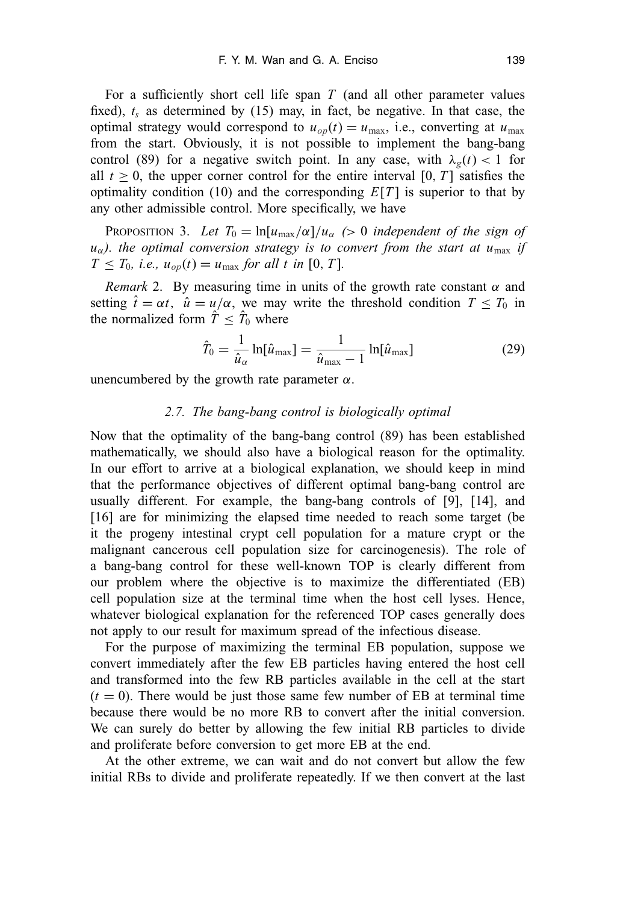For a sufficiently short cell life span *T* (and all other parameter values fixed),  $t_s$  as determined by (15) may, in fact, be negative. In that case, the optimal strategy would correspond to  $u_{op}(t) = u_{max}$ , i.e., converting at  $u_{max}$ from the start. Obviously, it is not possible to implement the bang-bang control (89) for a negative switch point. In any case, with  $\lambda_g(t) < 1$  for all  $t \geq 0$ , the upper corner control for the entire interval [0, *T*] satisfies the optimality condition (10) and the corresponding  $E[T]$  is superior to that by any other admissible control. More specifically, we have

PROPOSITION 3. Let  $T_0 = \ln[u_{\text{max}}/\alpha]/u_\alpha$  (> 0 *independent of the sign of*  $u_{\alpha}$ ). the optimal conversion strategy is to convert from the start at  $u_{\text{max}}$  *if*  $T \leq T_0$ , *i.e.*,  $u_{op}(t) = u_{max}$  *for all t in* [0, *T*].

*Remark* 2. By measuring time in units of the growth rate constant  $\alpha$  and setting  $\hat{t} = \alpha t$ ,  $\hat{u} = u/\alpha$ , we may write the threshold condition  $T \leq T_0$  in the normalized form  $\hat{T} \leq \hat{T}_0$  where

$$
\hat{T}_0 = \frac{1}{\hat{u}_{\alpha}} \ln[\hat{u}_{\text{max}}] = \frac{1}{\hat{u}_{\text{max}} - 1} \ln[\hat{u}_{\text{max}}]
$$
\n(29)

unencumbered by the growth rate parameter  $α$ .

## *2.7. The bang-bang control is biologically optimal*

Now that the optimality of the bang-bang control (89) has been established mathematically, we should also have a biological reason for the optimality. In our effort to arrive at a biological explanation, we should keep in mind that the performance objectives of different optimal bang-bang control are usually different. For example, the bang-bang controls of [9], [14], and [16] are for minimizing the elapsed time needed to reach some target (be) it the progeny intestinal crypt cell population for a mature crypt or the malignant cancerous cell population size for carcinogenesis). The role of a bang-bang control for these well-known TOP is clearly different from our problem where the objective is to maximize the differentiated (EB) cell population size at the terminal time when the host cell lyses. Hence, whatever biological explanation for the referenced TOP cases generally does not apply to our result for maximum spread of the infectious disease.

For the purpose of maximizing the terminal EB population, suppose we convert immediately after the few EB particles having entered the host cell and transformed into the few RB particles available in the cell at the start  $(t = 0)$ . There would be just those same few number of EB at terminal time because there would be no more RB to convert after the initial conversion. We can surely do better by allowing the few initial RB particles to divide and proliferate before conversion to get more EB at the end.

At the other extreme, we can wait and do not convert but allow the few initial RBs to divide and proliferate repeatedly. If we then convert at the last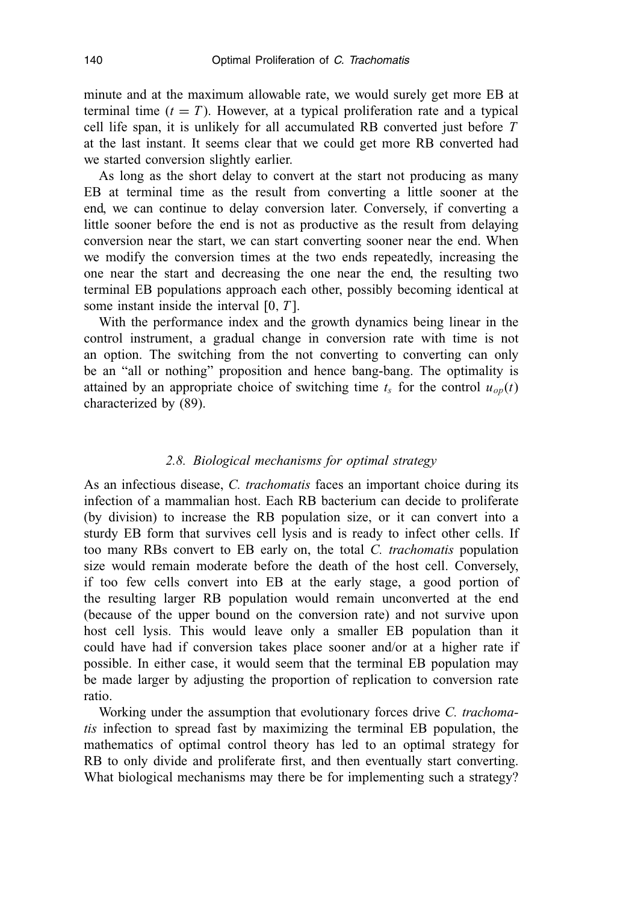minute and at the maximum allowable rate, we would surely get more EB at terminal time  $(t = T)$ . However, at a typical proliferation rate and a typical cell life span, it is unlikely for all accumulated RB converted just before *T* at the last instant. It seems clear that we could get more RB converted had we started conversion slightly earlier.

As long as the short delay to convert at the start not producing as many EB at terminal time as the result from converting a little sooner at the end, we can continue to delay conversion later. Conversely, if converting a little sooner before the end is not as productive as the result from delaying conversion near the start, we can start converting sooner near the end. When we modify the conversion times at the two ends repeatedly, increasing the one near the start and decreasing the one near the end, the resulting two terminal EB populations approach each other, possibly becoming identical at some instant inside the interval [0, *T* ].

With the performance index and the growth dynamics being linear in the control instrument, a gradual change in conversion rate with time is not an option. The switching from the not converting to converting can only be an "all or nothing" proposition and hence bang-bang. The optimality is attained by an appropriate choice of switching time  $t_s$  for the control  $u_{op}(t)$ characterized by (89).

## *2.8. Biological mechanisms for optimal strategy*

As an infectious disease, *C. trachomatis* faces an important choice during its infection of a mammalian host. Each RB bacterium can decide to proliferate (by division) to increase the RB population size, or it can convert into a sturdy EB form that survives cell lysis and is ready to infect other cells. If too many RBs convert to EB early on, the total *C. trachomatis* population size would remain moderate before the death of the host cell. Conversely, if too few cells convert into EB at the early stage, a good portion of the resulting larger RB population would remain unconverted at the end (because of the upper bound on the conversion rate) and not survive upon host cell lysis. This would leave only a smaller EB population than it could have had if conversion takes place sooner and/or at a higher rate if possible. In either case, it would seem that the terminal EB population may be made larger by adjusting the proportion of replication to conversion rate ratio.

Working under the assumption that evolutionary forces drive *C. trachomatis* infection to spread fast by maximizing the terminal EB population, the mathematics of optimal control theory has led to an optimal strategy for RB to only divide and proliferate first, and then eventually start converting. What biological mechanisms may there be for implementing such a strategy?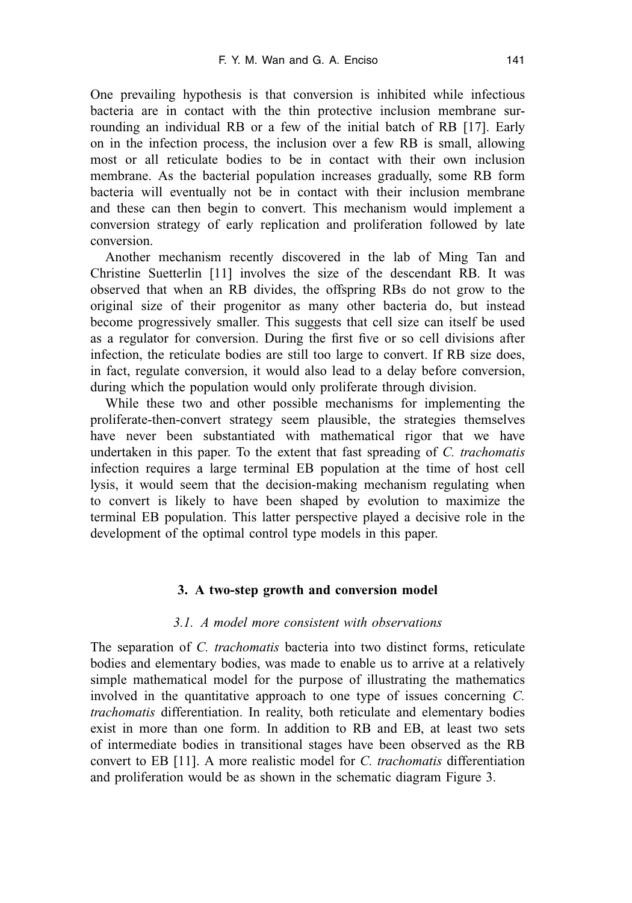One prevailing hypothesis is that conversion is inhibited while infectious bacteria are in contact with the thin protective inclusion membrane surrounding an individual RB or a few of the initial batch of RB [17]. Early on in the infection process, the inclusion over a few RB is small, allowing most or all reticulate bodies to be in contact with their own inclusion membrane. As the bacterial population increases gradually, some RB form bacteria will eventually not be in contact with their inclusion membrane and these can then begin to convert. This mechanism would implement a conversion strategy of early replication and proliferation followed by late conversion.

Another mechanism recently discovered in the lab of Ming Tan and Christine Suetterlin [11] involves the size of the descendant RB. It was observed that when an RB divides, the offspring RBs do not grow to the original size of their progenitor as many other bacteria do, but instead become progressively smaller. This suggests that cell size can itself be used as a regulator for conversion. During the first five or so cell divisions after infection, the reticulate bodies are still too large to convert. If RB size does, in fact, regulate conversion, it would also lead to a delay before conversion, during which the population would only proliferate through division.

While these two and other possible mechanisms for implementing the proliferate-then-convert strategy seem plausible, the strategies themselves have never been substantiated with mathematical rigor that we have undertaken in this paper. To the extent that fast spreading of *C. trachomatis* infection requires a large terminal EB population at the time of host cell lysis, it would seem that the decision-making mechanism regulating when to convert is likely to have been shaped by evolution to maximize the terminal EB population. This latter perspective played a decisive role in the development of the optimal control type models in this paper.

## **3. A two-step growth and conversion model**

## *3.1. A model more consistent with observations*

The separation of *C. trachomatis* bacteria into two distinct forms, reticulate bodies and elementary bodies, was made to enable us to arrive at a relatively simple mathematical model for the purpose of illustrating the mathematics involved in the quantitative approach to one type of issues concerning *C. trachomatis* differentiation. In reality, both reticulate and elementary bodies exist in more than one form. In addition to RB and EB, at least two sets of intermediate bodies in transitional stages have been observed as the RB convert to EB [11]. A more realistic model for *C. trachomatis* differentiation and proliferation would be as shown in the schematic diagram Figure 3.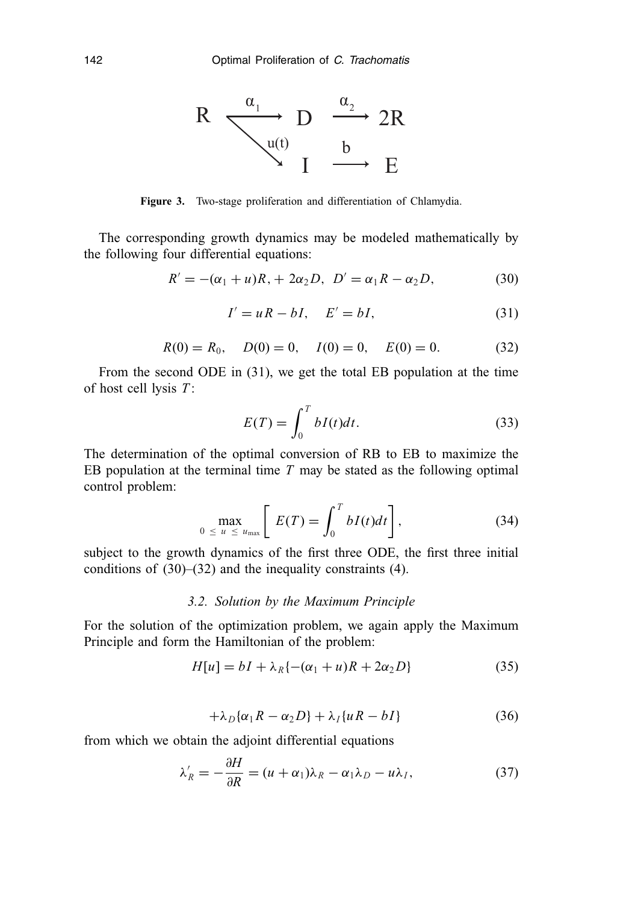

**Figure 3.** Two-stage proliferation and differentiation of Chlamydia.

The corresponding growth dynamics may be modeled mathematically by the following four differential equations:

$$
R' = -(\alpha_1 + u)R_1 + 2\alpha_2 D, \ D' = \alpha_1 R - \alpha_2 D,
$$
 (30)

$$
I' = uR - bI, \quad E' = bI,\tag{31}
$$

$$
R(0) = R_0, \quad D(0) = 0, \quad I(0) = 0, \quad E(0) = 0.
$$
 (32)

From the second ODE in (31), we get the total EB population at the time of host cell lysis *T* :

$$
E(T) = \int_0^T bI(t)dt.
$$
 (33)

The determination of the optimal conversion of RB to EB to maximize the EB population at the terminal time *T* may be stated as the following optimal control problem:

$$
\max_{0 \le u \le u_{\max}} \left[ E(T) = \int_0^T bI(t)dt \right], \tag{34}
$$

subject to the growth dynamics of the first three ODE, the first three initial conditions of (30)–(32) and the inequality constraints (4).

## *3.2. Solution by the Maximum Principle*

For the solution of the optimization problem, we again apply the Maximum Principle and form the Hamiltonian of the problem:

$$
H[u] = bI + \lambda_R \{-(\alpha_1 + u)R + 2\alpha_2 D\}
$$
\n
$$
(35)
$$

$$
+\lambda_D\{\alpha_1R-\alpha_2D\}+\lambda_I\{uR-bI\}\tag{36}
$$

from which we obtain the adjoint differential equations

$$
\lambda_R' = -\frac{\partial H}{\partial R} = (u + \alpha_1)\lambda_R - \alpha_1\lambda_D - u\lambda_I,
$$
\n(37)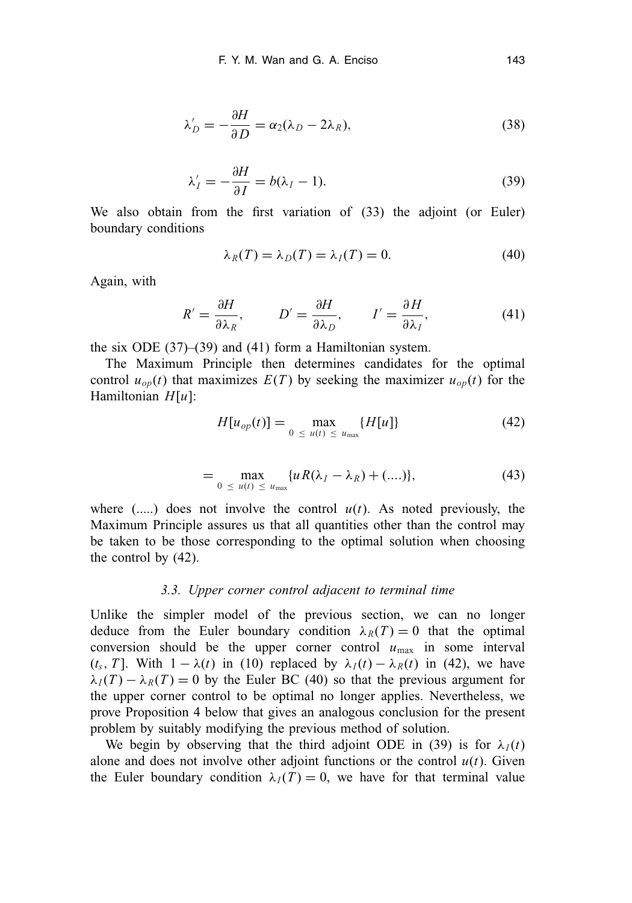$$
\lambda'_D = -\frac{\partial H}{\partial D} = \alpha_2 (\lambda_D - 2\lambda_R),\tag{38}
$$

$$
\lambda'_I = -\frac{\partial H}{\partial I} = b(\lambda_I - 1). \tag{39}
$$

We also obtain from the first variation of (33) the adjoint (or Euler) boundary conditions

$$
\lambda_R(T) = \lambda_D(T) = \lambda_I(T) = 0. \tag{40}
$$

Again, with

$$
R' = \frac{\partial H}{\partial \lambda_R}, \qquad D' = \frac{\partial H}{\partial \lambda_D}, \qquad I' = \frac{\partial H}{\partial \lambda_I}, \tag{41}
$$

the six ODE (37)–(39) and (41) form a Hamiltonian system.

The Maximum Principle then determines candidates for the optimal control  $u_{op}(t)$  that maximizes  $E(T)$  by seeking the maximizer  $u_{op}(t)$  for the Hamiltonian *H*[*u*]:

$$
H[u_{op}(t)] = \max_{0 \le u(t) \le u_{max}} \{H[u]\} \tag{42}
$$

$$
= \max_{0 \le u(t) \le u_{\max}} \{ u R(\lambda_I - \lambda_R) + (\ldots) \},
$$
 (43)

where  $(...)$  does not involve the control  $u(t)$ . As noted previously, the Maximum Principle assures us that all quantities other than the control may be taken to be those corresponding to the optimal solution when choosing the control by (42).

#### *3.3. Upper corner control adjacent to terminal time*

Unlike the simpler model of the previous section, we can no longer deduce from the Euler boundary condition  $\lambda_R(T) = 0$  that the optimal conversion should be the upper corner control  $u_{\text{max}}$  in some interval (*t<sub>s</sub>*, *T*). With  $1 - \lambda(t)$  in (10) replaced by  $\lambda_I(t) - \lambda_R(t)$  in (42), we have  $\lambda_I(T) - \lambda_R(T) = 0$  by the Euler BC (40) so that the previous argument for the upper corner control to be optimal no longer applies. Nevertheless, we prove Proposition 4 below that gives an analogous conclusion for the present problem by suitably modifying the previous method of solution.

We begin by observing that the third adjoint ODE in (39) is for  $\lambda_I(t)$ alone and does not involve other adjoint functions or the control  $u(t)$ . Given the Euler boundary condition  $\lambda_I(T) = 0$ , we have for that terminal value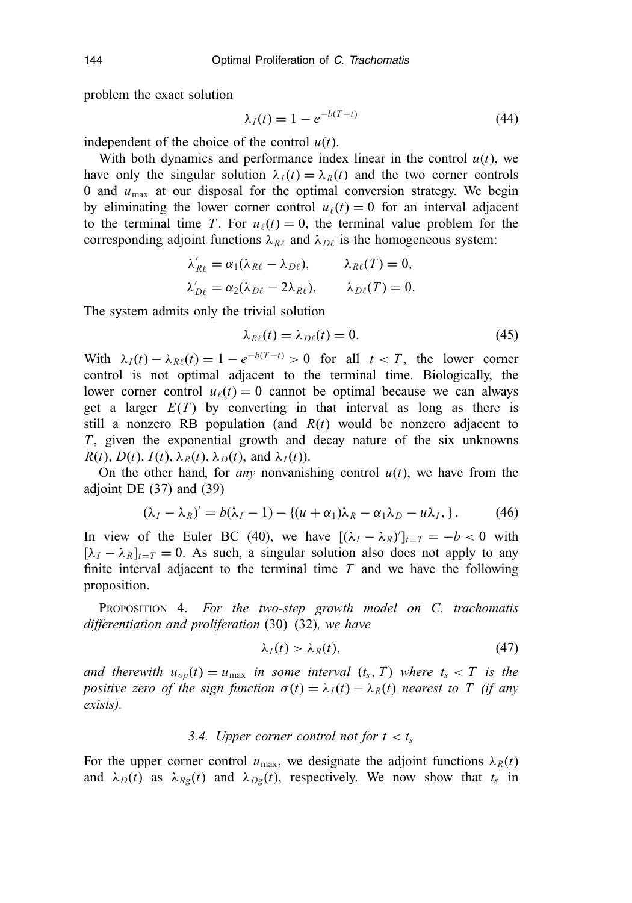problem the exact solution

$$
\lambda_I(t) = 1 - e^{-b(T-t)} \tag{44}
$$

independent of the choice of the control  $u(t)$ .

With both dynamics and performance index linear in the control  $u(t)$ , we have only the singular solution  $\lambda_I(t) = \lambda_R(t)$  and the two corner controls 0 and  $u_{\text{max}}$  at our disposal for the optimal conversion strategy. We begin by eliminating the lower corner control  $u_{\ell}(t) = 0$  for an interval adjacent to the terminal time *T*. For  $u_{\ell}(t) = 0$ , the terminal value problem for the corresponding adjoint functions  $\lambda_{R\ell}$  and  $\lambda_{D\ell}$  is the homogeneous system:

$$
\lambda'_{R\ell} = \alpha_1(\lambda_{R\ell} - \lambda_{D\ell}), \qquad \lambda_{R\ell}(T) = 0,
$$
  

$$
\lambda'_{D\ell} = \alpha_2(\lambda_{D\ell} - 2\lambda_{R\ell}), \qquad \lambda_{D\ell}(T) = 0.
$$

The system admits only the trivial solution

$$
\lambda_{R\ell}(t) = \lambda_{D\ell}(t) = 0. \tag{45}
$$

With  $\lambda_I(t) - \lambda_{R\ell}(t) = 1 - e^{-b(T-t)} > 0$  for all  $t < T$ , the lower corner control is not optimal adjacent to the terminal time. Biologically, the lower corner control  $u_{\ell}(t) = 0$  cannot be optimal because we can always get a larger  $E(T)$  by converting in that interval as long as there is still a nonzero RB population (and  $R(t)$  would be nonzero adjacent to *T*, given the exponential growth and decay nature of the six unknowns  $R(t)$ ,  $D(t)$ ,  $I(t)$ ,  $\lambda_R(t)$ ,  $\lambda_D(t)$ , and  $\lambda_I(t)$ ).

On the other hand, for *any* nonvanishing control  $u(t)$ , we have from the adjoint DE  $(37)$  and  $(39)$ 

$$
(\lambda_I - \lambda_R)' = b(\lambda_I - 1) - \{(u + \alpha_1)\lambda_R - \alpha_1\lambda_D - u\lambda_I\}.
$$
 (46)

In view of the Euler BC (40), we have  $[(\lambda_I - \lambda_R)']_{t=T} = -b < 0$  with  $[\lambda_I - \lambda_R]_{t=T} = 0$ . As such, a singular solution also does not apply to any finite interval adjacent to the terminal time *T* and we have the following proposition.

PROPOSITION 4. *For the two-step growth model on C. trachomatis differentiation and proliferation* (30)*–*(32)*, we have*

$$
\lambda_I(t) > \lambda_R(t),\tag{47}
$$

*and therewith*  $u_{op}(t) = u_{max}$  *in some interval*  $(t_s, T)$  *where*  $t_s < T$  *is the positive zero of the sign function*  $\sigma(t) = \lambda_I(t) - \lambda_R(t)$  *nearest to T* (*if any exists).*

## *3.4. Upper corner control not for*  $t < t_s$

For the upper corner control  $u_{\text{max}}$ , we designate the adjoint functions  $\lambda_R(t)$ and  $\lambda_D(t)$  as  $\lambda_{Rg}(t)$  and  $\lambda_{Dg}(t)$ , respectively. We now show that  $t_s$  in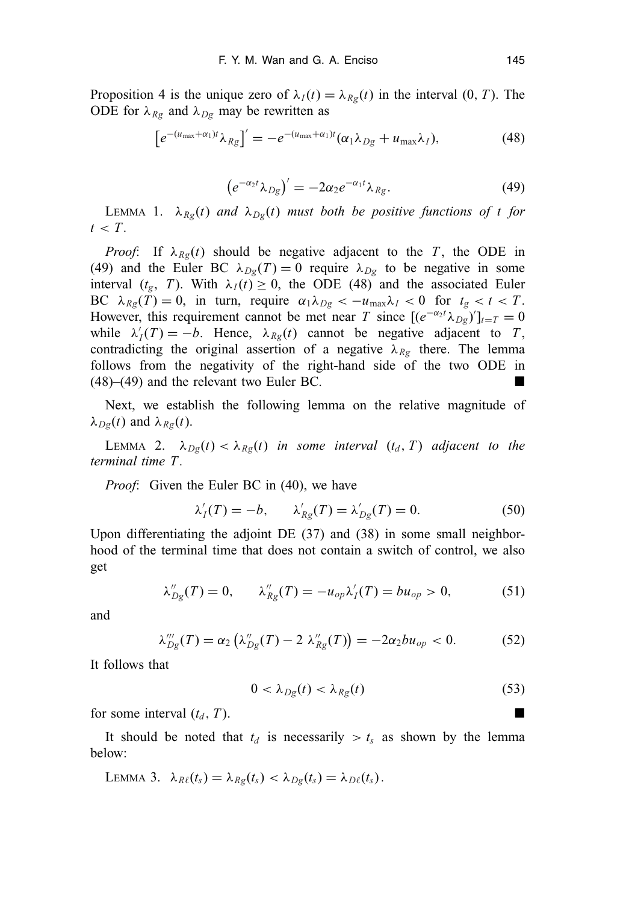Proposition 4 is the unique zero of  $\lambda_I(t) = \lambda_{Rg}(t)$  in the interval  $(0, T)$ . The ODE for  $\lambda_{Rg}$  and  $\lambda_{Dg}$  may be rewritten as

$$
\left[e^{-(u_{\max}+\alpha_1)t}\lambda_{Rg}\right]'=-e^{-(u_{\max}+\alpha_1)t}(\alpha_1\lambda_{Dg}+u_{\max}\lambda_I),\tag{48}
$$

$$
\left(e^{-\alpha_2 t}\lambda_{Dg}\right)' = -2\alpha_2 e^{-\alpha_1 t}\lambda_{Rg}.\tag{49}
$$

LEMMA 1.  $\lambda_{Rg}(t)$  *and*  $\lambda_{Dg}(t)$  *must both be positive functions of t for*  $t < T$ .

*Proof*: If  $\lambda_{Rg}(t)$  should be negative adjacent to the *T*, the ODE in (49) and the Euler BC  $\lambda_{Dg}(T) = 0$  require  $\lambda_{Dg}$  to be negative in some interval  $(t_g, T)$ . With  $\lambda_I(t) \geq 0$ , the ODE (48) and the associated Euler BC  $\lambda_{Rg}(T) = 0$ , in turn, require  $\alpha_1 \lambda_{Dg} < -u_{\text{max}} \lambda_I < 0$  for  $t_g < t < T$ . However, this requirement cannot be met near *T* since  $[(e^{-\alpha_2 t} \lambda_{Dg})']_{t=T} = 0$ while  $\lambda'_I(T) = -b$ . Hence,  $\lambda_{Rg}(t)$  cannot be negative adjacent to *T*, contradicting the original assertion of a negative  $\lambda_{Rg}$  there. The lemma follows from the negativity of the right-hand side of the two ODE in  $(48)$ – $(49)$  and the relevant two Euler BC.

Next, we establish the following lemma on the relative magnitude of λ*Dg*(*t*) and λ*Rg*(*t*).

LEMMA 2.  $\lambda_{Dg}(t) < \lambda_{Rg}(t)$  *in some interval*  $(t_d, T)$  *adjacent to the terminal time T .*

*Proof*: Given the Euler BC in (40), we have

$$
\lambda'_I(T) = -b, \qquad \lambda'_{Rg}(T) = \lambda'_{Dg}(T) = 0. \tag{50}
$$

Upon differentiating the adjoint DE (37) and (38) in some small neighborhood of the terminal time that does not contain a switch of control, we also get

$$
\lambda''_{Dg}(T) = 0, \qquad \lambda''_{Rg}(T) = -u_{op}\lambda'_I(T) = bu_{op} > 0,
$$
 (51)

and

$$
\lambda_{Dg}'''(T) = \alpha_2 \left( \lambda_{Dg}''(T) - 2 \lambda_{Rg}''(T) \right) = -2\alpha_2 bu_{op} < 0. \tag{52}
$$

It follows that

$$
0 < \lambda_{Dg}(t) < \lambda_{Rg}(t) \tag{53}
$$

for some interval  $(t_d, T)$ .

It should be noted that  $t_d$  is necessarily  $>t_s$  as shown by the lemma below:

LEMMA 3.  $\lambda_{R\ell}(t_s) = \lambda_{Rg}(t_s) < \lambda_{Dg}(t_s) = \lambda_{D\ell}(t_s)$ .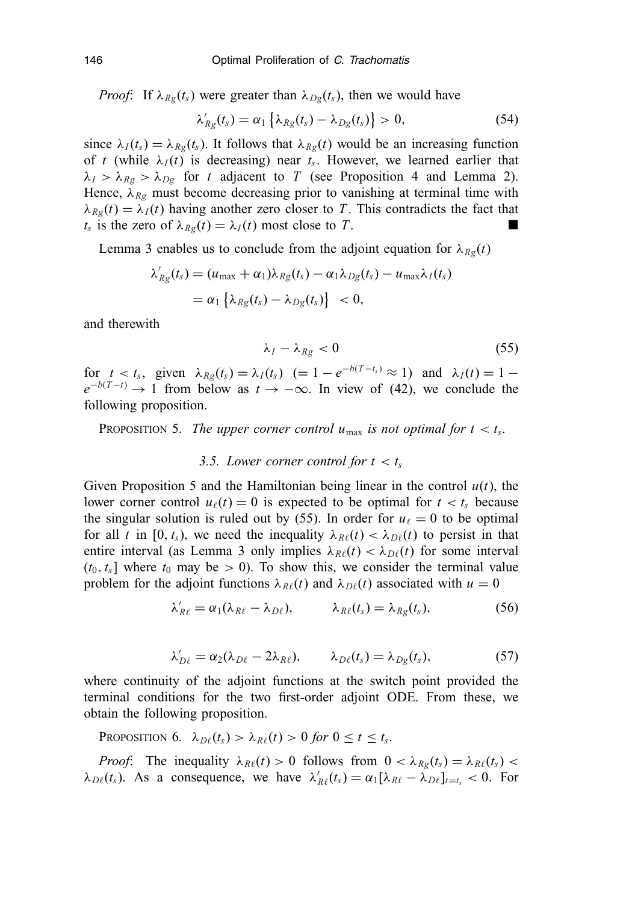*Proof*: If  $\lambda_{Rg}(t_s)$  were greater than  $\lambda_{Dg}(t_s)$ , then we would have

$$
\lambda'_{Rg}(t_s) = \alpha_1 \left\{ \lambda_{Rg}(t_s) - \lambda_{Dg}(t_s) \right\} > 0, \tag{54}
$$

since  $\lambda_I(t_s) = \lambda_{Rg}(t_s)$ . It follows that  $\lambda_{Rg}(t)$  would be an increasing function of *t* (while  $\lambda_I(t)$  is decreasing) near  $t_s$ . However, we learned earlier that  $\lambda_I > \lambda_{Rg} > \lambda_{Dg}$  for *t* adjacent to *T* (see Proposition 4 and Lemma 2). Hence,  $\lambda_{Rg}$  must become decreasing prior to vanishing at terminal time with  $\lambda_{Rg}(t) = \lambda_I(t)$  having another zero closer to *T*. This contradicts the fact that *t<sub>s</sub>* is the zero of  $\lambda_{Rg}(t) = \lambda_I(t)$  most close to *T*.

Lemma 3 enables us to conclude from the adjoint equation for  $\lambda_{Rg}(t)$ 

$$
\lambda'_{Rg}(t_s) = (u_{\max} + \alpha_1)\lambda_{Rg}(t_s) - \alpha_1\lambda_{Dg}(t_s) - u_{\max}\lambda_I(t_s)
$$
  
=  $\alpha_1 \left\{ \lambda_{Rg}(t_s) - \lambda_{Dg}(t_s) \right\} < 0$ ,

and therewith

$$
\lambda_I - \lambda_{Rg} < 0 \tag{55}
$$

for  $t < t_s$ , given  $\lambda_{Rg}(t_s) = \lambda_I(t_s)$  (= 1 –  $e^{-b(T-t_s)} \approx 1$ ) and  $\lambda_I(t) = 1$  –  $e^{-b(T-t)} \to 1$  from below as  $t \to -\infty$ . In view of (42), we conclude the following proposition.

PROPOSITION 5. *The upper corner control*  $u_{\text{max}}$  *is not optimal for*  $t < t_s$ *.* 

## *3.5. Lower corner control for*  $t < t_s$

Given Proposition 5 and the Hamiltonian being linear in the control  $u(t)$ , the lower corner control  $u_{\ell}(t) = 0$  is expected to be optimal for  $t < t_s$  because the singular solution is ruled out by (55). In order for  $u_{\ell} = 0$  to be optimal for all *t* in [0, *t<sub>s</sub>*), we need the inequality  $\lambda_{R\ell}(t) < \lambda_{D\ell}(t)$  to persist in that entire interval (as Lemma 3 only implies  $\lambda_{R\ell}(t) < \lambda_{D\ell}(t)$  for some interval  $(t_0, t_s]$  where  $t_0$  may be  $> 0$ ). To show this, we consider the terminal value problem for the adjoint functions  $\lambda_{R\ell}(t)$  and  $\lambda_{D\ell}(t)$  associated with  $u = 0$ 

$$
\lambda'_{R\ell} = \alpha_1(\lambda_{R\ell} - \lambda_{D\ell}), \qquad \lambda_{R\ell}(t_s) = \lambda_{Rg}(t_s), \qquad (56)
$$

$$
\lambda'_{D\ell} = \alpha_2(\lambda_{D\ell} - 2\lambda_{R\ell}), \qquad \lambda_{D\ell}(t_s) = \lambda_{Dg}(t_s), \tag{57}
$$

where continuity of the adjoint functions at the switch point provided the terminal conditions for the two first-order adjoint ODE. From these, we obtain the following proposition.

PROPOSITION 6.  $\lambda_{D\ell}(t_s) > \lambda_{R\ell}(t) > 0$  for  $0 \le t \le t_s$ .

*Proof*: The inequality  $\lambda_{R\ell}(t) > 0$  follows from  $0 < \lambda_{R\ell}(t_s) = \lambda_{R\ell}(t_s)$  $\lambda_{D\ell}(t_s)$ . As a consequence, we have  $\lambda'_{R\ell}(t_s) = \alpha_1 [\lambda_{R\ell} - \lambda_{D\ell}]_{t=t_s} < 0$ . For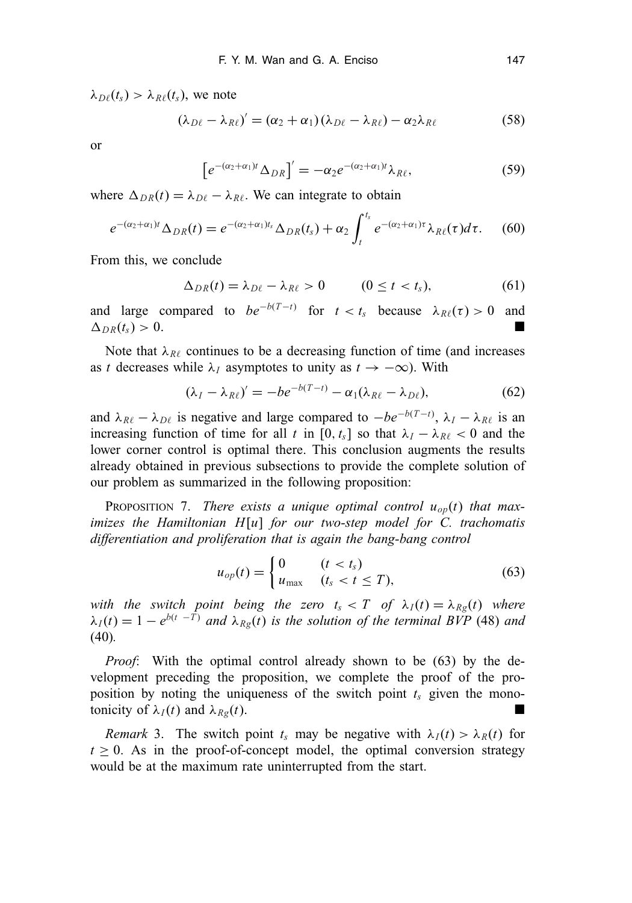$\lambda_{D\ell}(t_s) > \lambda_{R\ell}(t_s)$ , we note

$$
(\lambda_{D\ell} - \lambda_{R\ell})' = (\alpha_2 + \alpha_1)(\lambda_{D\ell} - \lambda_{R\ell}) - \alpha_2 \lambda_{R\ell}
$$
 (58)

or

$$
\left[e^{-(\alpha_2+\alpha_1)t}\Delta_{DR}\right]'=-\alpha_2e^{-(\alpha_2+\alpha_1)t}\lambda_{R\ell},\tag{59}
$$

where  $\Delta_{DR}(t) = \lambda_{D\ell} - \lambda_{R\ell}$ . We can integrate to obtain

$$
e^{-(\alpha_2+\alpha_1)t}\Delta_{DR}(t)=e^{-(\alpha_2+\alpha_1)t_s}\Delta_{DR}(t_s)+\alpha_2\int_t^{t_s}e^{-(\alpha_2+\alpha_1)\tau}\lambda_{R\ell}(\tau)d\tau.
$$
 (60)

From this, we conclude

$$
\Delta_{DR}(t) = \lambda_{D\ell} - \lambda_{R\ell} > 0 \qquad (0 \le t < t_s), \tag{61}
$$

and large compared to  $be^{-b(T-t)}$  for  $t < t_s$  because  $\lambda_{R\ell}(\tau) > 0$  and  $\Delta_{DR}(t_s) > 0.$ 

Note that  $\lambda_{R\ell}$  continues to be a decreasing function of time (and increases as *t* decreases while  $\lambda_I$  asymptotes to unity as  $t \to -\infty$ ). With

$$
(\lambda_I - \lambda_{R\ell})' = -be^{-b(T-t)} - \alpha_1(\lambda_{R\ell} - \lambda_{D\ell}),
$$
\n(62)

and  $\lambda_{R\ell} - \lambda_{D\ell}$  is negative and large compared to  $-be^{-b(T-t)}$ ,  $\lambda_I - \lambda_{R\ell}$  is an increasing function of time for all *t* in [0,  $t_s$ ] so that  $\lambda_I - \lambda_{R\ell} < 0$  and the lower corner control is optimal there. This conclusion augments the results already obtained in previous subsections to provide the complete solution of our problem as summarized in the following proposition:

PROPOSITION 7. *There exists a unique optimal control uop*(*t*) *that maximizes the Hamiltonian H*[*u*] *for our two-step model for C. trachomatis differentiation and proliferation that is again the bang-bang control*

$$
u_{op}(t) = \begin{cases} 0 & (t < t_s) \\ u_{\text{max}} & (t_s < t \le T), \end{cases} \tag{63}
$$

*with the switch point being the zero*  $t_s < T$  *of*  $\lambda_I(t) = \lambda_{Rg}(t)$  *where*  $\lambda_I(t) = 1 - e^{b(t - \overline{T})}$  *and*  $\lambda_{Rg}(t)$  *is the solution of the terminal BVP* (48) *and* (40)*.*

*Proof*: With the optimal control already shown to be (63) by the development preceding the proposition, we complete the proof of the proposition by noting the uniqueness of the switch point  $t_s$  given the monotonicity of  $\lambda_I(t)$  and  $\lambda_{Rg}(t)$ .

*Remark* 3. The switch point  $t_s$  may be negative with  $\lambda_I(t) > \lambda_R(t)$  for  $t \geq 0$ . As in the proof-of-concept model, the optimal conversion strategy would be at the maximum rate uninterrupted from the start.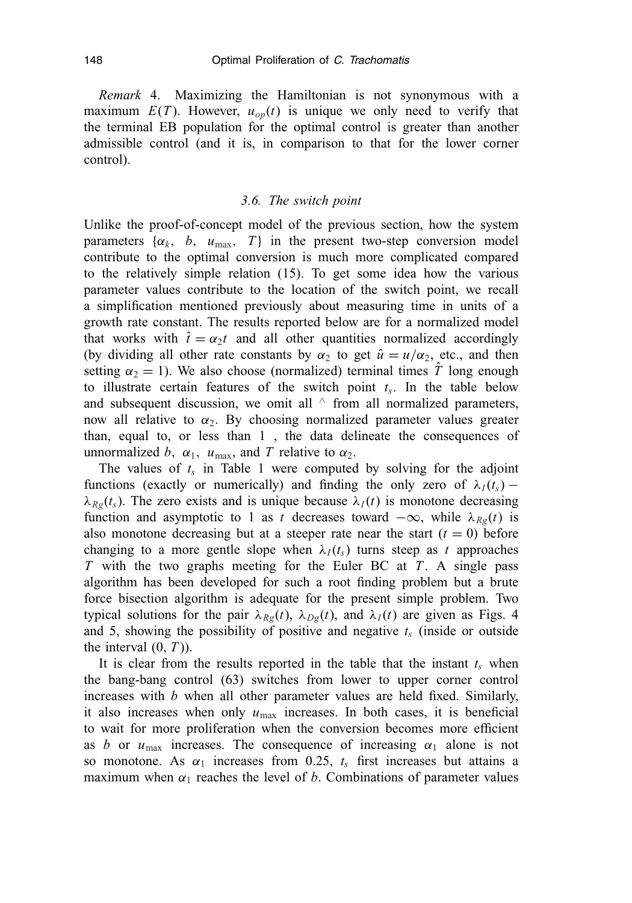*Remark* 4. Maximizing the Hamiltonian is not synonymous with a maximum  $E(T)$ . However,  $u_{op}(t)$  is unique we only need to verify that the terminal EB population for the optimal control is greater than another admissible control (and it is, in comparison to that for the lower corner control).

## *3.6. The switch point*

Unlike the proof-of-concept model of the previous section, how the system parameters  $\{\alpha_k, b, u_{\text{max}}, T\}$  in the present two-step conversion model contribute to the optimal conversion is much more complicated compared to the relatively simple relation (15). To get some idea how the various parameter values contribute to the location of the switch point, we recall a simplification mentioned previously about measuring time in units of a growth rate constant. The results reported below are for a normalized model that works with  $\hat{t} = \alpha_2 t$  and all other quantities normalized accordingly (by dividing all other rate constants by  $\alpha_2$  to get  $\hat{u} = u/\alpha_2$ , etc., and then setting  $\alpha_2 = 1$ ). We also choose (normalized) terminal times  $\hat{T}$  long enough to illustrate certain features of the switch point  $t_s$ . In the table below and subsequent discussion, we omit all  $\land$  from all normalized parameters, now all relative to  $\alpha_2$ . By choosing normalized parameter values greater than, equal to, or less than 1 , the data delineate the consequences of unnormalized *b*,  $\alpha_1$ ,  $u_{\text{max}}$ , and *T* relative to  $\alpha_2$ .

The values of  $t_s$  in Table 1 were computed by solving for the adjoint functions (exactly or numerically) and finding the only zero of  $\lambda_I(t_s)$  –  $\lambda_{Rg}(t_s)$ . The zero exists and is unique because  $\lambda_I(t)$  is monotone decreasing function and asymptotic to 1 as *t* decreases toward  $-\infty$ , while  $\lambda_{Re}(t)$  is also monotone decreasing but at a steeper rate near the start  $(t = 0)$  before changing to a more gentle slope when  $\lambda_I(t_s)$  turns steep as *t* approaches *T* with the two graphs meeting for the Euler BC at *T* . A single pass algorithm has been developed for such a root finding problem but a brute force bisection algorithm is adequate for the present simple problem. Two typical solutions for the pair  $\lambda_{Rg}(t)$ ,  $\lambda_{Dg}(t)$ , and  $\lambda_{I}(t)$  are given as Figs. 4 and 5, showing the possibility of positive and negative  $t_s$  (inside or outside the interval  $(0, T)$ ).

It is clear from the results reported in the table that the instant  $t_s$  when the bang-bang control (63) switches from lower to upper corner control increases with *b* when all other parameter values are held fixed. Similarly, it also increases when only  $u_{\text{max}}$  increases. In both cases, it is beneficial to wait for more proliferation when the conversion becomes more efficient as *b* or  $u_{\text{max}}$  increases. The consequence of increasing  $\alpha_1$  alone is not so monotone. As  $\alpha_1$  increases from 0.25,  $t_s$  first increases but attains a maximum when  $\alpha_1$  reaches the level of *b*. Combinations of parameter values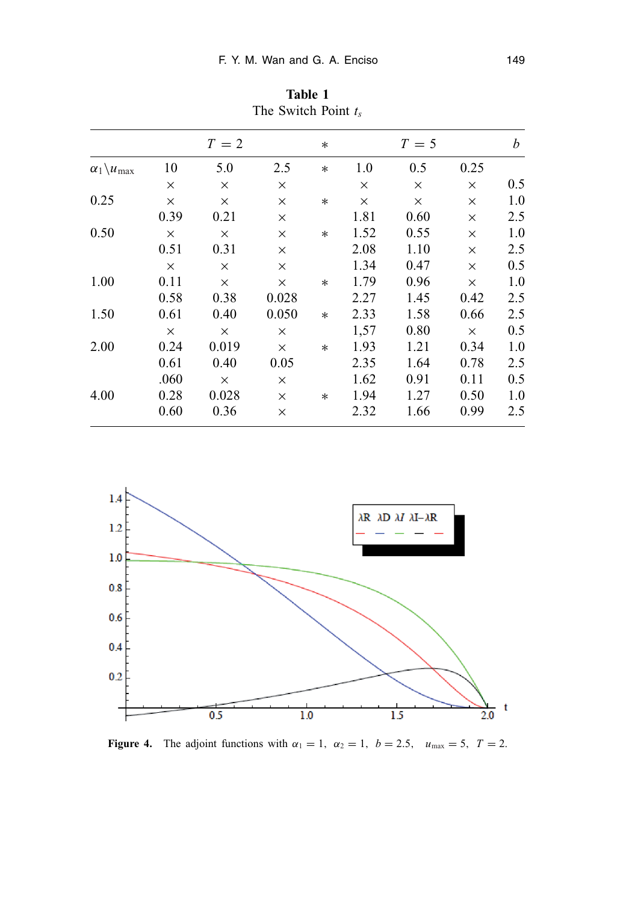|                                |          | $T=2$    |          | $\ast$ |          | $T=5$ |          | $\boldsymbol{b}$ |
|--------------------------------|----------|----------|----------|--------|----------|-------|----------|------------------|
| $\alpha_1 \backslash u_{\max}$ | 10       | 5.0      | 2.5      | $\ast$ | 1.0      | 0.5   | 0.25     |                  |
|                                | $\times$ | X        | X        |        | $\times$ | X     | $\times$ | 0.5              |
| 0.25                           | $\times$ | X        | X        | $\ast$ | $\times$ | X     | $\times$ | 1.0              |
|                                | 0.39     | 0.21     | X        |        | 1.81     | 0.60  | $\times$ | 2.5              |
| 0.50                           | $\times$ | $\times$ | X        | $\ast$ | 1.52     | 0.55  | $\times$ | 1.0              |
|                                | 0.51     | 0.31     | X        |        | 2.08     | 1.10  | $\times$ | 2.5              |
|                                | $\times$ | X        | X        |        | 1.34     | 0.47  | X        | 0.5              |
| 1.00                           | 0.11     | $\times$ | X        | $\ast$ | 1.79     | 0.96  | X        | 1.0              |
|                                | 0.58     | 0.38     | 0.028    |        | 2.27     | 1.45  | 0.42     | 2.5              |
| 1.50                           | 0.61     | 0.40     | 0.050    | $\ast$ | 2.33     | 1.58  | 0.66     | 2.5              |
|                                | $\times$ | $\times$ | X        |        | 1,57     | 0.80  | $\times$ | 0.5              |
| 2.00                           | 0.24     | 0.019    | $\times$ | $\ast$ | 1.93     | 1.21  | 0.34     | 1.0              |
|                                | 0.61     | 0.40     | 0.05     |        | 2.35     | 1.64  | 0.78     | 2.5              |
|                                | .060     | $\times$ | X        |        | 1.62     | 0.91  | 0.11     | 0.5              |
| 4.00                           | 0.28     | 0.028    | $\times$ | $\ast$ | 1.94     | 1.27  | 0.50     | 1.0              |
|                                | 0.60     | 0.36     | X        |        | 2.32     | 1.66  | 0.99     | 2.5              |

**Table 1** The Switch Point *t* 



**Figure 4.** The adjoint functions with  $\alpha_1 = 1$ ,  $\alpha_2 = 1$ ,  $b = 2.5$ ,  $u_{\text{max}} = 5$ ,  $T = 2$ .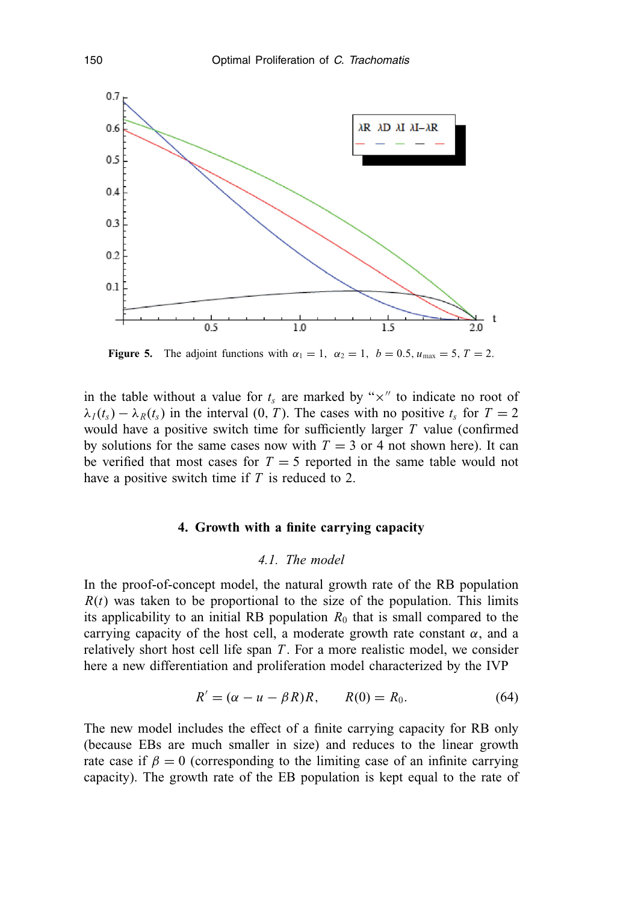

**Figure 5.** The adjoint functions with  $\alpha_1 = 1$ ,  $\alpha_2 = 1$ ,  $b = 0.5$ ,  $u_{\text{max}} = 5$ ,  $T = 2$ .

in the table without a value for  $t_s$  are marked by " $\times$ " to indicate no root of  $\lambda_I(t_s) - \lambda_R(t_s)$  in the interval (0, *T*). The cases with no positive  $t_s$  for  $T = 2$ would have a positive switch time for sufficiently larger *T* value (confirmed by solutions for the same cases now with  $T = 3$  or 4 not shown here). It can be verified that most cases for  $T = 5$  reported in the same table would not have a positive switch time if *T* is reduced to 2.

## **4. Growth with a finite carrying capacity**

## *4.1. The model*

In the proof-of-concept model, the natural growth rate of the RB population  $R(t)$  was taken to be proportional to the size of the population. This limits its applicability to an initial RB population  $R_0$  that is small compared to the carrying capacity of the host cell, a moderate growth rate constant  $\alpha$ , and a relatively short host cell life span *T* . For a more realistic model, we consider here a new differentiation and proliferation model characterized by the IVP

$$
R' = (\alpha - u - \beta R)R, \qquad R(0) = R_0. \tag{64}
$$

The new model includes the effect of a finite carrying capacity for RB only (because EBs are much smaller in size) and reduces to the linear growth rate case if  $\beta = 0$  (corresponding to the limiting case of an infinite carrying capacity). The growth rate of the EB population is kept equal to the rate of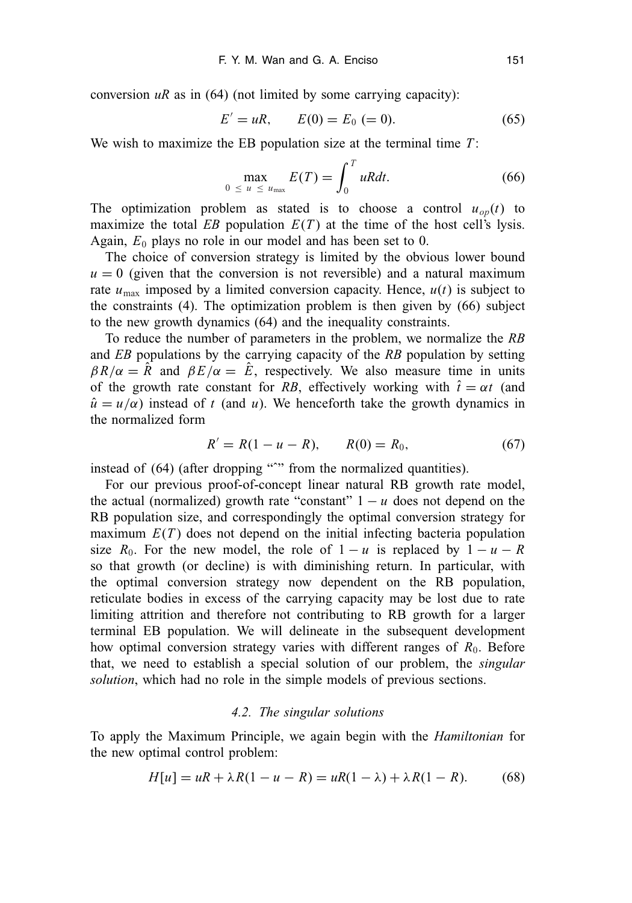conversion  $uR$  as in (64) (not limited by some carrying capacity):

$$
E' = uR, \qquad E(0) = E_0 (= 0). \tag{65}
$$

We wish to maximize the EB population size at the terminal time *T* :

$$
\max_{0 \le u \le u_{\text{max}}} E(T) = \int_0^T uRdt. \tag{66}
$$

The optimization problem as stated is to choose a control  $u_{op}(t)$  to maximize the total *EB* population  $E(T)$  at the time of the host cell's lysis. Again,  $E_0$  plays no role in our model and has been set to 0.

The choice of conversion strategy is limited by the obvious lower bound  $u = 0$  (given that the conversion is not reversible) and a natural maximum rate  $u_{\text{max}}$  imposed by a limited conversion capacity. Hence,  $u(t)$  is subject to the constraints (4). The optimization problem is then given by (66) subject to the new growth dynamics (64) and the inequality constraints.

To reduce the number of parameters in the problem, we normalize the *RB* and *EB* populations by the carrying capacity of the *RB* population by setting  $\beta R/\alpha = \hat{R}$  and  $\beta E/\alpha = \hat{E}$ , respectively. We also measure time in units of the growth rate constant for *RB*, effectively working with  $\hat{t} = \alpha t$  (and  $\hat{u} = u/\alpha$ ) instead of *t* (and *u*). We henceforth take the growth dynamics in the normalized form

$$
R' = R(1 - u - R), \qquad R(0) = R_0,\tag{67}
$$

instead of (64) (after dropping "<sup>or</sup>" from the normalized quantities).

For our previous proof-of-concept linear natural RB growth rate model, the actual (normalized) growth rate "constant"  $1 - u$  does not depend on the RB population size, and correspondingly the optimal conversion strategy for maximum  $E(T)$  does not depend on the initial infecting bacteria population size  $R_0$ . For the new model, the role of  $1 - u$  is replaced by  $1 - u - R$ so that growth (or decline) is with diminishing return. In particular, with the optimal conversion strategy now dependent on the RB population, reticulate bodies in excess of the carrying capacity may be lost due to rate limiting attrition and therefore not contributing to RB growth for a larger terminal EB population. We will delineate in the subsequent development how optimal conversion strategy varies with different ranges of  $R_0$ . Before that, we need to establish a special solution of our problem, the *singular solution*, which had no role in the simple models of previous sections.

#### *4.2. The singular solutions*

To apply the Maximum Principle, we again begin with the *Hamiltonian* for the new optimal control problem:

$$
H[u] = uR + \lambda R(1 - u - R) = uR(1 - \lambda) + \lambda R(1 - R).
$$
 (68)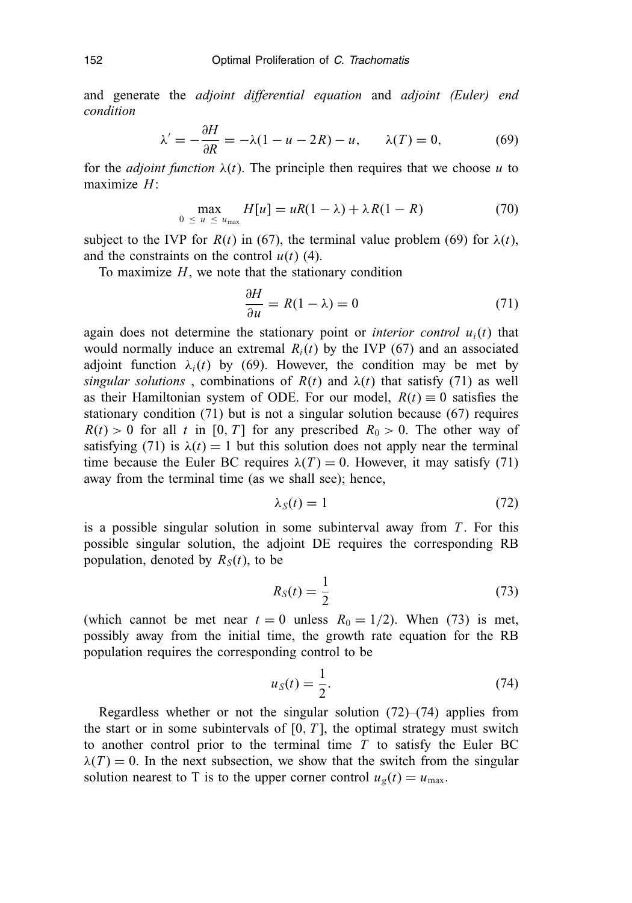and generate the *adjoint differential equation* and *adjoint (Euler) end condition*

$$
\lambda' = -\frac{\partial H}{\partial R} = -\lambda(1 - u - 2R) - u, \qquad \lambda(T) = 0,\tag{69}
$$

for the *adjoint function*  $\lambda(t)$ . The principle then requires that we choose *u* to maximize *H*:

$$
\max_{0 \le u \le u_{\text{max}}} H[u] = uR(1 - \lambda) + \lambda R(1 - R) \tag{70}
$$

subject to the IVP for  $R(t)$  in (67), the terminal value problem (69) for  $\lambda(t)$ , and the constraints on the control  $u(t)$  (4).

To maximize  $H$ , we note that the stationary condition

$$
\frac{\partial H}{\partial u} = R(1 - \lambda) = 0 \tag{71}
$$

again does not determine the stationary point or *interior control*  $u_i(t)$  that would normally induce an extremal  $R_i(t)$  by the IVP (67) and an associated adjoint function  $\lambda_i(t)$  by (69). However, the condition may be met by *singular solutions*, combinations of  $R(t)$  and  $\lambda(t)$  that satisfy (71) as well as their Hamiltonian system of ODE. For our model,  $R(t) \equiv 0$  satisfies the stationary condition (71) but is not a singular solution because (67) requires  $R(t) > 0$  for all *t* in [0, *T*] for any prescribed  $R_0 > 0$ . The other way of satisfying (71) is  $\lambda(t) = 1$  but this solution does not apply near the terminal time because the Euler BC requires  $\lambda(T) = 0$ . However, it may satisfy (71) away from the terminal time (as we shall see); hence,

$$
\lambda_S(t) = 1 \tag{72}
$$

is a possible singular solution in some subinterval away from *T* . For this possible singular solution, the adjoint DE requires the corresponding RB population, denoted by  $R_S(t)$ , to be

$$
R_S(t) = \frac{1}{2} \tag{73}
$$

(which cannot be met near  $t = 0$  unless  $R_0 = 1/2$ ). When (73) is met, possibly away from the initial time, the growth rate equation for the RB population requires the corresponding control to be

$$
u_S(t) = \frac{1}{2}.\tag{74}
$$

Regardless whether or not the singular solution  $(72)$ – $(74)$  applies from the start or in some subintervals of  $[0, T]$ , the optimal strategy must switch to another control prior to the terminal time *T* to satisfy the Euler BC  $\lambda(T) = 0$ . In the next subsection, we show that the switch from the singular solution nearest to T is to the upper corner control  $u_g(t) = u_{\text{max}}$ .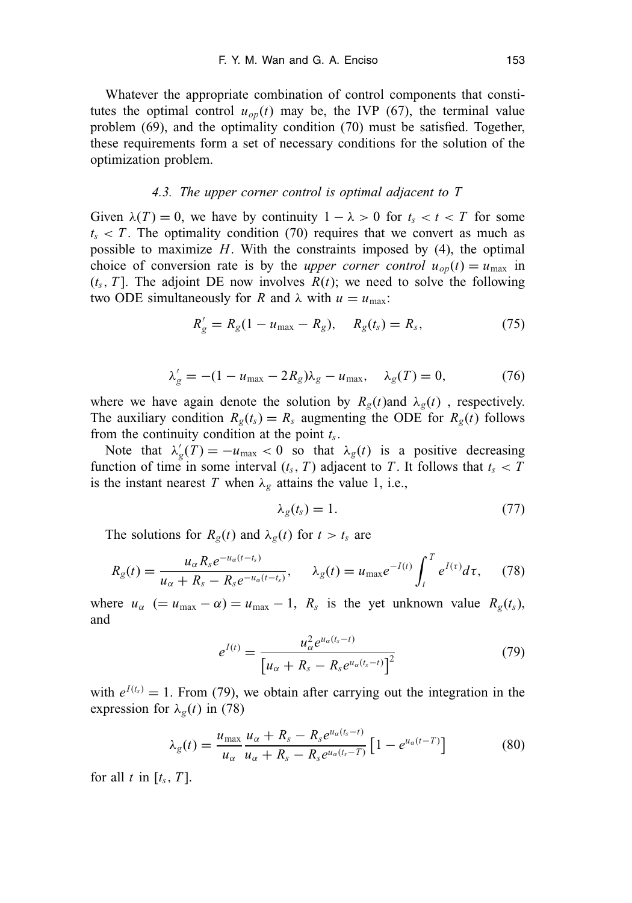Whatever the appropriate combination of control components that constitutes the optimal control  $u_{op}(t)$  may be, the IVP (67), the terminal value problem (69), and the optimality condition (70) must be satisfied. Together, these requirements form a set of necessary conditions for the solution of the optimization problem.

#### *4.3. The upper corner control is optimal adjacent to T*

Given  $\lambda(T) = 0$ , we have by continuity  $1 - \lambda > 0$  for  $t_s < t < T$  for some  $t_s < T$ . The optimality condition (70) requires that we convert as much as possible to maximize *H*. With the constraints imposed by (4), the optimal choice of conversion rate is by the *upper corner control*  $u_{op}(t) = u_{max}$  in  $(t_s, T]$ . The adjoint DE now involves  $R(t)$ ; we need to solve the following two ODE simultaneously for *R* and  $\lambda$  with  $u = u_{\text{max}}$ :

$$
R'_{g} = R_{g}(1 - u_{\text{max}} - R_{g}), \quad R_{g}(t_{s}) = R_{s}, \tag{75}
$$

$$
\lambda'_{g} = -(1 - u_{\text{max}} - 2R_{g})\lambda_{g} - u_{\text{max}}, \quad \lambda_{g}(T) = 0, \tag{76}
$$

where we have again denote the solution by  $R_g(t)$  and  $\lambda_g(t)$ , respectively. The auxiliary condition  $R_g(t_s) = R_s$  augmenting the ODE for  $R_g(t)$  follows from the continuity condition at the point *ts*.

Note that  $\lambda'_g(T) = -u_{\text{max}} < 0$  so that  $\lambda_g(t)$  is a positive decreasing function of time in some interval  $(t_s, T)$  adjacent to *T*. It follows that  $t_s < T$ is the instant nearest *T* when  $\lambda_g$  attains the value 1, i.e.,

$$
\lambda_g(t_s) = 1. \tag{77}
$$

The solutions for  $R_g(t)$  and  $\lambda_g(t)$  for  $t > t_s$  are

$$
R_g(t) = \frac{u_{\alpha} R_s e^{-u_{\alpha}(t-t_s)}}{u_{\alpha} + R_s - R_s e^{-u_{\alpha}(t-t_s)}}, \quad \lambda_g(t) = u_{\text{max}} e^{-I(t)} \int_t^T e^{I(\tau)} d\tau, \quad (78)
$$

where  $u_{\alpha}$  (=  $u_{\text{max}} - \alpha$ ) =  $u_{\text{max}} - 1$ ,  $R_s$  is the yet unknown value  $R_g(t_s)$ , and

$$
e^{I(t)} = \frac{u_{\alpha}^2 e^{u_{\alpha}(t_s - t)}}{\left[u_{\alpha} + R_s - R_s e^{u_{\alpha}(t_s - t)}\right]^2}
$$
(79)

with  $e^{I(t_s)} = 1$ . From (79), we obtain after carrying out the integration in the expression for  $\lambda_{g}(t)$  in (78)

$$
\lambda_g(t) = \frac{u_{\text{max}}}{u_{\alpha}} \frac{u_{\alpha} + R_s - R_s e^{u_{\alpha}(t_s - t)}}{u_{\alpha} + R_s - R_s e^{u_{\alpha}(t_s - T)}} \left[1 - e^{u_{\alpha}(t - T)}\right]
$$
(80)

for all  $t$  in  $[t_s, T]$ .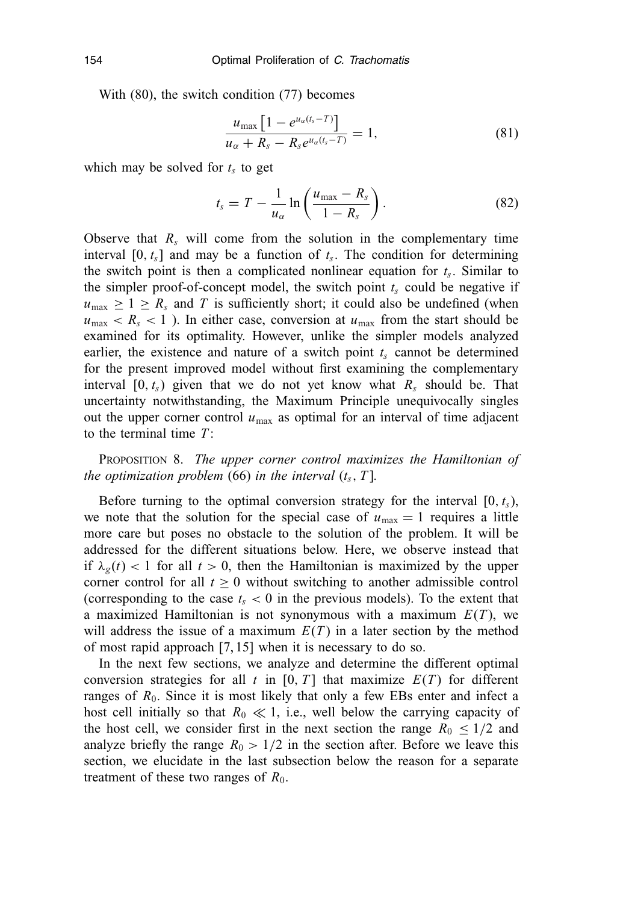With (80), the switch condition (77) becomes

$$
\frac{u_{\max}\left[1-e^{u_{\alpha}(t_s-T)}\right]}{u_{\alpha}+R_s-R_s e^{u_{\alpha}(t_s-T)}}=1,
$$
\n(81)

which may be solved for  $t_s$  to get

$$
t_s = T - \frac{1}{u_\alpha} \ln\left(\frac{u_{\text{max}} - R_s}{1 - R_s}\right). \tag{82}
$$

Observe that  $R_s$  will come from the solution in the complementary time interval  $[0, t_s]$  and may be a function of  $t_s$ . The condition for determining the switch point is then a complicated nonlinear equation for *ts*. Similar to the simpler proof-of-concept model, the switch point  $t_s$  could be negative if  $u_{\text{max}} \geq 1 \geq R_s$  and *T* is sufficiently short; it could also be undefined (when  $u_{\text{max}} < R_s < 1$ ). In either case, conversion at  $u_{\text{max}}$  from the start should be examined for its optimality. However, unlike the simpler models analyzed earlier, the existence and nature of a switch point  $t_s$  cannot be determined for the present improved model without first examining the complementary interval  $[0, t_s)$  given that we do not yet know what  $R_s$  should be. That uncertainty notwithstanding, the Maximum Principle unequivocally singles out the upper corner control  $u_{\text{max}}$  as optimal for an interval of time adjacent to the terminal time *T* :

PROPOSITION 8. *The upper corner control maximizes the Hamiltonian of the optimization problem* (66) *in the interval*  $(t_s, T]$ *.* 

Before turning to the optimal conversion strategy for the interval  $[0, t<sub>s</sub>)$ , we note that the solution for the special case of  $u_{\text{max}} = 1$  requires a little more care but poses no obstacle to the solution of the problem. It will be addressed for the different situations below. Here, we observe instead that if  $\lambda_{\varphi}(t)$  < 1 for all  $t > 0$ , then the Hamiltonian is maximized by the upper corner control for all  $t \geq 0$  without switching to another admissible control (corresponding to the case  $t_s < 0$  in the previous models). To the extent that a maximized Hamiltonian is not synonymous with a maximum *E*(*T* ), we will address the issue of a maximum  $E(T)$  in a later section by the method of most rapid approach [7, 15] when it is necessary to do so.

In the next few sections, we analyze and determine the different optimal conversion strategies for all  $t$  in [0,  $T$ ] that maximize  $E(T)$  for different ranges of  $R_0$ . Since it is most likely that only a few EBs enter and infect a host cell initially so that  $R_0 \ll 1$ , i.e., well below the carrying capacity of the host cell, we consider first in the next section the range  $R_0 \leq 1/2$  and analyze briefly the range  $R_0 > 1/2$  in the section after. Before we leave this section, we elucidate in the last subsection below the reason for a separate treatment of these two ranges of  $R_0$ .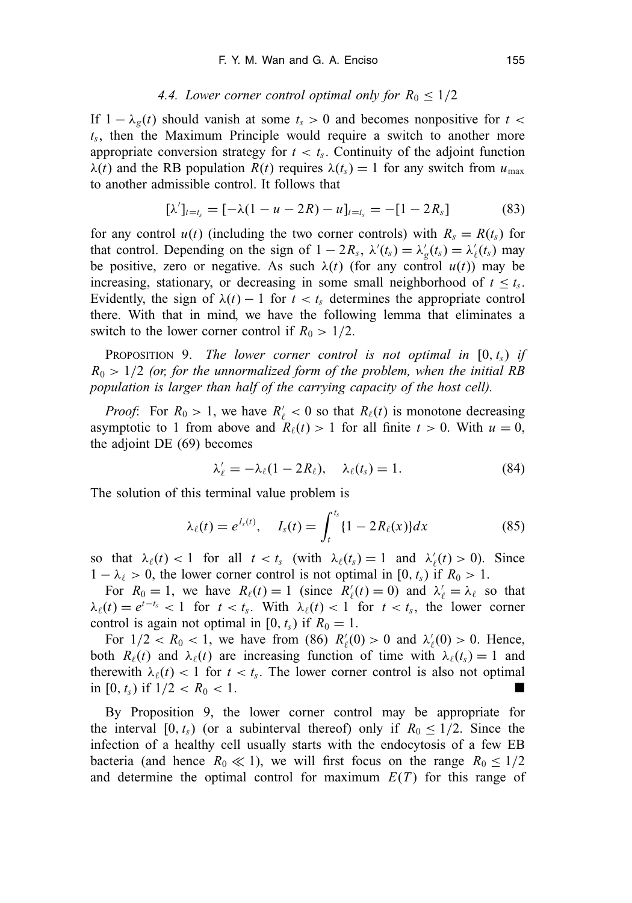#### 4.4. Lower corner control optimal only for  $R_0 \leq 1/2$

If  $1 - \lambda_g(t)$  should vanish at some  $t_s > 0$  and becomes nonpositive for  $t <$ *ts*, then the Maximum Principle would require a switch to another more appropriate conversion strategy for  $t < t_s$ . Continuity of the adjoint function  $\lambda(t)$  and the RB population  $R(t)$  requires  $\lambda(t_s) = 1$  for any switch from  $u_{\text{max}}$ to another admissible control. It follows that

$$
[\lambda']_{t=t_s} = [-\lambda(1-u-2R)-u]_{t=t_s} = -[1-2R_s]
$$
 (83)

for any control  $u(t)$  (including the two corner controls) with  $R_s = R(t_s)$  for that control. Depending on the sign of  $1 - 2R_s$ ,  $\lambda'(t_s) = \lambda'_g(t_s) = \lambda'_g(t_s)$  may be positive, zero or negative. As such  $\lambda(t)$  (for any control  $u(t)$ ) may be increasing, stationary, or decreasing in some small neighborhood of  $t \le t_s$ . Evidently, the sign of  $\lambda(t) - 1$  for  $t < t_s$  determines the appropriate control there. With that in mind, we have the following lemma that eliminates a switch to the lower corner control if  $R_0 > 1/2$ .

**PROPOSITION 9.** *The lower corner control is not optimal in*  $[0, t_s)$  *if*  $R_0 > 1/2$  *(or, for the unnormalized form of the problem, when the initial RB population is larger than half of the carrying capacity of the host cell).*

*Proof*: For  $R_0 > 1$ , we have  $R'_\ell < 0$  so that  $R_\ell(t)$  is monotone decreasing asymptotic to 1 from above and  $R_{\ell}(t) > 1$  for all finite  $t > 0$ . With  $u = 0$ , the adjoint DE (69) becomes

$$
\lambda'_{\ell} = -\lambda_{\ell}(1 - 2R_{\ell}), \quad \lambda_{\ell}(t_s) = 1.
$$
\n(84)

The solution of this terminal value problem is

$$
\lambda_{\ell}(t) = e^{I_s(t)}, \quad I_s(t) = \int_t^{t_s} \{1 - 2R_{\ell}(x)\} dx \tag{85}
$$

so that  $\lambda_{\ell}(t) < 1$  for all  $t < t_s$  (with  $\lambda_{\ell}(t_s) = 1$  and  $\lambda'_{\ell}(t) > 0$ ). Since  $1 - \lambda_{\ell} > 0$ , the lower corner control is not optimal in [0,  $t_s$ ) if  $R_0 > 1$ .

For  $R_0 = 1$ , we have  $R_\ell(t) = 1$  (since  $R'_\ell(t) = 0$ ) and  $\lambda'_\ell = \lambda_\ell$  so that  $\lambda_{\ell}(t) = e^{t-t_s} < 1$  for  $t < t_s$ . With  $\lambda_{\ell}(t) < 1$  for  $t < t_s$ , the lower corner control is again not optimal in [0,  $t_s$ ) if  $R_0 = 1$ .

For  $1/2 < R_0 < 1$ , we have from (86)  $R'_\ell(0) > 0$  and  $\lambda'_\ell(0) > 0$ . Hence, both  $R_{\ell}(t)$  and  $\lambda_{\ell}(t)$  are increasing function of time with  $\lambda_{\ell}(t_s) = 1$  and therewith  $\lambda_{\ell}(t) < 1$  for  $t < t_s$ . The lower corner control is also not optimal in [0,  $t_s$ ) if  $1/2 < R_0 < 1$ .

By Proposition 9, the lower corner control may be appropriate for the interval  $[0, t_s)$  (or a subinterval thereof) only if  $R_0 \le 1/2$ . Since the infection of a healthy cell usually starts with the endocytosis of a few EB bacteria (and hence  $R_0 \ll 1$ ), we will first focus on the range  $R_0 \leq 1/2$ and determine the optimal control for maximum  $E(T)$  for this range of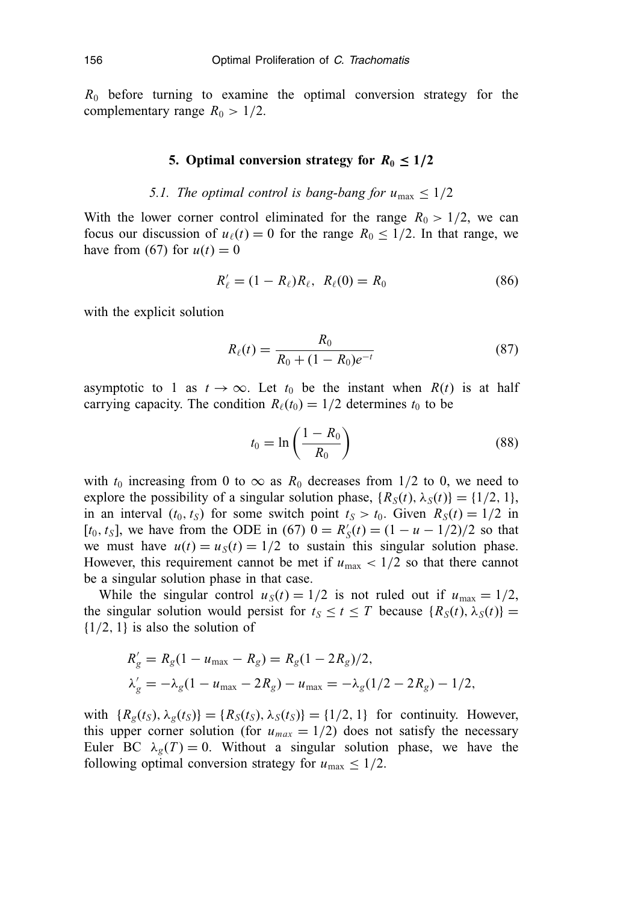*R*<sup>0</sup> before turning to examine the optimal conversion strategy for the complementary range  $R_0 > 1/2$ .

#### **5. Optimal conversion strategy for**  $R_0 \leq 1/2$

## *5.1. The optimal control is bang-bang for*  $u_{\text{max}} \leq 1/2$

With the lower corner control eliminated for the range  $R_0 > 1/2$ , we can focus our discussion of  $u_{\ell}(t) = 0$  for the range  $R_0 \leq 1/2$ . In that range, we have from (67) for  $u(t) = 0$ 

$$
R'_{\ell} = (1 - R_{\ell})R_{\ell}, \ R_{\ell}(0) = R_0 \tag{86}
$$

with the explicit solution

$$
R_{\ell}(t) = \frac{R_0}{R_0 + (1 - R_0)e^{-t}}
$$
\n(87)

asymptotic to 1 as  $t \to \infty$ . Let  $t_0$  be the instant when  $R(t)$  is at half carrying capacity. The condition  $R_{\ell}(t_0) = 1/2$  determines  $t_0$  to be

$$
t_0 = \ln\left(\frac{1 - R_0}{R_0}\right) \tag{88}
$$

with  $t_0$  increasing from 0 to  $\infty$  as  $R_0$  decreases from 1/2 to 0, we need to explore the possibility of a singular solution phase,  $\{R_S(t), \lambda_S(t)\} = \{1/2, 1\}$ , in an interval  $(t_0, t_S)$  for some switch point  $t_S > t_0$ . Given  $R_S(t) = 1/2$  in  $[t_0, t_S]$ , we have from the ODE in (67)  $0 = R'_S(t) = (1 - u - 1/2)/2$  so that we must have  $u(t) = u<sub>S</sub>(t) = 1/2$  to sustain this singular solution phase. However, this requirement cannot be met if  $u_{\text{max}} < 1/2$  so that there cannot be a singular solution phase in that case.

While the singular control  $u_S(t) = 1/2$  is not ruled out if  $u_{\text{max}} = 1/2$ , the singular solution would persist for  $t_S \le t \le T$  because  $\{R_S(t), \lambda_S(t)\}$ {1/2, 1} is also the solution of

$$
R'_{g} = R_{g}(1 - u_{\text{max}} - R_{g}) = R_{g}(1 - 2R_{g})/2,
$$
  
\n
$$
\lambda'_{g} = -\lambda_{g}(1 - u_{\text{max}} - 2R_{g}) - u_{\text{max}} = -\lambda_{g}(1/2 - 2R_{g}) - 1/2,
$$

with  ${R_g(t_S), \lambda_g(t_S)}={R_S(t_S), \lambda_S(t_S)}={1/2, 1}$  for continuity. However, this upper corner solution (for  $u_{max} = 1/2$ ) does not satisfy the necessary Euler BC  $\lambda_g(T) = 0$ . Without a singular solution phase, we have the following optimal conversion strategy for  $u_{\text{max}} \leq 1/2$ .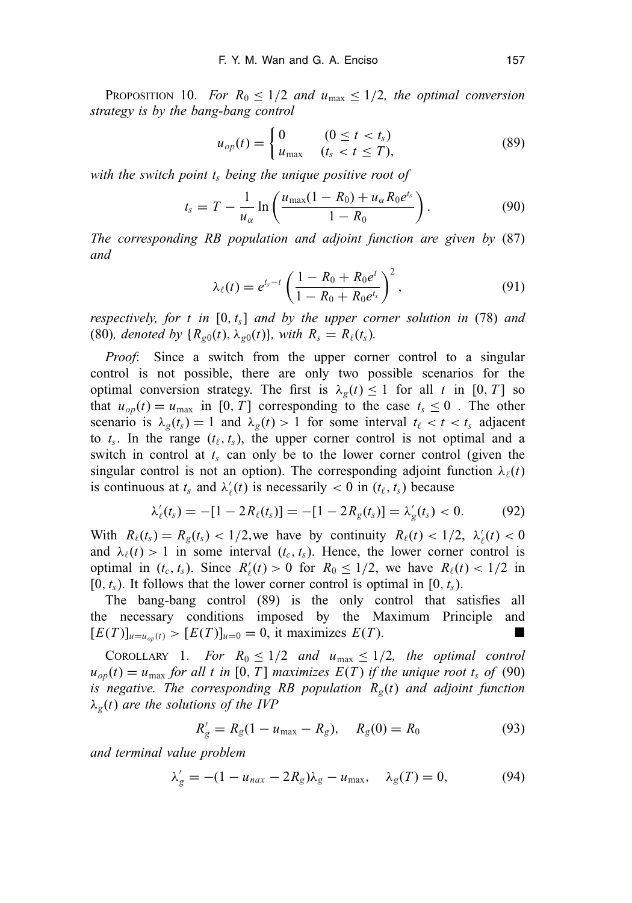PROPOSITION 10. *For*  $R_0 \leq 1/2$  *and*  $u_{\text{max}} \leq 1/2$ , the optimal conversion *strategy is by the bang-bang control*

$$
u_{op}(t) = \begin{cases} 0 & (0 \le t < t_s) \\ u_{\text{max}} & (t_s < t \le T), \end{cases} \tag{89}
$$

*with the switch point ts being the unique positive root of*

$$
t_s = T - \frac{1}{u_{\alpha}} \ln \left( \frac{u_{\max}(1 - R_0) + u_{\alpha} R_0 e^{t_s}}{1 - R_0} \right).
$$
 (90)

*The corresponding RB population and adjoint function are given by* (87) *and*

$$
\lambda_{\ell}(t) = e^{t_{s}-t} \left( \frac{1 - R_{0} + R_{0}e^{t}}{1 - R_{0} + R_{0}e^{t_{s}}} \right)^{2}, \qquad (91)
$$

*respectively, for t in* [0, *ts*] *and by the upper corner solution in* (78) *and* (80)*, denoted by*  ${R_{g0}(t), \lambda_{g0}(t)}$ *, with*  $R_s = R_{\ell}(t_s)$ *.* 

*Proof*: Since a switch from the upper corner control to a singular control is not possible, there are only two possible scenarios for the optimal conversion strategy. The first is  $\lambda_g(t) \leq 1$  for all *t* in [0, *T*] so that  $u_{op}(t) = u_{max}$  in [0, *T*] corresponding to the case  $t_s \le 0$ . The other scenario is  $\lambda_g(t_s) = 1$  and  $\lambda_g(t) > 1$  for some interval  $t_\ell < t < t_s$  adjacent to  $t_s$ . In the range  $(t_\ell, t_s)$ , the upper corner control is not optimal and a switch in control at  $t_s$  can only be to the lower corner control (given the singular control is not an option). The corresponding adjoint function  $\lambda_{\ell}(t)$ is continuous at  $t_s$  and  $\lambda'_\ell(t)$  is necessarily  $< 0$  in  $(t_\ell, t_s)$  because

$$
\lambda'_{\ell}(t_s) = -[1 - 2R_{\ell}(t_s)] = -[1 - 2R_{g}(t_s)] = \lambda'_{g}(t_s) < 0. \tag{92}
$$

With  $R_{\ell}(t_s) = R_g(t_s) < 1/2$ , we have by continuity  $R_{\ell}(t) < 1/2$ ,  $\lambda'_{\ell}(t) < 0$ and  $\lambda_{\ell}(t) > 1$  in some interval  $(t_c, t_s)$ . Hence, the lower corner control is optimal in  $(t_c, t_s)$ . Since  $R'_\ell(t) > 0$  for  $R_0 \le 1/2$ , we have  $R_\ell(t) < 1/2$  in  $[0, t<sub>s</sub>)$ . It follows that the lower corner control is optimal in  $[0, t<sub>s</sub>)$ .

The bang-bang control (89) is the only control that satisfies all the necessary conditions imposed by the Maximum Principle and  $[E(T)]_{u=u_{on}(t)}$  >  $[E(T)]_{u=0}$  = 0, it maximizes  $E(T)$ .

COROLLARY 1. *For*  $R_0 \leq 1/2$  *and*  $u_{\text{max}} \leq 1/2$ *, the optimal control*  $u_{op}(t) = u_{max}$  *for all t in* [0, *T*] *maximizes*  $E(T)$  *if the unique root*  $t_s$  *of* (90) *is negative. The corresponding RB population Rg*(*t*) *and adjoint function* λ*g*(*t*) *are the solutions of the IVP*

$$
R'_{g} = R_{g}(1 - u_{\text{max}} - R_{g}), \quad R_{g}(0) = R_{0}
$$
 (93)

*and terminal value problem*

$$
\lambda'_g = -(1 - u_{nax} - 2R_g)\lambda_g - u_{\text{max}}, \quad \lambda_g(T) = 0,
$$
\n(94)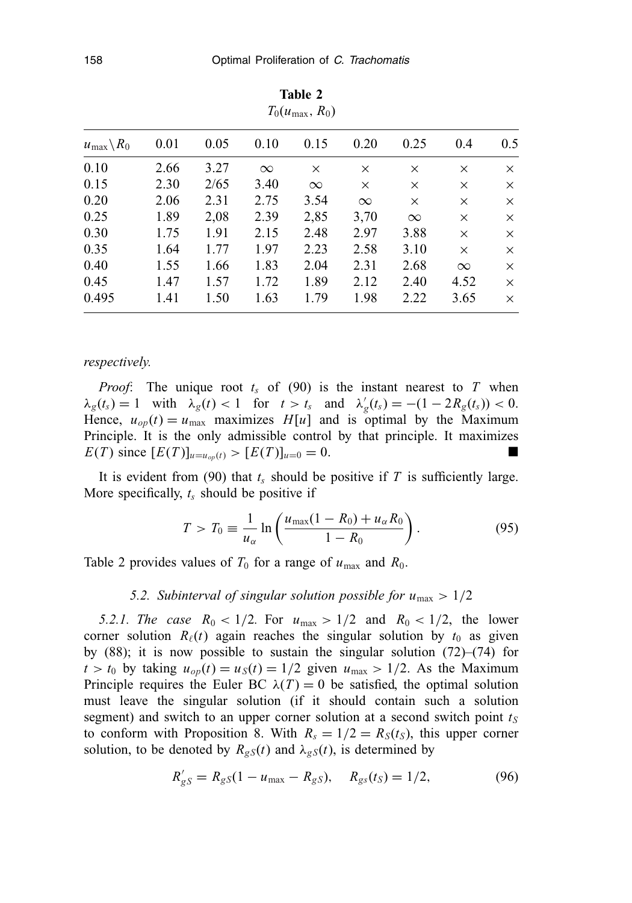| $T_0(u_{\text{max}}, R_0)$     |      |      |          |          |          |          |          |          |  |
|--------------------------------|------|------|----------|----------|----------|----------|----------|----------|--|
| $u_{\text{max}}\backslash R_0$ | 0.01 | 0.05 | 0.10     | 0.15     | 0.20     | 0.25     | 0.4      | 0.5      |  |
| 0.10                           | 2.66 | 3.27 | $\infty$ | $\times$ | $\times$ | $\times$ | $\times$ | $\times$ |  |
| 0.15                           | 2.30 | 2/65 | 3.40     | $\infty$ | $\times$ | $\times$ | $\times$ | $\times$ |  |
| 0.20                           | 2.06 | 2.31 | 2.75     | 3.54     | $\infty$ | $\times$ | $\times$ | $\times$ |  |
| 0.25                           | 1.89 | 2,08 | 2.39     | 2,85     | 3,70     | $\infty$ | $\times$ | $\times$ |  |
| 0.30                           | 1.75 | 1.91 | 2.15     | 2.48     | 2.97     | 3.88     | $\times$ | X        |  |
| 0.35                           | 1.64 | 1.77 | 1.97     | 2.23     | 2.58     | 3.10     | $\times$ | $\times$ |  |
| 0.40                           | 1.55 | 1.66 | 1.83     | 2.04     | 2.31     | 2.68     | $\infty$ | X        |  |
| 0.45                           | 1.47 | 1.57 | 1.72     | 1.89     | 2.12     | 2.40     | 4.52     | $\times$ |  |
| 0.495                          | 1.41 | 1.50 | 1.63     | 1.79     | 1.98     | 2.22     | 3.65     | $\times$ |  |

**Table 2**

#### *respectively.*

*Proof*: The unique root  $t_s$  of (90) is the instant nearest to  $T$  when  $\lambda_g(t_s) = 1$  with  $\lambda_g(t) < 1$  for  $t > t_s$  and  $\lambda'_g(t_s) = -(1 - 2R_g(t_s)) < 0$ . Hence,  $u_{op}(t) = u_{max}$  maximizes  $H[u]$  and is optimal by the Maximum Principle. It is the only admissible control by that principle. It maximizes *E*(*T*) since  $[E(T)]_{u=u_{op}(t)} > [E(T)]_{u=0} = 0.$ 

It is evident from  $(90)$  that  $t_s$  should be positive if  $T$  is sufficiently large. More specifically, *ts* should be positive if

$$
T > T_0 \equiv \frac{1}{u_{\alpha}} \ln \left( \frac{u_{\text{max}}(1 - R_0) + u_{\alpha} R_0}{1 - R_0} \right).
$$
 (95)

Table 2 provides values of  $T_0$  for a range of  $u_{\text{max}}$  and  $R_0$ .

#### 5.2. Subinterval of singular solution possible for  $u_{\text{max}} > 1/2$

*5.2.1. The case*  $R_0 < 1/2$ . For  $u_{\text{max}} > 1/2$  and  $R_0 < 1/2$ , the lower corner solution  $R_{\ell}(t)$  again reaches the singular solution by  $t_0$  as given by (88); it is now possible to sustain the singular solution (72)–(74) for  $t > t_0$  by taking  $u_{op}(t) = u_S(t) = 1/2$  given  $u_{max} > 1/2$ . As the Maximum Principle requires the Euler BC  $\lambda(T) = 0$  be satisfied, the optimal solution must leave the singular solution (if it should contain such a solution segment) and switch to an upper corner solution at a second switch point  $t<sub>S</sub>$ to conform with Proposition 8. With  $R_s = 1/2 = R_s(t_s)$ , this upper corner solution, to be denoted by  $R_{gS}(t)$  and  $\lambda_{gS}(t)$ , is determined by

$$
R'_{gS} = R_{gS}(1 - u_{\text{max}} - R_{gS}), \quad R_{gs}(t_S) = 1/2, \tag{96}
$$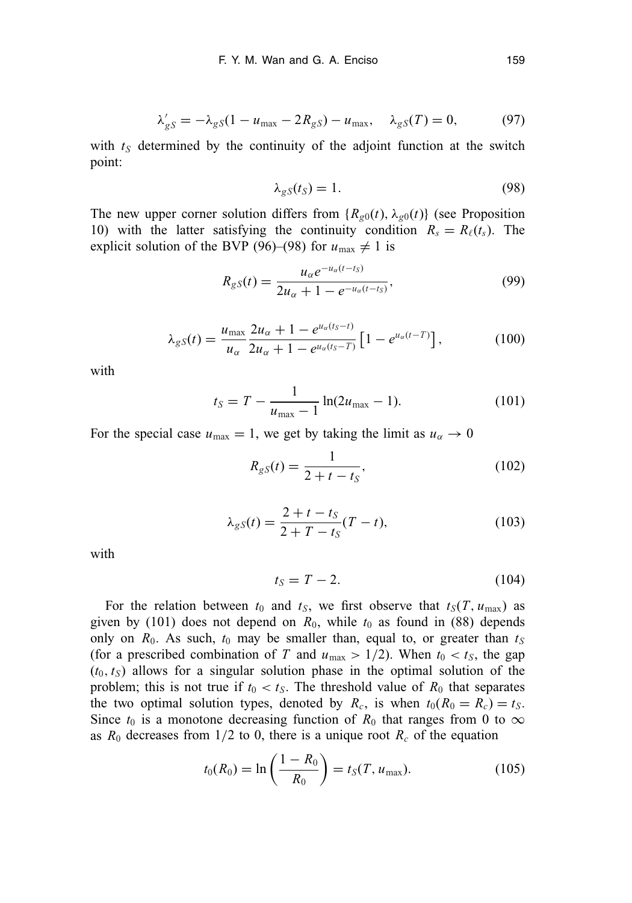$$
\lambda'_{gS} = -\lambda_{gS}(1 - u_{\text{max}} - 2R_{gS}) - u_{\text{max}}, \quad \lambda_{gS}(T) = 0, \tag{97}
$$

with  $t<sub>S</sub>$  determined by the continuity of the adjoint function at the switch point:

$$
\lambda_{gS}(t_S) = 1. \tag{98}
$$

The new upper corner solution differs from  ${R_{g0}(t), \lambda_{g0}(t)}$  (see Proposition 10) with the latter satisfying the continuity condition  $R_s = R_\ell(t_s)$ . The explicit solution of the BVP (96)–(98) for  $u_{\text{max}} \neq 1$  is

$$
R_{gS}(t) = \frac{u_{\alpha}e^{-u_{\alpha}(t-t_S)}}{2u_{\alpha}+1-e^{-u_{\alpha}(t-t_S)}},
$$
\n(99)

$$
\lambda_{gS}(t) = \frac{u_{\text{max}}}{u_{\alpha}} \frac{2u_{\alpha} + 1 - e^{u_{\alpha}(t_S - t)}}{2u_{\alpha} + 1 - e^{u_{\alpha}(t_S - T)}} \left[ 1 - e^{u_{\alpha}(t - T)} \right],
$$
\n(100)

with

$$
t_S = T - \frac{1}{u_{\text{max}} - 1} \ln(2u_{\text{max}} - 1). \tag{101}
$$

For the special case  $u_{\text{max}} = 1$ , we get by taking the limit as  $u_{\alpha} \to 0$ 

$$
R_{gS}(t) = \frac{1}{2 + t - t_S},
$$
\n(102)

$$
\lambda_{gS}(t) = \frac{2+t-t_S}{2+T-t_S}(T-t),
$$
\n(103)

with

$$
t_S = T - 2. \tag{104}
$$

For the relation between  $t_0$  and  $t_S$ , we first observe that  $t_S(T, u_{\text{max}})$  as given by (101) does not depend on  $R_0$ , while  $t_0$  as found in (88) depends only on  $R_0$ . As such,  $t_0$  may be smaller than, equal to, or greater than  $t_S$ (for a prescribed combination of *T* and  $u_{\text{max}} > 1/2$ ). When  $t_0 < t_S$ , the gap  $(t_0, t_S)$  allows for a singular solution phase in the optimal solution of the problem; this is not true if  $t_0 < t_S$ . The threshold value of  $R_0$  that separates the two optimal solution types, denoted by  $R_c$ , is when  $t_0(R_0 = R_c) = t_S$ . Since  $t_0$  is a monotone decreasing function of  $R_0$  that ranges from 0 to  $\infty$ as  $R_0$  decreases from  $1/2$  to 0, there is a unique root  $R_c$  of the equation

$$
t_0(R_0) = \ln\left(\frac{1 - R_0}{R_0}\right) = t_S(T, u_{\text{max}}).
$$
 (105)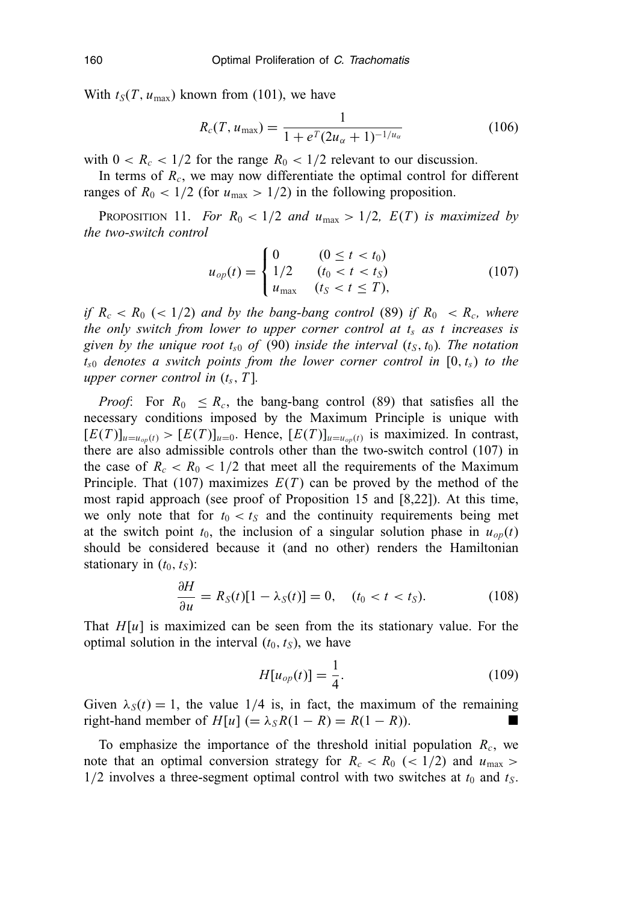With  $t_S(T, u_{\text{max}})$  known from (101), we have

$$
R_c(T, u_{\text{max}}) = \frac{1}{1 + e^T (2u_\alpha + 1)^{-1/u_\alpha}} \tag{106}
$$

with  $0 < R_c < 1/2$  for the range  $R_0 < 1/2$  relevant to our discussion.

In terms of  $R_c$ , we may now differentiate the optimal control for different ranges of  $R_0 < 1/2$  (for  $u_{\text{max}} > 1/2$ ) in the following proposition.

PROPOSITION 11. *For*  $R_0 < 1/2$  *and*  $u_{\text{max}} > 1/2$ ,  $E(T)$  *is maximized by the two-switch control*

$$
u_{op}(t) = \begin{cases} 0 & (0 \le t < t_0) \\ 1/2 & (t_0 < t < t_S) \\ u_{\text{max}} & (t_S < t \le T), \end{cases}
$$
(107)

*if*  $R_c < R_0$  ( $< 1/2$ ) *and by the bang-bang control* (89) *if*  $R_0 < R_c$ , where *the only switch from lower to upper corner control at t<sub>s</sub> as t increases is given by the unique root*  $t_{s0}$  *of* (90) *inside the interval*  $(t_S, t_0)$ *. The notation ts*<sup>0</sup> *denotes a switch points from the lower corner control in* [0, *ts*) *to the upper corner control in* (*ts*, *T* ]*.*

*Proof*: For  $R_0 \leq R_c$ , the bang-bang control (89) that satisfies all the necessary conditions imposed by the Maximum Principle is unique with  $[E(T)]_{u=u_{op}(t)}$  >  $[E(T)]_{u=0}$ . Hence,  $[E(T)]_{u=u_{op}(t)}$  is maximized. In contrast, there are also admissible controls other than the two-switch control (107) in the case of  $R_c < R_0 < 1/2$  that meet all the requirements of the Maximum Principle. That (107) maximizes  $E(T)$  can be proved by the method of the most rapid approach (see proof of Proposition 15 and [8,22]). At this time, we only note that for  $t_0 < t_S$  and the continuity requirements being met at the switch point  $t_0$ , the inclusion of a singular solution phase in  $u_{op}(t)$ should be considered because it (and no other) renders the Hamiltonian stationary in  $(t_0, t_S)$ :

$$
\frac{\partial H}{\partial u} = R_S(t)[1 - \lambda_S(t)] = 0, \quad (t_0 < t < t_S). \tag{108}
$$

That  $H[u]$  is maximized can be seen from the its stationary value. For the optimal solution in the interval  $(t_0, t_S)$ , we have

$$
H[u_{op}(t)] = \frac{1}{4}.
$$
 (109)

Given  $\lambda_S(t) = 1$ , the value 1/4 is, in fact, the maximum of the remaining  $\text{right-hand member of } H[u] (= \lambda_S R(1 - R) = R(1 - R).$  ■

To emphasize the importance of the threshold initial population  $R_c$ , we note that an optimal conversion strategy for  $R_c < R_0$  ( $\lt 1/2$ ) and  $u_{\text{max}} >$  $1/2$  involves a three-segment optimal control with two switches at  $t_0$  and  $t_S$ .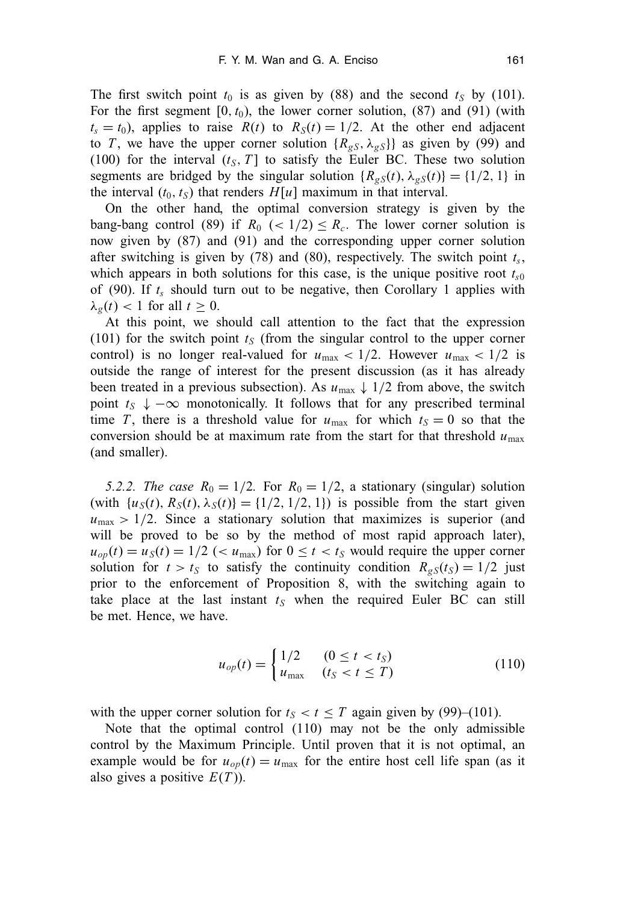The first switch point  $t_0$  is as given by (88) and the second  $t_S$  by (101). For the first segment  $[0, t_0)$ , the lower corner solution,  $(87)$  and  $(91)$  (with  $t_s = t_0$ ), applies to raise  $R(t)$  to  $R_s(t) = 1/2$ . At the other end adjacent to *T*, we have the upper corner solution  ${R_{gS}, \lambda_{gS}}$  as given by (99) and (100) for the interval  $(t_S, T]$  to satisfy the Euler BC. These two solution segments are bridged by the singular solution  ${R_{\varrho S}(t), \lambda_{\varrho S}(t)}={1/2, 1}$  in the interval  $(t_0, t_S)$  that renders  $H[u]$  maximum in that interval.

On the other hand, the optimal conversion strategy is given by the bang-bang control (89) if  $R_0$  (< 1/2)  $\leq R_c$ . The lower corner solution is now given by (87) and (91) and the corresponding upper corner solution after switching is given by (78) and (80), respectively. The switch point  $t_s$ , which appears in both solutions for this case, is the unique positive root  $t_{s0}$ of (90). If  $t_s$  should turn out to be negative, then Corollary 1 applies with  $\lambda_{\varrho}(t)$  < 1 for all  $t \geq 0$ .

At this point, we should call attention to the fact that the expression (101) for the switch point  $t<sub>S</sub>$  (from the singular control to the upper corner control) is no longer real-valued for  $u_{\text{max}} < 1/2$ . However  $u_{\text{max}} < 1/2$  is outside the range of interest for the present discussion (as it has already been treated in a previous subsection). As  $u_{\text{max}} \downarrow 1/2$  from above, the switch point  $t_S \downarrow -\infty$  monotonically. It follows that for any prescribed terminal time *T*, there is a threshold value for  $u_{\text{max}}$  for which  $t_S = 0$  so that the conversion should be at maximum rate from the start for that threshold  $u_{\text{max}}$ (and smaller).

*5.2.2. The case*  $R_0 = 1/2$ . For  $R_0 = 1/2$ , a stationary (singular) solution (with  $\{u_S(t), R_S(t), \lambda_S(t)\} = \{1/2, 1/2, 1\}$ ) is possible from the start given  $u_{\text{max}} > 1/2$ . Since a stationary solution that maximizes is superior (and will be proved to be so by the method of most rapid approach later),  $u_{op}(t) = u_S(t) = 1/2$  (<  $u_{max}$ ) for  $0 \le t < t_S$  would require the upper corner solution for  $t > t_S$  to satisfy the continuity condition  $R_{gS}(t_S) = 1/2$  just prior to the enforcement of Proposition 8, with the switching again to take place at the last instant  $t<sub>S</sub>$  when the required Euler BC can still be met. Hence, we have.

$$
u_{op}(t) = \begin{cases} 1/2 & (0 \le t < t_S) \\ u_{\text{max}} & (t_S < t \le T) \end{cases}
$$
(110)

with the upper corner solution for  $t<sub>S</sub> < t \leq T$  again given by (99)–(101).

Note that the optimal control (110) may not be the only admissible control by the Maximum Principle. Until proven that it is not optimal, an example would be for  $u_{op}(t) = u_{max}$  for the entire host cell life span (as it also gives a positive *E*(*T* )).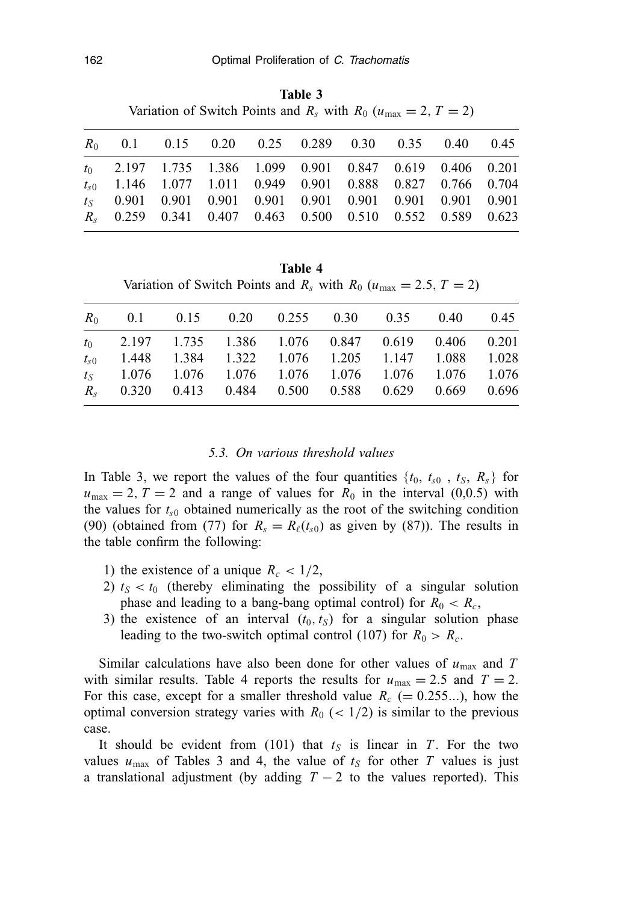**Table 3** Variation of Switch Points and  $R_s$  with  $R_0$  ( $u_{\text{max}} = 2$ ,  $T = 2$ )

|  | $R_0$ 0.1 0.15 0.20 0.25 0.289 0.30 0.35 0.40 0.45             |  |  |  |  |
|--|----------------------------------------------------------------|--|--|--|--|
|  | $t_0$ 2.197 1.735 1.386 1.099 0.901 0.847 0.619 0.406 0.201    |  |  |  |  |
|  | $t_{s0}$ 1.146 1.077 1.011 0.949 0.901 0.888 0.827 0.766 0.704 |  |  |  |  |
|  | $t_s$ 0.901 0.901 0.901 0.901 0.901 0.901 0.901 0.901 0.901    |  |  |  |  |
|  | $R_s$ 0.259 0.341 0.407 0.463 0.500 0.510 0.552 0.589 0.623    |  |  |  |  |
|  |                                                                |  |  |  |  |

**Table 4** Variation of Switch Points and  $R_s$  with  $R_0$  ( $u_{\text{max}} = 2.5, T = 2$ )

|  |  |  | $R_0$ 0.1 0.15 0.20 0.255 0.30 0.35 0.40 0.45<br>$t_0$ 2.197 1.735 1.386 1.076 0.847 0.619 0.406 0.201<br>1.448 1.384 1.322 1.076 1.205 1.147 1.088 1.028<br>$t_s$ 1.076 1.076 1.076 1.076 1.076 1.076 1.076 1.076<br>R <sub>s</sub> 0.320 0.413 0.484 0.500 0.588 0.629 0.669 0.696 |
|--|--|--|--------------------------------------------------------------------------------------------------------------------------------------------------------------------------------------------------------------------------------------------------------------------------------------|

#### *5.3. On various threshold values*

In Table 3, we report the values of the four quantities  $\{t_0, t_{s0}, t_S, R_s\}$  for  $u_{\text{max}} = 2$ ,  $T = 2$  and a range of values for  $R_0$  in the interval (0,0.5) with the values for  $t_{s0}$  obtained numerically as the root of the switching condition (90) (obtained from (77) for  $R_s = R_\ell(t_{s0})$  as given by (87)). The results in the table confirm the following:

- 1) the existence of a unique  $R_c < 1/2$ ,
- 2)  $t_S < t_0$  (thereby eliminating the possibility of a singular solution phase and leading to a bang-bang optimal control) for  $R_0 < R_c$ ,
- 3) the existence of an interval  $(t_0, t_S)$  for a singular solution phase leading to the two-switch optimal control (107) for  $R_0 > R_c$ .

Similar calculations have also been done for other values of  $u_{\text{max}}$  and T with similar results. Table 4 reports the results for  $u_{\text{max}} = 2.5$  and  $T = 2$ . For this case, except for a smaller threshold value  $R_c$  (= 0.255...), how the optimal conversion strategy varies with  $R_0$  ( $\lt$  1/2) is similar to the previous case.

It should be evident from (101) that  $t<sub>S</sub>$  is linear in *T*. For the two values  $u_{\text{max}}$  of Tables 3 and 4, the value of  $t_s$  for other T values is just a translational adjustment (by adding  $T - 2$  to the values reported). This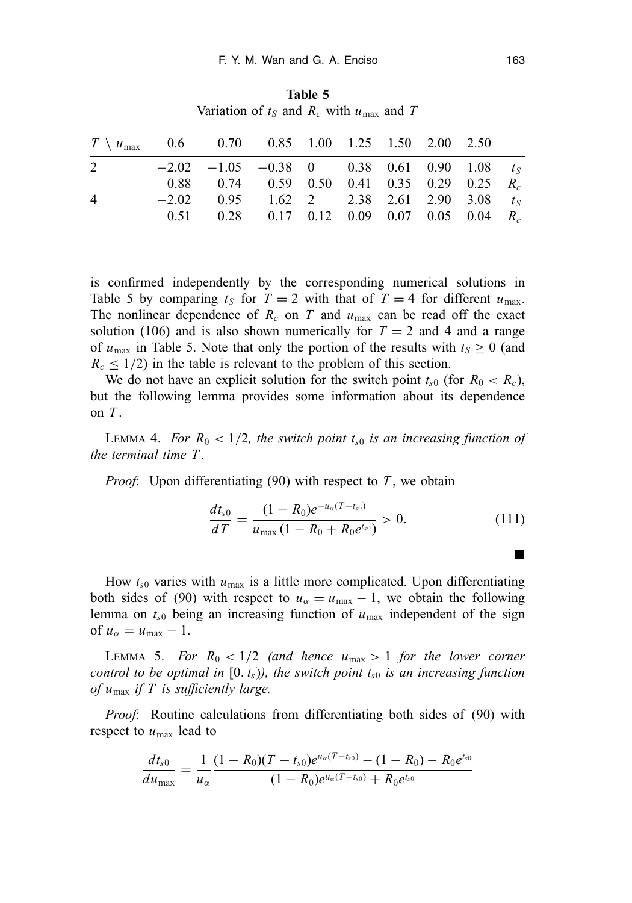| variation of $l_s$ and $R_c$ with $u_{\text{max}}$ and T            |         |                                                              |  |  |  |  |  |  |  |
|---------------------------------------------------------------------|---------|--------------------------------------------------------------|--|--|--|--|--|--|--|
| $T \setminus u_{\text{max}}$ 0.6 0.70 0.85 1.00 1.25 1.50 2.00 2.50 |         |                                                              |  |  |  |  |  |  |  |
| 2                                                                   |         | $-2.02$ $-1.05$ $-0.38$ 0 0.38 0.61 0.90 1.08 t <sub>S</sub> |  |  |  |  |  |  |  |
|                                                                     |         | 0.88 0.74 0.59 0.50 0.41 0.35 0.29 0.25 $R_c$                |  |  |  |  |  |  |  |
| $\overline{4}$                                                      | $-2.02$ | 0.95 1.62 2 2.38 2.61 2.90 3.08 $t_s$                        |  |  |  |  |  |  |  |
|                                                                     |         | 0.51 0.28 0.17 0.12 0.09 0.07 0.05 0.04 $R_c$                |  |  |  |  |  |  |  |

**Table 5** Variation of  $t_0$  and  $\overline{R}$  with  $u$  and  $\overline{T}$ 

is confirmed independently by the corresponding numerical solutions in Table 5 by comparing  $t_S$  for  $T = 2$  with that of  $T = 4$  for different  $u_{\text{max}}$ . The nonlinear dependence of  $R_c$  on  $T$  and  $u_{\text{max}}$  can be read off the exact solution (106) and is also shown numerically for  $T = 2$  and 4 and a range of  $u_{\text{max}}$  in Table 5. Note that only the portion of the results with  $t_s \geq 0$  (and  $R_c \leq 1/2$ ) in the table is relevant to the problem of this section.

We do not have an explicit solution for the switch point  $t_{s0}$  (for  $R_0 < R_c$ ), but the following lemma provides some information about its dependence on *T* .

LEMMA 4. *For*  $R_0 < 1/2$ , the switch point  $t_{s0}$  is an increasing function of *the terminal time T .*

*Proof*: Upon differentiating (90) with respect to *T*, we obtain

$$
\frac{dt_{s0}}{dT} = \frac{(1 - R_0)e^{-u_{\alpha}(T - t_{s0})}}{u_{\text{max}}(1 - R_0 + R_0 e^{t_{s0}})} > 0.
$$
\n(111)

How  $t_{s0}$  varies with  $u_{\text{max}}$  is a little more complicated. Upon differentiating both sides of (90) with respect to  $u_{\alpha} = u_{\text{max}} - 1$ , we obtain the following lemma on  $t_{s0}$  being an increasing function of  $u_{\text{max}}$  independent of the sign of  $u_{\alpha} = u_{\text{max}} - 1$ .

LEMMA 5. *For*  $R_0 < 1/2$  (and hence  $u_{\text{max}} > 1$  for the lower corner *control to be optimal in*  $[0, t_s)$ *), the switch point*  $t_{s0}$  *is an increasing function of u*max *if T is sufficiently large.*

*Proof*: Routine calculations from differentiating both sides of (90) with respect to  $u_{\text{max}}$  lead to

$$
\frac{dt_{s0}}{du_{\max}} = \frac{1}{u_{\alpha}} \frac{(1 - R_0)(T - t_{s0})e^{u_{\alpha}(T - t_{s0})} - (1 - R_0) - R_0e^{t_{s0}}}{(1 - R_0)e^{u_{\alpha}(T - t_{s0})} + R_0e^{t_{s0}}}
$$

-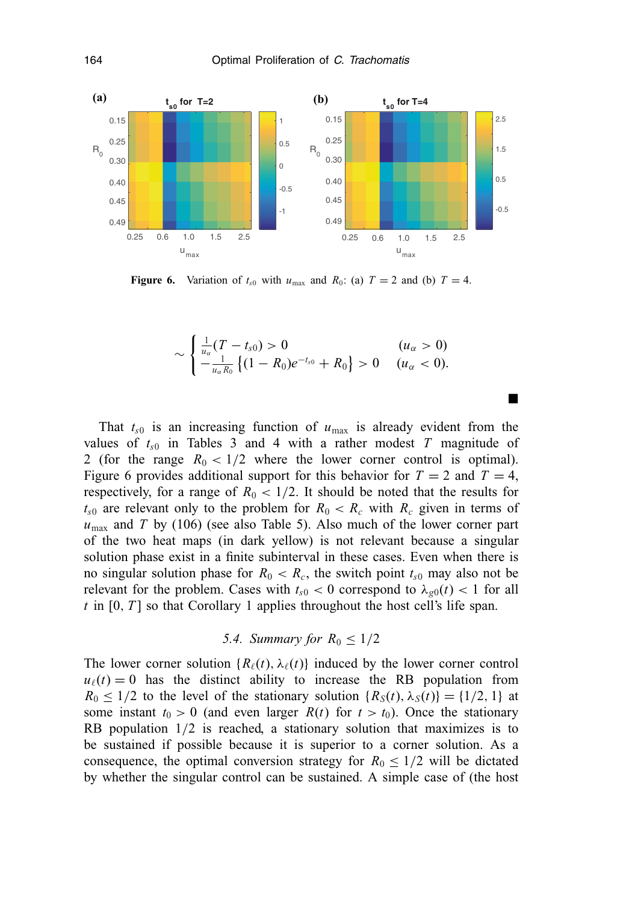

**Figure 6.** Variation of  $t_{s0}$  with  $u_{\text{max}}$  and  $R_0$ : (a)  $T = 2$  and (b)  $T = 4$ .

$$
\sim \begin{cases} \frac{1}{u_{\alpha}}(T-t_{s0}) > 0 & (u_{\alpha} > 0) \\ -\frac{1}{u_{\alpha}R_0} \left\{ (1-R_0)e^{-t_{s0}} + R_0 \right\} > 0 & (u_{\alpha} < 0). \end{cases}
$$

-

That  $t_{s0}$  is an increasing function of  $u_{\text{max}}$  is already evident from the values of  $t_{s0}$  in Tables 3 and 4 with a rather modest T magnitude of 2 (for the range  $R_0 < 1/2$  where the lower corner control is optimal). Figure 6 provides additional support for this behavior for  $T = 2$  and  $T = 4$ , respectively, for a range of  $R_0 < 1/2$ . It should be noted that the results for  $t_{s0}$  are relevant only to the problem for  $R_0 < R_c$  with  $R_c$  given in terms of *u*max and *T* by (106) (see also Table 5). Also much of the lower corner part of the two heat maps (in dark yellow) is not relevant because a singular solution phase exist in a finite subinterval in these cases. Even when there is no singular solution phase for  $R_0 < R_c$ , the switch point  $t_{s0}$  may also not be relevant for the problem. Cases with  $t_{s0} < 0$  correspond to  $\lambda_{g0}(t) < 1$  for all *t* in [0, *T* ] so that Corollary 1 applies throughout the host cell's life span.

5.4. Summary for 
$$
R_0 \leq 1/2
$$

The lower corner solution  ${R_{\ell}(t), \lambda_{\ell}(t)}$  induced by the lower corner control  $u_{\ell}(t) = 0$  has the distinct ability to increase the RB population from  $R_0 \leq 1/2$  to the level of the stationary solution  $\{R_S(t), \lambda_S(t)\} = \{1/2, 1\}$  at some instant  $t_0 > 0$  (and even larger  $R(t)$  for  $t > t_0$ ). Once the stationary RB population 1/2 is reached, a stationary solution that maximizes is to be sustained if possible because it is superior to a corner solution. As a consequence, the optimal conversion strategy for  $R_0 \leq 1/2$  will be dictated by whether the singular control can be sustained. A simple case of (the host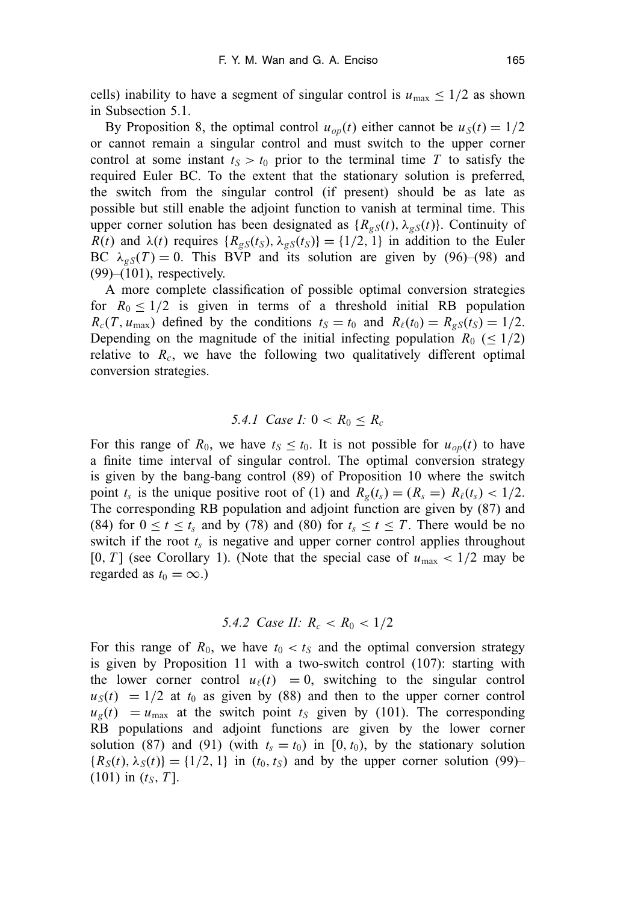cells) inability to have a segment of singular control is  $u_{\text{max}} \leq 1/2$  as shown in Subsection 5.1.

By Proposition 8, the optimal control  $u_{op}(t)$  either cannot be  $u_S(t) = 1/2$ or cannot remain a singular control and must switch to the upper corner control at some instant  $t_S > t_0$  prior to the terminal time T to satisfy the required Euler BC. To the extent that the stationary solution is preferred, the switch from the singular control (if present) should be as late as possible but still enable the adjoint function to vanish at terminal time. This upper corner solution has been designated as  ${R_{gS}(t), \lambda_{gS}(t)}$ . Continuity of *R*(*t*) and  $\lambda$ (*t*) requires { $R_{gS}(t_S)$ ,  $\lambda_{gS}(t_S)$ } = {1/2, 1} in addition to the Euler BC  $\lambda_{\varphi S}(T) = 0$ . This BVP and its solution are given by (96)–(98) and  $(99)$ – $(101)$ , respectively.

A more complete classification of possible optimal conversion strategies for  $R_0 \leq 1/2$  is given in terms of a threshold initial RB population  $R_c(T, u_{\text{max}})$  defined by the conditions  $t_S = t_0$  and  $R_\ell(t_0) = R_{gS}(t_S) = 1/2$ . Depending on the magnitude of the initial infecting population  $R_0 \leq 1/2$ ) relative to *Rc*, we have the following two qualitatively different optimal conversion strategies.

# *5.4.1 Case I:*  $0 < R_0 < R_c$

For this range of  $R_0$ , we have  $t<sub>S</sub> \le t<sub>0</sub>$ . It is not possible for  $u<sub>op</sub>(t)$  to have a finite time interval of singular control. The optimal conversion strategy is given by the bang-bang control (89) of Proposition 10 where the switch point  $t_s$  is the unique positive root of (1) and  $R_g(t_s) = (R_s =) R_\ell(t_s) < 1/2$ . The corresponding RB population and adjoint function are given by (87) and (84) for  $0 \le t \le t_s$  and by (78) and (80) for  $t_s \le t \le T$ . There would be no switch if the root  $t_s$  is negative and upper corner control applies throughout  $[0, T]$  (see Corollary 1). (Note that the special case of  $u_{\text{max}} < 1/2$  may be regarded as  $t_0 = \infty$ .)

## *5.4.2 Case II:*  $R_c < R_0 < 1/2$

For this range of  $R_0$ , we have  $t_0 < t_s$  and the optimal conversion strategy is given by Proposition 11 with a two-switch control (107): starting with the lower corner control  $u_{\ell}(t) = 0$ , switching to the singular control  $u<sub>S</sub>(t) = 1/2$  at  $t<sub>0</sub>$  as given by (88) and then to the upper corner control  $u_g(t) = u_{\text{max}}$  at the switch point  $t_g$  given by (101). The corresponding RB populations and adjoint functions are given by the lower corner solution (87) and (91) (with  $t_s = t_0$ ) in [0,  $t_0$ ), by the stationary solution  ${R_S(t), \lambda_S(t)}={1/2, 1}$  in  $(t_0, t_S)$  and by the upper corner solution (99)–  $(101)$  in  $(t<sub>S</sub>, T]$ .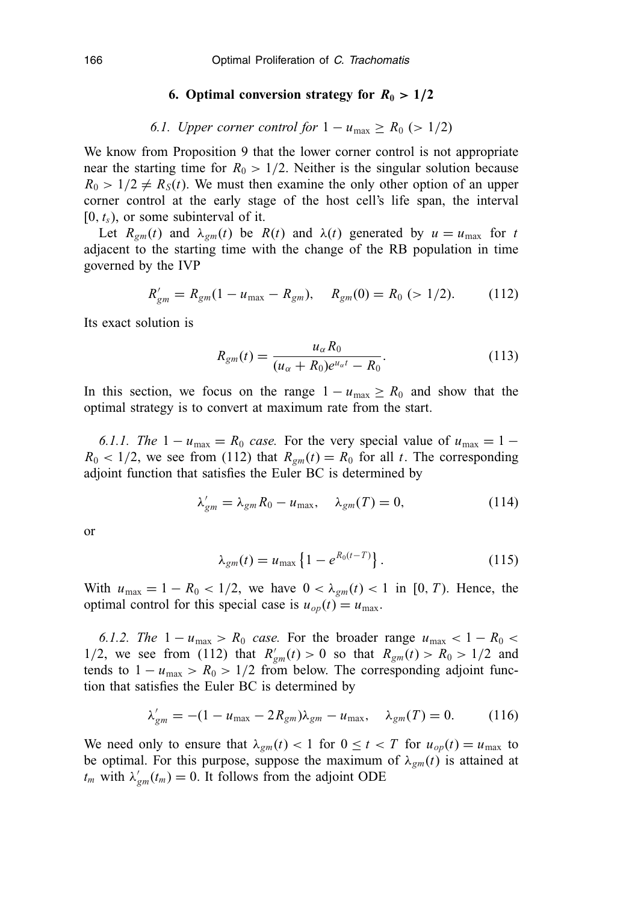#### **6. Optimal conversion strategy for**  $R_0 > 1/2$

## *6.1. Upper corner control for*  $1 - u_{\text{max}} \ge R_0$  (> 1/2)

We know from Proposition 9 that the lower corner control is not appropriate near the starting time for  $R_0 > 1/2$ . Neither is the singular solution because  $R_0 > 1/2 \neq R_S(t)$ . We must then examine the only other option of an upper corner control at the early stage of the host cell's life span, the interval  $[0, t<sub>s</sub>)$ , or some subinterval of it.

Let  $R_{gm}(t)$  and  $\lambda_{gm}(t)$  be  $R(t)$  and  $\lambda(t)$  generated by  $u = u_{max}$  for *t* adjacent to the starting time with the change of the RB population in time governed by the IVP

$$
R'_{gm} = R_{gm}(1 - u_{\text{max}} - R_{gm}), \quad R_{gm}(0) = R_0 \ (> 1/2). \tag{112}
$$

Its exact solution is

$$
R_{gm}(t) = \frac{u_{\alpha}R_0}{(u_{\alpha} + R_0)e^{u_{\alpha}t} - R_0}.
$$
 (113)

In this section, we focus on the range  $1 - u_{\text{max}} \ge R_0$  and show that the optimal strategy is to convert at maximum rate from the start.

*6.1.1. The*  $1 - u_{\text{max}} = R_0$  *case.* For the very special value of  $u_{\text{max}} = 1 R_0$  < 1/2, we see from (112) that  $R_{gm}(t) = R_0$  for all *t*. The corresponding adjoint function that satisfies the Euler BC is determined by

$$
\lambda'_{gm} = \lambda_{gm} R_0 - u_{\text{max}}, \quad \lambda_{gm}(T) = 0, \tag{114}
$$

or

$$
\lambda_{gm}(t) = u_{\text{max}} \left\{ 1 - e^{R_0(t - T)} \right\}.
$$
 (115)

With  $u_{\text{max}} = 1 - R_0 < 1/2$ , we have  $0 < \lambda_{gm}(t) < 1$  in [0, *T*). Hence, the optimal control for this special case is  $u_{op}(t) = u_{max}$ .

*6.1.2. The*  $1 - u_{\text{max}} > R_0$  *case.* For the broader range  $u_{\text{max}} < 1 - R_0$ 1/2, we see from (112) that  $R'_{gm}(t) > 0$  so that  $R_{gm}(t) > R_0 > 1/2$  and tends to  $1 - u_{\text{max}} > R_0 > 1/2$  from below. The corresponding adjoint function that satisfies the Euler BC is determined by

$$
\lambda'_{gm} = -(1 - u_{\text{max}} - 2R_{gm})\lambda_{gm} - u_{\text{max}}, \quad \lambda_{gm}(T) = 0. \tag{116}
$$

We need only to ensure that  $\lambda_{gm}(t) < 1$  for  $0 \le t < T$  for  $u_{op}(t) = u_{max}$  to be optimal. For this purpose, suppose the maximum of  $\lambda_{gm}(t)$  is attained at  $t_m$  with  $\lambda'_{gm}(t_m) = 0$ . It follows from the adjoint ODE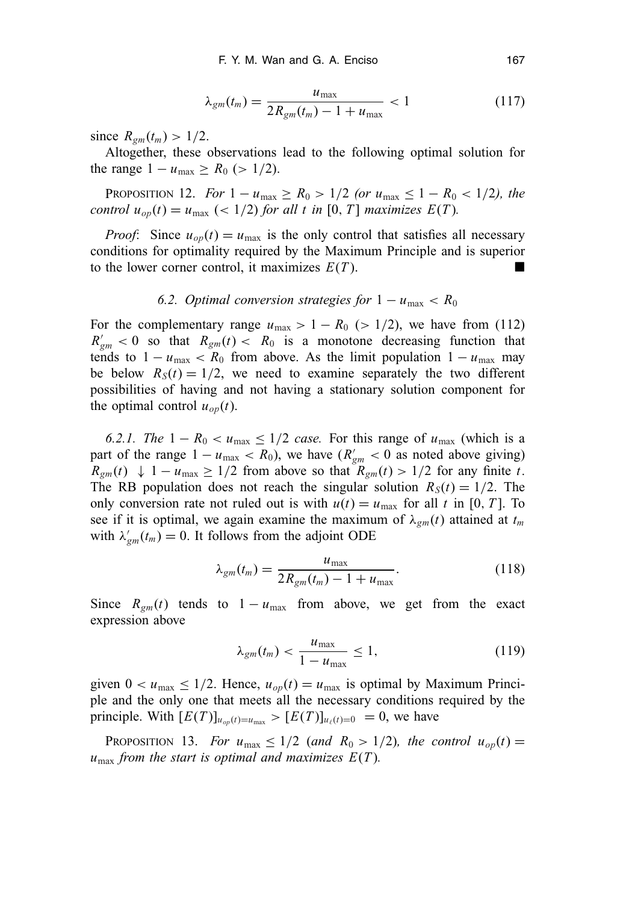$$
\lambda_{gm}(t_m) = \frac{u_{\text{max}}}{2R_{gm}(t_m) - 1 + u_{\text{max}}} < 1 \tag{117}
$$

since  $R_{gm}(t_m) > 1/2$ .

Altogether, these observations lead to the following optimal solution for the range  $1 - u_{\text{max}} \ge R_0$  (> 1/2).

**PROPOSITION 12.** *For*  $1 - u_{\text{max}} \ge R_0 > 1/2$  *(or*  $u_{\text{max}} \le 1 - R_0 < 1/2$ *), the control*  $u_{op}(t) = u_{max}$  (< 1/2) *for all t in* [0, *T*] *maximizes*  $E(T)$ *.* 

*Proof*: Since  $u_{op}(t) = u_{max}$  is the only control that satisfies all necessary conditions for optimality required by the Maximum Principle and is superior to the lower corner control, it maximizes  $E(T)$ .

## *6.2. Optimal conversion strategies for*  $1 - u_{\text{max}} < R_0$

For the complementary range  $u_{\text{max}} > 1 - R_0$  ( $> 1/2$ ), we have from (112)  $R'_{gm}$  < 0 so that  $R_{gm}(t)$  <  $R_0$  is a monotone decreasing function that tends to  $1 - u_{\text{max}} < R_0$  from above. As the limit population  $1 - u_{\text{max}}$  may be below  $R_S(t) = 1/2$ , we need to examine separately the two different possibilities of having and not having a stationary solution component for the optimal control  $u_{op}(t)$ .

*6.2.1. The*  $1 - R_0 < u_{\text{max}} \leq 1/2$  *case.* For this range of  $u_{\text{max}}$  (which is a part of the range  $1 - u_{\text{max}} < R_0$ ), we have  $(R'_{gm} < 0$  as noted above giving)  $R_{gm}(t) \downarrow 1 - u_{max} \ge 1/2$  from above so that  $R_{gm}(t) > 1/2$  for any finite *t*. The RB population does not reach the singular solution  $R_S(t) = 1/2$ . The only conversion rate not ruled out is with  $u(t) = u_{\text{max}}$  for all *t* in [0, *T*]. To see if it is optimal, we again examine the maximum of  $\lambda_{gm}(t)$  attained at  $t_m$ with  $\lambda'_{gm}(t_m) = 0$ . It follows from the adjoint ODE

$$
\lambda_{gm}(t_m) = \frac{u_{\text{max}}}{2R_{gm}(t_m) - 1 + u_{\text{max}}}.
$$
\n(118)

Since  $R_{gm}(t)$  tends to  $1 - u_{max}$  from above, we get from the exact expression above

$$
\lambda_{gm}(t_m) < \frac{u_{\text{max}}}{1 - u_{\text{max}}} \le 1,\tag{119}
$$

given  $0 < u_{\text{max}} \leq 1/2$ . Hence,  $u_{op}(t) = u_{\text{max}}$  is optimal by Maximum Principle and the only one that meets all the necessary conditions required by the principle. With  $[E(T)]_{u_{op}(t)=u_{max}} > [E(T)]_{u_{\ell}(t)=0} = 0$ , we have

PROPOSITION 13. *For*  $u_{\text{max}} \leq 1/2$  (and  $R_0 > 1/2$ ), the control  $u_{op}(t) =$  $u_{\text{max}}$  *from the start is optimal and maximizes*  $E(T)$ *.*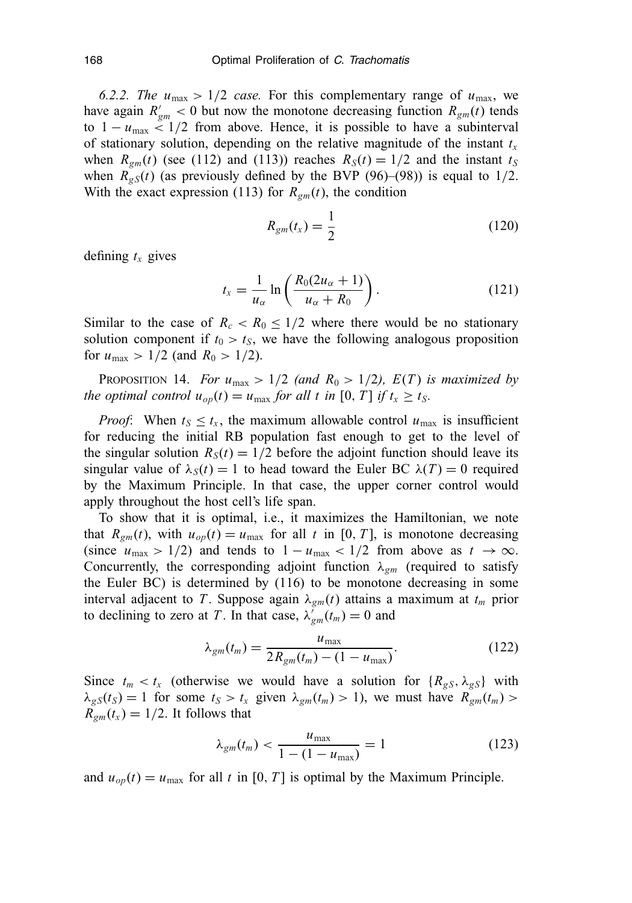*6.2.2. The*  $u_{\text{max}} > 1/2$  *case.* For this complementary range of  $u_{\text{max}}$ , we have again  $R'_{gm} < 0$  but now the monotone decreasing function  $R_{gm}(t)$  tends to  $1 - u_{\text{max}} < 1/2$  from above. Hence, it is possible to have a subinterval of stationary solution, depending on the relative magnitude of the instant  $t_x$ when  $R_{gm}(t)$  (see (112) and (113)) reaches  $R_S(t) = 1/2$  and the instant  $t_S$ when  $R_{gS}(t)$  (as previously defined by the BVP (96)–(98)) is equal to 1/2. With the exact expression (113) for *Rgm*(*t*), the condition

$$
R_{gm}(t_x) = \frac{1}{2} \tag{120}
$$

defining  $t_x$  gives

$$
t_x = \frac{1}{u_\alpha} \ln \left( \frac{R_0(2u_\alpha + 1)}{u_\alpha + R_0} \right). \tag{121}
$$

Similar to the case of  $R_c < R_0 \leq 1/2$  where there would be no stationary solution component if  $t_0 > t_s$ , we have the following analogous proposition for  $u_{\text{max}} > 1/2$  (and  $R_0 > 1/2$ ).

PROPOSITION 14. *For*  $u_{\text{max}} > 1/2$  (and  $R_0 > 1/2$ ),  $E(T)$  is maximized by *the optimal control*  $u_{op}(t) = u_{max}$  *for all t in* [0, *T*] *if*  $t_x \ge t_s$ .

*Proof*: When  $t_S \leq t_x$ , the maximum allowable control  $u_{\text{max}}$  is insufficient for reducing the initial RB population fast enough to get to the level of the singular solution  $R_S(t) = 1/2$  before the adjoint function should leave its singular value of  $\lambda_S(t) = 1$  to head toward the Euler BC  $\lambda(T) = 0$  required by the Maximum Principle. In that case, the upper corner control would apply throughout the host cell's life span.

To show that it is optimal, i.e., it maximizes the Hamiltonian, we note that  $R_{gm}(t)$ , with  $u_{op}(t) = u_{max}$  for all *t* in [0, *T*], is monotone decreasing (since  $u_{\text{max}} > 1/2$ ) and tends to  $1 - u_{\text{max}} < 1/2$  from above as  $t \to \infty$ . Concurrently, the corresponding adjoint function  $\lambda_{gm}$  (required to satisfy the Euler BC) is determined by (116) to be monotone decreasing in some interval adjacent to *T*. Suppose again  $\lambda_{gm}(t)$  attains a maximum at  $t_m$  prior to declining to zero at *T*. In that case,  $\lambda_{gm}^{'}(t_m) = 0$  and

$$
\lambda_{gm}(t_m) = \frac{u_{\text{max}}}{2R_{gm}(t_m) - (1 - u_{\text{max}})}.
$$
\n(122)

Since  $t_m < t_x$  (otherwise we would have a solution for  $\{R_{gS}, \lambda_{gS}\}\$  with  $\lambda_{gS}(t_S) = 1$  for some  $t_S > t_x$  given  $\lambda_{gm}(t_m) > 1$ , we must have  $R_{gm}(t_m) > 1$  $R_{gm}(t_x) = 1/2$ . It follows that

$$
\lambda_{gm}(t_m) < \frac{u_{\text{max}}}{1 - (1 - u_{\text{max}})} = 1 \tag{123}
$$

and  $u_{op}(t) = u_{max}$  for all *t* in [0, *T*] is optimal by the Maximum Principle.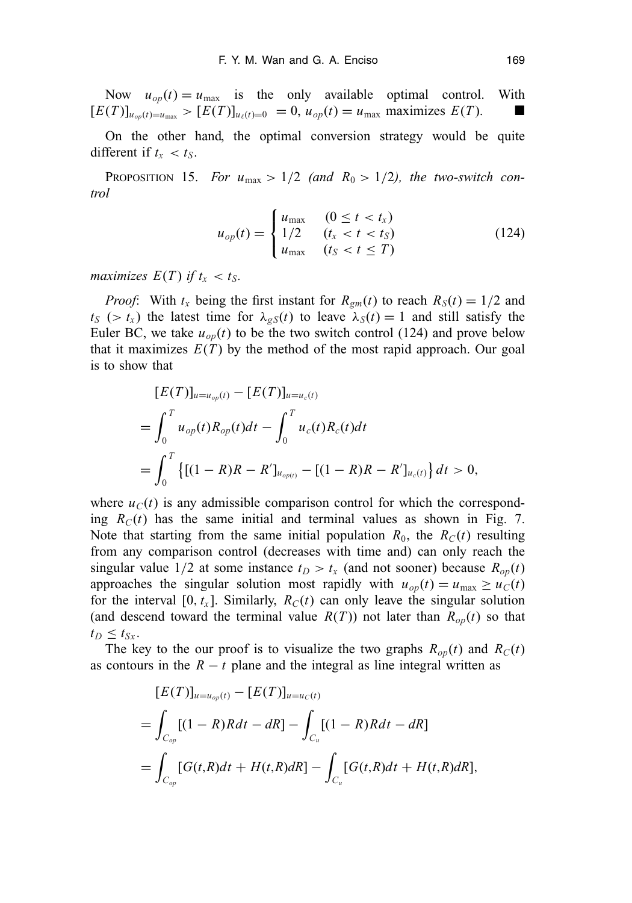Now  $u_{op}(t) = u_{max}$  is the only available optimal control. With  $[E(T)]_{u_{op}(t)=u_{max}} > [E(T)]_{u_{\ell}(t)=0} = 0, u_{op}(t) = u_{max}$  maximizes  $E(T)$ .

On the other hand, the optimal conversion strategy would be quite different if  $t_x < t_S$ .

PROPOSITION 15. *For*  $u_{\text{max}} > 1/2$  (and  $R_0 > 1/2$ ), the two-switch con*trol*

$$
u_{op}(t) = \begin{cases} u_{\text{max}} & (0 \le t < t_x) \\ 1/2 & (t_x < t < t_s) \\ u_{\text{max}} & (t_s < t \le T) \end{cases}
$$
(124)

*maximizes*  $E(T)$  *if*  $t_x < t_S$ .

*Proof*: With  $t_x$  being the first instant for  $R_{gm}(t)$  to reach  $R_S(t) = 1/2$  and  $t_S$  ( $>t_x$ ) the latest time for  $\lambda_{gS}(t)$  to leave  $\lambda_S(t) = 1$  and still satisfy the Euler BC, we take  $u_{op}(t)$  to be the two switch control (124) and prove below that it maximizes  $E(T)$  by the method of the most rapid approach. Our goal is to show that

$$
[E(T)]_{u=u_{op}(t)} - [E(T)]_{u=u_{c}(t)}
$$
  
= 
$$
\int_0^T u_{op}(t)R_{op}(t)dt - \int_0^T u_c(t)R_c(t)dt
$$
  
= 
$$
\int_0^T \{[(1 - R)R - R']_{u_{op(t)}} - [(1 - R)R - R']_{u_c(t)}\}dt > 0,
$$

where  $u<sub>C</sub>(t)$  is any admissible comparison control for which the corresponding  $R_C(t)$  has the same initial and terminal values as shown in Fig. 7. Note that starting from the same initial population  $R_0$ , the  $R_C(t)$  resulting from any comparison control (decreases with time and) can only reach the singular value  $1/2$  at some instance  $t_D > t_x$  (and not sooner) because  $R_{op}(t)$ approaches the singular solution most rapidly with  $u_{op}(t) = u_{max} \ge u_C(t)$ for the interval [0,  $t_x$ ]. Similarly,  $R_C(t)$  can only leave the singular solution (and descend toward the terminal value  $R(T)$ ) not later than  $R_{op}(t)$  so that  $t_D \leq t_{Sx}$ .

The key to the our proof is to visualize the two graphs  $R_{op}(t)$  and  $R_C(t)$ as contours in the  $R - t$  plane and the integral as line integral written as

$$
[E(T)]_{u=u_{op}(t)} - [E(T)]_{u=u_{C}(t)}
$$
  
= 
$$
\int_{C_{op}} [(1 - R)Rdt - dR] - \int_{C_u} [(1 - R)Rdt - dR]
$$
  
= 
$$
\int_{C_{op}} [G(t, R)dt + H(t, R)dR] - \int_{C_u} [G(t, R)dt + H(t, R)dR],
$$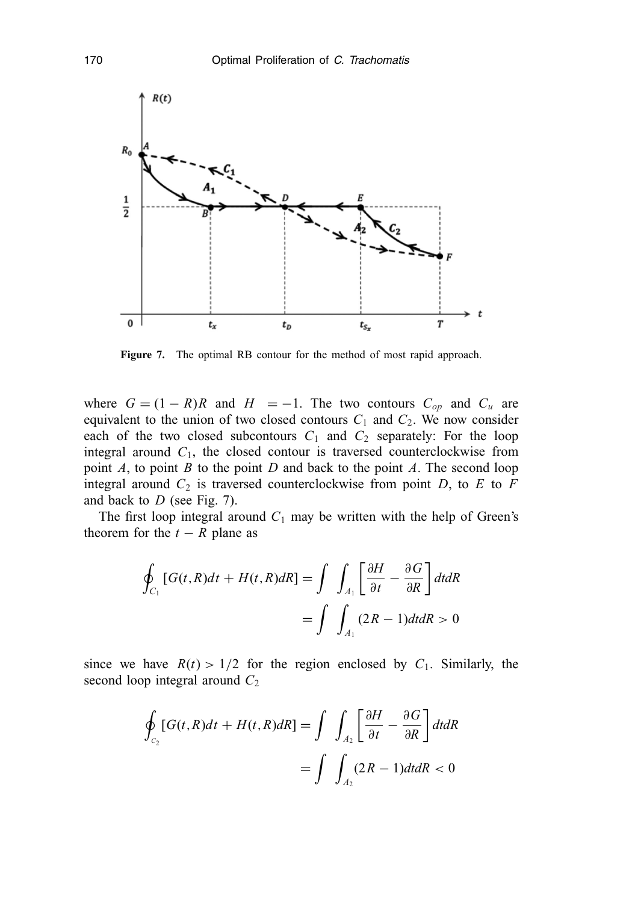

**Figure 7.** The optimal RB contour for the method of most rapid approach.

where  $G = (1 - R)R$  and  $H = -1$ . The two contours  $C_{op}$  and  $C_u$  are equivalent to the union of two closed contours  $C_1$  and  $C_2$ . We now consider each of the two closed subcontours  $C_1$  and  $C_2$  separately: For the loop integral around  $C_1$ , the closed contour is traversed counterclockwise from point *A*, to point *B* to the point *D* and back to the point *A*. The second loop integral around  $C_2$  is traversed counterclockwise from point *D*, to *E* to *F* and back to *D* (see Fig. 7).

The first loop integral around  $C_1$  may be written with the help of Green's theorem for the  $t - R$  plane as

$$
\oint_{C_1} [G(t,R)dt + H(t,R)dR] = \int \int_{A_1} \left[ \frac{\partial H}{\partial t} - \frac{\partial G}{\partial R} \right] dt dR
$$
\n
$$
= \int \int_{A_1} (2R - 1) dt dR > 0
$$

since we have  $R(t) > 1/2$  for the region enclosed by  $C_1$ . Similarly, the second loop integral around *C*<sup>2</sup>

$$
\oint_{C_2} [G(t,R)dt + H(t,R)dR] = \int \int_{A_2} \left[ \frac{\partial H}{\partial t} - \frac{\partial G}{\partial R} \right] dt dR
$$
\n
$$
= \int \int_{A_2} (2R - 1) dt dR < 0
$$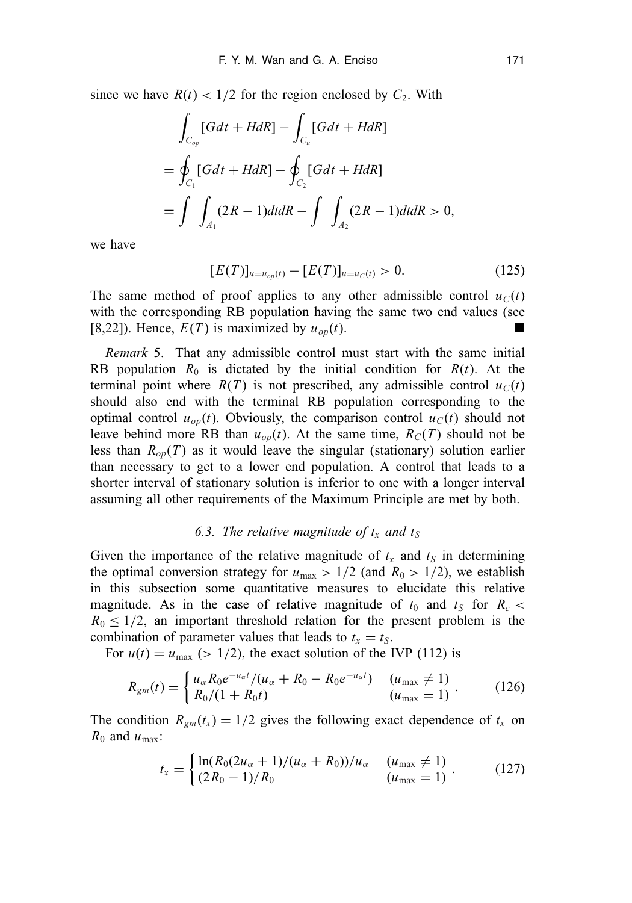since we have  $R(t) < 1/2$  for the region enclosed by  $C_2$ . With

$$
\int_{C_{op}} [Gdt + HdR] - \int_{C_u} [Gdt + HdR]
$$
\n
$$
= \oint_{C_1} [Gdt + HdR] - \oint_{C_2} [Gdt + HdR]
$$
\n
$$
= \int_{A_1} (2R - 1)dt dR - \int_{A_2} (2R - 1)dt dR > 0,
$$

we have

$$
[E(T)]_{u=u_{op}(t)} - [E(T)]_{u=u_{C}(t)} > 0. \tag{125}
$$

The same method of proof applies to any other admissible control  $u_C(t)$ with the corresponding RB population having the same two end values (see [8,22]). Hence,  $E(T)$  is maximized by  $u_{op}(t)$ .

*Remark* 5. That any admissible control must start with the same initial RB population  $R_0$  is dictated by the initial condition for  $R(t)$ . At the terminal point where  $R(T)$  is not prescribed, any admissible control  $u_C(t)$ should also end with the terminal RB population corresponding to the optimal control  $u_{op}(t)$ . Obviously, the comparison control  $u_C(t)$  should not leave behind more RB than  $u_{op}(t)$ . At the same time,  $R_C(T)$  should not be less than  $R_{op}(T)$  as it would leave the singular (stationary) solution earlier than necessary to get to a lower end population. A control that leads to a shorter interval of stationary solution is inferior to one with a longer interval assuming all other requirements of the Maximum Principle are met by both.

## 6.3. The relative magnitude of  $t_x$  and  $t_s$

Given the importance of the relative magnitude of  $t_x$  and  $t_s$  in determining the optimal conversion strategy for  $u_{\text{max}} > 1/2$  (and  $R_0 > 1/2$ ), we establish in this subsection some quantitative measures to elucidate this relative magnitude. As in the case of relative magnitude of  $t_0$  and  $t_S$  for  $R_c$  $R_0 \leq 1/2$ , an important threshold relation for the present problem is the combination of parameter values that leads to  $t_x = t_s$ .

For  $u(t) = u_{\text{max}}$  (> 1/2), the exact solution of the IVP (112) is

$$
R_{gm}(t) = \begin{cases} u_{\alpha} R_0 e^{-u_{\alpha}t} / (u_{\alpha} + R_0 - R_0 e^{-u_{\alpha}t}) & (u_{\text{max}} \neq 1) \\ R_0 / (1 + R_0 t) & (u_{\text{max}} = 1) \end{cases} . \tag{126}
$$

The condition  $R_{gm}(t_x) = 1/2$  gives the following exact dependence of  $t_x$  on  $R_0$  and  $u_{\text{max}}$ :

$$
t_x = \begin{cases} \ln(R_0(2u_\alpha + 1)/(u_\alpha + R_0))/u_\alpha & (u_{\text{max}} \neq 1) \\ (2R_0 - 1)/R_0 & (u_{\text{max}} = 1) \end{cases} . \tag{127}
$$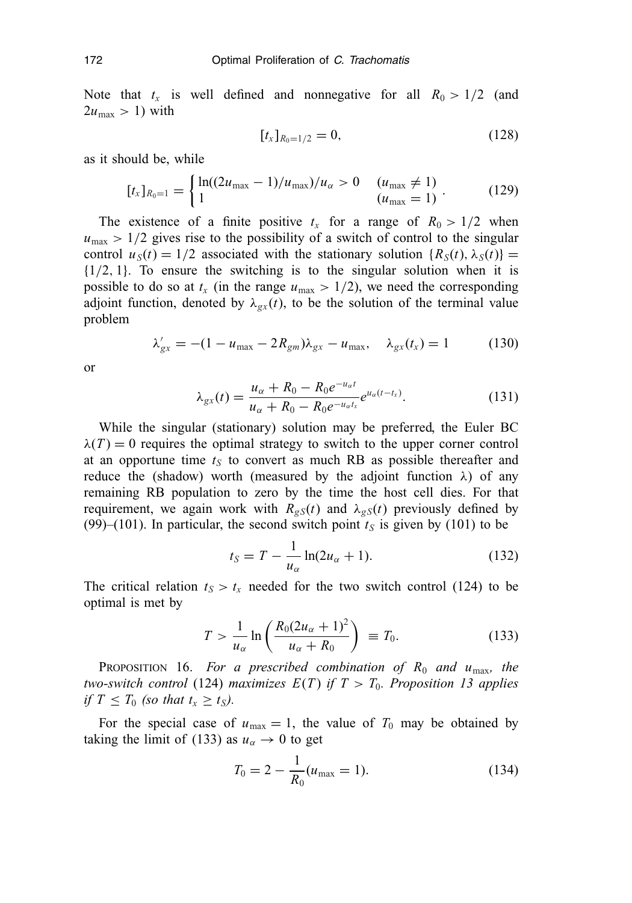Note that  $t_x$  is well defined and nonnegative for all  $R_0 > 1/2$  (and  $2u_{\text{max}} > 1$ ) with

$$
[t_x]_{R_0=1/2}=0,\t\t(128)
$$

as it should be, while

$$
[t_x]_{R_0=1} = \begin{cases} \ln((2u_{\text{max}}-1)/u_{\text{max}})/u_{\alpha} > 0 & (u_{\text{max}} \neq 1) \\ 1 & (u_{\text{max}} = 1) \end{cases}.
$$
 (129)

The existence of a finite positive  $t_x$  for a range of  $R_0 > 1/2$  when  $u_{\text{max}} > 1/2$  gives rise to the possibility of a switch of control to the singular control  $u_S(t) = 1/2$  associated with the stationary solution  ${R_S(t), \lambda_S(t)}$  $\{1/2, 1\}$ . To ensure the switching is to the singular solution when it is possible to do so at  $t_x$  (in the range  $u_{\text{max}} > 1/2$ ), we need the corresponding adjoint function, denoted by  $\lambda_{gx}(t)$ , to be the solution of the terminal value problem

$$
\lambda'_{gx} = -(1 - u_{\text{max}} - 2R_{gm})\lambda_{gx} - u_{\text{max}}, \quad \lambda_{gx}(t_x) = 1 \tag{130}
$$

or

$$
\lambda_{gx}(t) = \frac{u_{\alpha} + R_0 - R_0 e^{-u_{\alpha}t}}{u_{\alpha} + R_0 - R_0 e^{-u_{\alpha}t_x}} e^{u_{\alpha}(t - t_x)}.
$$
\n(131)

While the singular (stationary) solution may be preferred, the Euler BC  $\lambda(T) = 0$  requires the optimal strategy to switch to the upper corner control at an opportune time  $t_S$  to convert as much RB as possible thereafter and reduce the (shadow) worth (measured by the adjoint function  $\lambda$ ) of any remaining RB population to zero by the time the host cell dies. For that requirement, we again work with  $R_{gS}(t)$  and  $\lambda_{gS}(t)$  previously defined by (99)–(101). In particular, the second switch point  $t<sub>S</sub>$  is given by (101) to be

$$
t_S = T - \frac{1}{u_\alpha} \ln(2u_\alpha + 1). \tag{132}
$$

The critical relation  $t_S > t_x$  needed for the two switch control (124) to be optimal is met by

$$
T > \frac{1}{u_{\alpha}} \ln \left( \frac{R_0 (2u_{\alpha} + 1)^2}{u_{\alpha} + R_0} \right) \equiv T_0.
$$
 (133)

PROPOSITION 16. *For a prescribed combination of R*<sup>0</sup> *and u*max*, the two-switch control* (124) *maximizes*  $E(T)$  *if*  $T > T_0$ *. Proposition 13 applies if*  $T \leq T_0$  (so that  $t_x \geq t_s$ ).

For the special case of  $u_{\text{max}} = 1$ , the value of  $T_0$  may be obtained by taking the limit of (133) as  $u_{\alpha} \to 0$  to get

$$
T_0 = 2 - \frac{1}{R_0}(u_{\text{max}} = 1).
$$
 (134)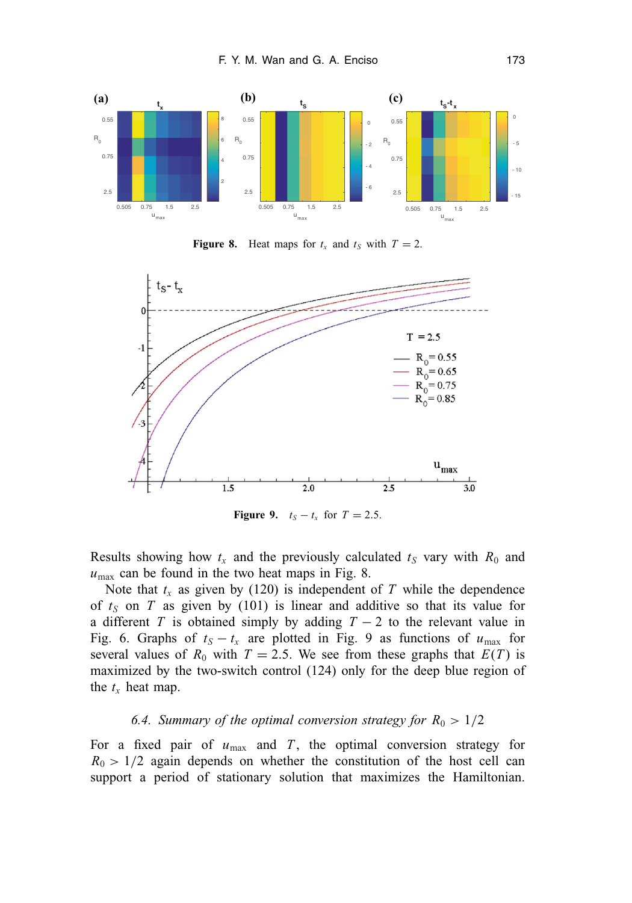

**Figure 8.** Heat maps for  $t_x$  and  $t_s$  with  $T = 2$ .



**Figure 9.**  $t_S - t_x$  for  $T = 2.5$ .

Results showing how  $t_x$  and the previously calculated  $t_s$  vary with  $R_0$  and  $u_{\text{max}}$  can be found in the two heat maps in Fig. 8.

Note that  $t_x$  as given by (120) is independent of  $T$  while the dependence of  $t<sub>S</sub>$  on *T* as given by (101) is linear and additive so that its value for a different *T* is obtained simply by adding  $T - 2$  to the relevant value in Fig. 6. Graphs of  $t_S - t_x$  are plotted in Fig. 9 as functions of  $u_{\text{max}}$  for several values of  $R_0$  with  $T = 2.5$ . We see from these graphs that  $E(T)$  is maximized by the two-switch control (124) only for the deep blue region of the  $t_x$  heat map.

## 6.4. Summary of the optimal conversion strategy for  $R_0 > 1/2$

For a fixed pair of  $u_{\text{max}}$  and  $T$ , the optimal conversion strategy for  $R_0 > 1/2$  again depends on whether the constitution of the host cell can support a period of stationary solution that maximizes the Hamiltonian.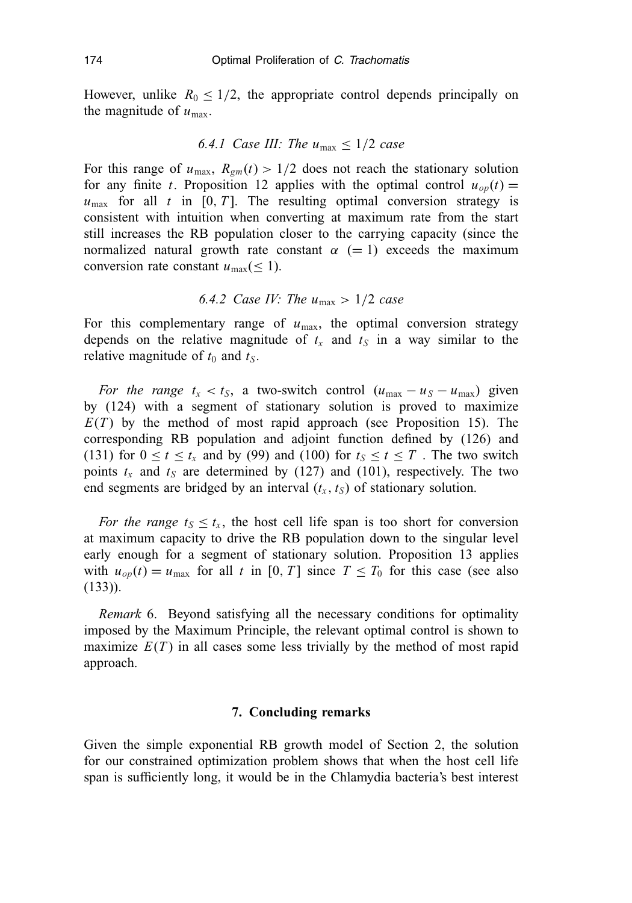However, unlike  $R_0 \leq 1/2$ , the appropriate control depends principally on the magnitude of  $u_{\text{max}}$ .

#### *6.4.1 Case III: The*  $u_{\text{max}} \leq 1/2$  *case*

For this range of  $u_{\text{max}}$ ,  $R_{gm}(t) > 1/2$  does not reach the stationary solution for any finite *t*. Proposition 12 applies with the optimal control  $u_{op}(t)$  =  $u_{\text{max}}$  for all *t* in [0, *T*]. The resulting optimal conversion strategy is consistent with intuition when converting at maximum rate from the start still increases the RB population closer to the carrying capacity (since the normalized natural growth rate constant  $\alpha$  (= 1) exceeds the maximum conversion rate constant  $u_{\text{max}} (\leq 1)$ .

## *6.4.2 Case IV: The u*max > 1/2 *case*

For this complementary range of  $u_{\text{max}}$ , the optimal conversion strategy depends on the relative magnitude of  $t_x$  and  $t_s$  in a way similar to the relative magnitude of  $t_0$  and  $t_S$ .

*For the range*  $t_x < t_S$ , a two-switch control  $(u_{\text{max}} - u_S - u_{\text{max}})$  given by (124) with a segment of stationary solution is proved to maximize  $E(T)$  by the method of most rapid approach (see Proposition 15). The corresponding RB population and adjoint function defined by (126) and (131) for  $0 \le t \le t_x$  and by (99) and (100) for  $t_s \le t \le T$ . The two switch points  $t_x$  and  $t_s$  are determined by (127) and (101), respectively. The two end segments are bridged by an interval  $(t<sub>x</sub>, t<sub>S</sub>)$  of stationary solution.

*For the range*  $t_s \leq t_x$ , the host cell life span is too short for conversion at maximum capacity to drive the RB population down to the singular level early enough for a segment of stationary solution. Proposition 13 applies with  $u_{op}(t) = u_{max}$  for all *t* in [0, *T*] since  $T \le T_0$  for this case (see also (133)).

*Remark* 6. Beyond satisfying all the necessary conditions for optimality imposed by the Maximum Principle, the relevant optimal control is shown to maximize  $E(T)$  in all cases some less trivially by the method of most rapid approach.

## **7. Concluding remarks**

Given the simple exponential RB growth model of Section 2, the solution for our constrained optimization problem shows that when the host cell life span is sufficiently long, it would be in the Chlamydia bacteria's best interest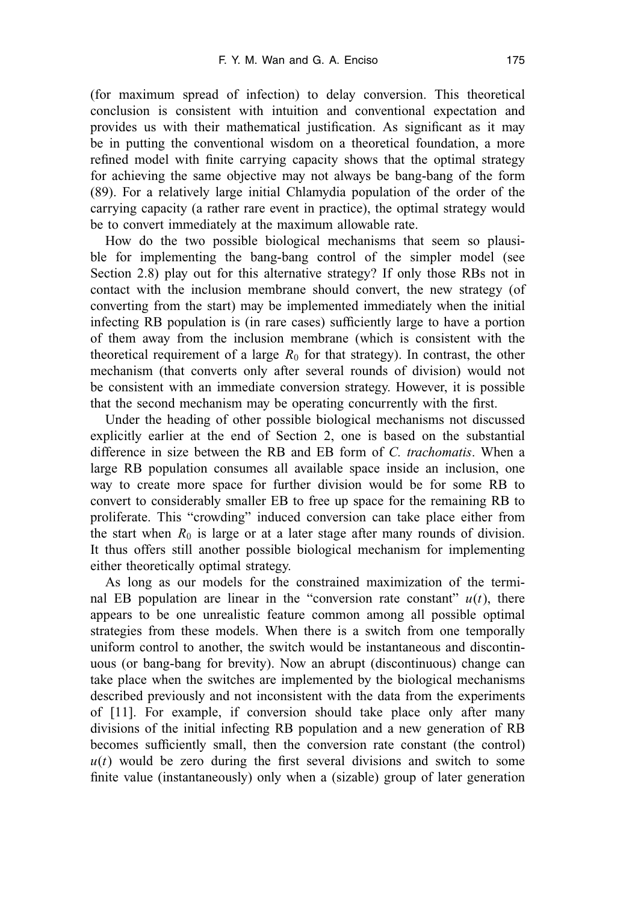(for maximum spread of infection) to delay conversion. This theoretical conclusion is consistent with intuition and conventional expectation and provides us with their mathematical justification. As significant as it may be in putting the conventional wisdom on a theoretical foundation, a more refined model with finite carrying capacity shows that the optimal strategy for achieving the same objective may not always be bang-bang of the form (89). For a relatively large initial Chlamydia population of the order of the carrying capacity (a rather rare event in practice), the optimal strategy would be to convert immediately at the maximum allowable rate.

How do the two possible biological mechanisms that seem so plausible for implementing the bang-bang control of the simpler model (see Section 2.8) play out for this alternative strategy? If only those RBs not in contact with the inclusion membrane should convert, the new strategy (of converting from the start) may be implemented immediately when the initial infecting RB population is (in rare cases) sufficiently large to have a portion of them away from the inclusion membrane (which is consistent with the theoretical requirement of a large  $R_0$  for that strategy). In contrast, the other mechanism (that converts only after several rounds of division) would not be consistent with an immediate conversion strategy. However, it is possible that the second mechanism may be operating concurrently with the first.

Under the heading of other possible biological mechanisms not discussed explicitly earlier at the end of Section 2, one is based on the substantial difference in size between the RB and EB form of *C. trachomatis*. When a large RB population consumes all available space inside an inclusion, one way to create more space for further division would be for some RB to convert to considerably smaller EB to free up space for the remaining RB to proliferate. This "crowding" induced conversion can take place either from the start when  $R_0$  is large or at a later stage after many rounds of division. It thus offers still another possible biological mechanism for implementing either theoretically optimal strategy.

As long as our models for the constrained maximization of the terminal EB population are linear in the "conversion rate constant"  $u(t)$ , there appears to be one unrealistic feature common among all possible optimal strategies from these models. When there is a switch from one temporally uniform control to another, the switch would be instantaneous and discontinuous (or bang-bang for brevity). Now an abrupt (discontinuous) change can take place when the switches are implemented by the biological mechanisms described previously and not inconsistent with the data from the experiments of [11]. For example, if conversion should take place only after many divisions of the initial infecting RB population and a new generation of RB becomes sufficiently small, then the conversion rate constant (the control)  $u(t)$  would be zero during the first several divisions and switch to some finite value (instantaneously) only when a (sizable) group of later generation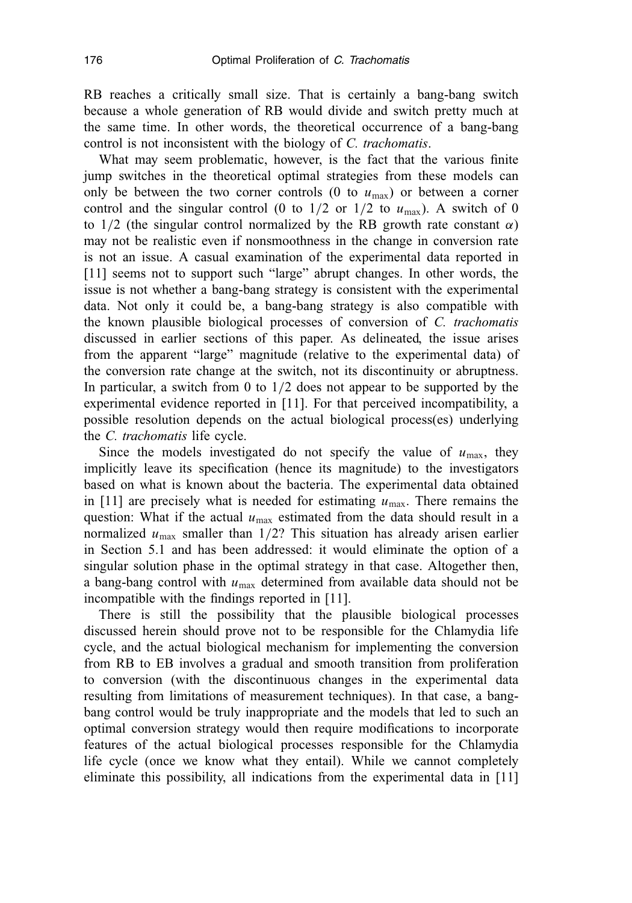RB reaches a critically small size. That is certainly a bang-bang switch because a whole generation of RB would divide and switch pretty much at the same time. In other words, the theoretical occurrence of a bang-bang control is not inconsistent with the biology of *C. trachomatis*.

What may seem problematic, however, is the fact that the various finite jump switches in the theoretical optimal strategies from these models can only be between the two corner controls  $(0 \text{ to } u_{\text{max}})$  or between a corner control and the singular control (0 to  $1/2$  or  $1/2$  to  $u_{\text{max}}$ ). A switch of 0 to  $1/2$  (the singular control normalized by the RB growth rate constant  $\alpha$ ) may not be realistic even if nonsmoothness in the change in conversion rate is not an issue. A casual examination of the experimental data reported in [11] seems not to support such "large" abrupt changes. In other words, the issue is not whether a bang-bang strategy is consistent with the experimental data. Not only it could be, a bang-bang strategy is also compatible with the known plausible biological processes of conversion of *C. trachomatis* discussed in earlier sections of this paper. As delineated, the issue arises from the apparent "large" magnitude (relative to the experimental data) of the conversion rate change at the switch, not its discontinuity or abruptness. In particular, a switch from 0 to 1/2 does not appear to be supported by the experimental evidence reported in [11]. For that perceived incompatibility, a possible resolution depends on the actual biological process(es) underlying the *C. trachomatis* life cycle.

Since the models investigated do not specify the value of  $u_{\text{max}}$ , they implicitly leave its specification (hence its magnitude) to the investigators based on what is known about the bacteria. The experimental data obtained in  $[11]$  are precisely what is needed for estimating  $u_{\text{max}}$ . There remains the question: What if the actual  $u_{\text{max}}$  estimated from the data should result in a normalized  $u_{\text{max}}$  smaller than  $1/2$ ? This situation has already arisen earlier in Section 5.1 and has been addressed: it would eliminate the option of a singular solution phase in the optimal strategy in that case. Altogether then, a bang-bang control with *u*max determined from available data should not be incompatible with the findings reported in [11].

There is still the possibility that the plausible biological processes discussed herein should prove not to be responsible for the Chlamydia life cycle, and the actual biological mechanism for implementing the conversion from RB to EB involves a gradual and smooth transition from proliferation to conversion (with the discontinuous changes in the experimental data resulting from limitations of measurement techniques). In that case, a bangbang control would be truly inappropriate and the models that led to such an optimal conversion strategy would then require modifications to incorporate features of the actual biological processes responsible for the Chlamydia life cycle (once we know what they entail). While we cannot completely eliminate this possibility, all indications from the experimental data in [11]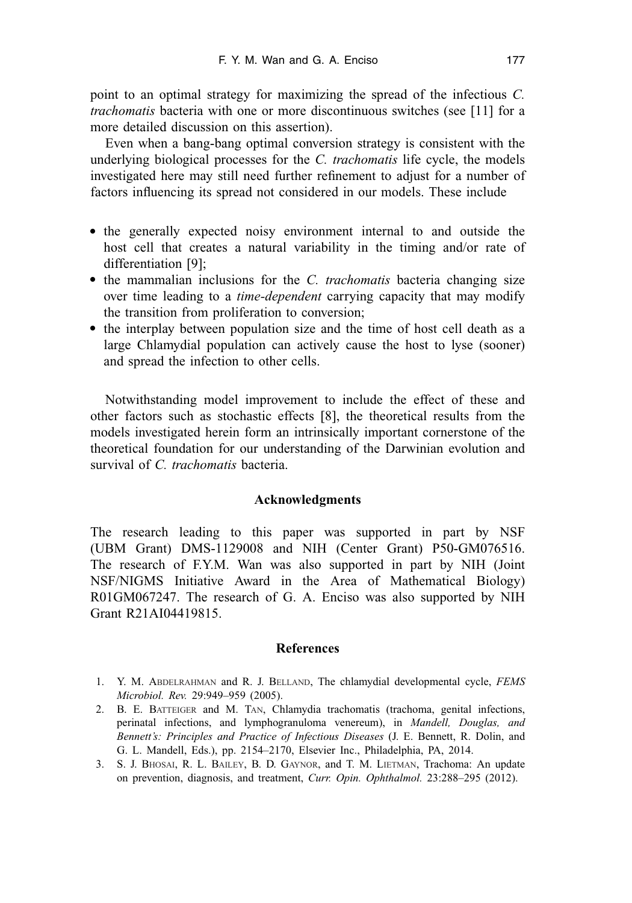point to an optimal strategy for maximizing the spread of the infectious *C. trachomatis* bacteria with one or more discontinuous switches (see [11] for a more detailed discussion on this assertion).

Even when a bang-bang optimal conversion strategy is consistent with the underlying biological processes for the *C. trachomatis* life cycle, the models investigated here may still need further refinement to adjust for a number of factors influencing its spread not considered in our models. These include

- the generally expected noisy environment internal to and outside the host cell that creates a natural variability in the timing and/or rate of differentiation [9];
- the mammalian inclusions for the *C. trachomatis* bacteria changing size over time leading to a *time-dependent* carrying capacity that may modify the transition from proliferation to conversion;
- the interplay between population size and the time of host cell death as a large Chlamydial population can actively cause the host to lyse (sooner) and spread the infection to other cells.

Notwithstanding model improvement to include the effect of these and other factors such as stochastic effects [8], the theoretical results from the models investigated herein form an intrinsically important cornerstone of the theoretical foundation for our understanding of the Darwinian evolution and survival of *C. trachomatis* bacteria.

## **Acknowledgments**

The research leading to this paper was supported in part by NSF (UBM Grant) DMS-1129008 and NIH (Center Grant) P50-GM076516. The research of F.Y.M. Wan was also supported in part by NIH (Joint NSF/NIGMS Initiative Award in the Area of Mathematical Biology) R01GM067247. The research of G. A. Enciso was also supported by NIH Grant R21AI04419815.

## **References**

- 1. Y. M. ABDELRAHMAN and R. J. BELLAND, The chlamydial developmental cycle, *FEMS Microbiol. Rev.* 29:949–959 (2005).
- 2. B. E. BATTEIGER and M. TAN, Chlamydia trachomatis (trachoma, genital infections, perinatal infections, and lymphogranuloma venereum), in *Mandell, Douglas, and Bennett's: Principles and Practice of Infectious Diseases* (J. E. Bennett, R. Dolin, and G. L. Mandell, Eds.), pp. 2154–2170, Elsevier Inc., Philadelphia, PA, 2014.
- 3. S. J. BHOSAI, R. L. BAILEY, B. D. GAYNOR, and T. M. LIETMAN, Trachoma: An update on prevention, diagnosis, and treatment, *Curr. Opin. Ophthalmol.* 23:288–295 (2012).